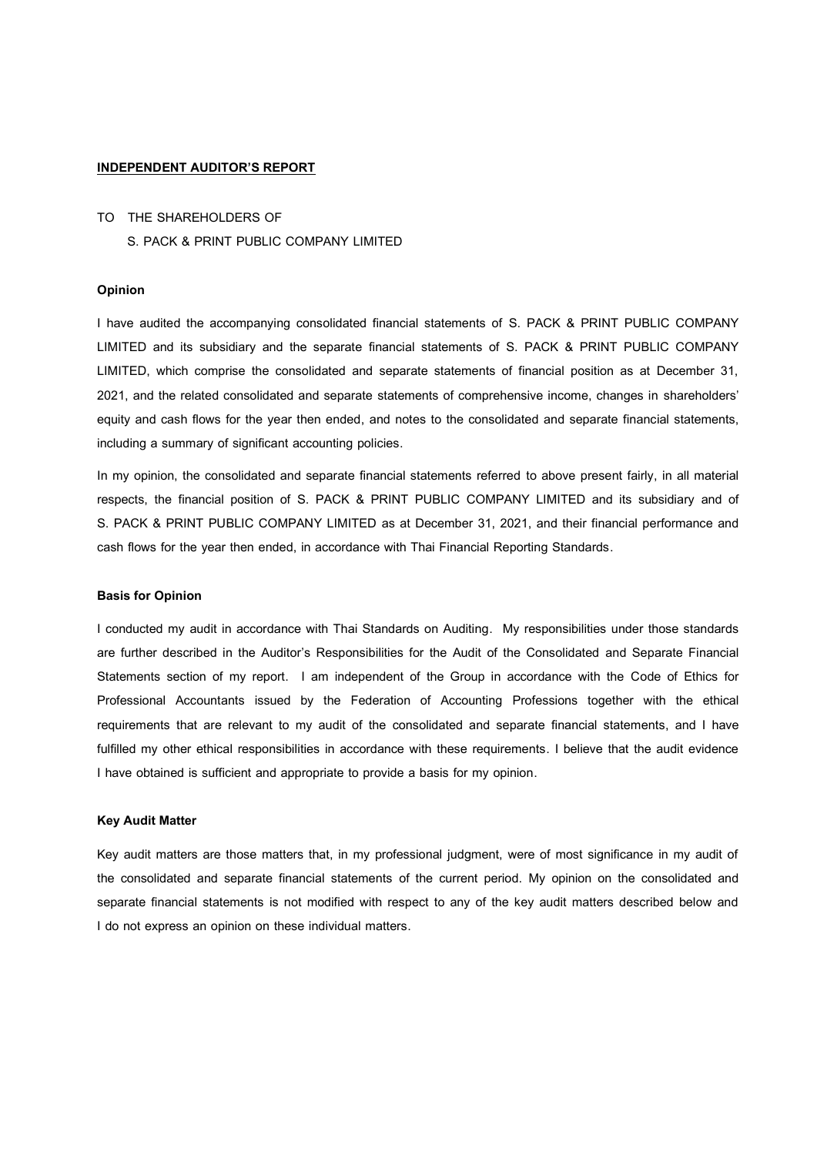#### **INDEPENDENT AUDITOR'S REPORT**

### TO THE SHAREHOLDERS OF

#### S. PACK & PRINT PUBLIC COMPANY LIMITED

### **Opinion**

I have audited the accompanying consolidated financial statements of S. PACK & PRINT PUBLIC COMPANY LIMITED and its subsidiary and the separate financial statements of S. PACK & PRINT PUBLIC COMPANY LIMITED, which comprise the consolidated and separate statements of financial position as at December 31, 2021, and the related consolidated and separate statements of comprehensive income, changes in shareholders' equity and cash flows for the year then ended, and notes to the consolidated and separate financial statements, including a summary of significant accounting policies.

In my opinion, the consolidated and separate financial statements referred to above present fairly, in all material respects, the financial position of S. PACK & PRINT PUBLIC COMPANY LIMITED and its subsidiary and of S. PACK & PRINT PUBLIC COMPANY LIMITED as at December 31, 2021, and their financial performance and cash flows for the year then ended, in accordance with Thai Financial Reporting Standards.

#### **Basis for Opinion**

I conducted my audit in accordance with Thai Standards on Auditing. My responsibilities under those standards are further described in the Auditor's Responsibilities for the Audit of the Consolidated and Separate Financial Statements section of my report. I am independent of the Group in accordance with the Code of Ethics for Professional Accountants issued by the Federation of Accounting Professions together with the ethical requirements that are relevant to my audit of the consolidated and separate financial statements, and I have fulfilled my other ethical responsibilities in accordance with these requirements. I believe that the audit evidence I have obtained is sufficient and appropriate to provide a basis for my opinion.

### **Key Audit Matter**

Key audit matters are those matters that, in my professional judgment, were of most significance in my audit of the consolidated and separate financial statements of the current period. My opinion on the consolidated and separate financial statements is not modified with respect to any of the key audit matters described below and I do not express an opinion on these individual matters.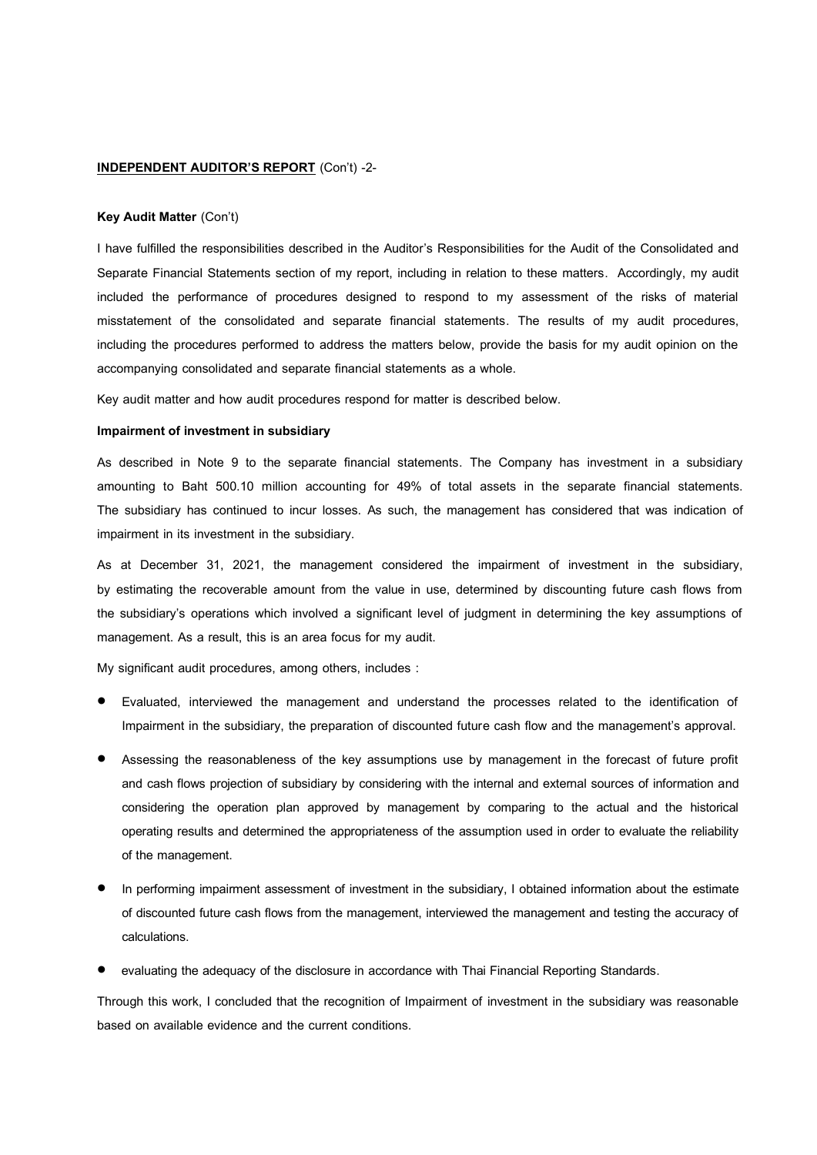#### **INDEPENDENT AUDITOR'S REPORT** (Con't) -2-

#### **Key Audit Matter** (Con't)

I have fulfilled the responsibilities described in the Auditor's Responsibilities for the Audit of the Consolidated and Separate Financial Statements section of my report, including in relation to these matters. Accordingly, my audit included the performance of procedures designed to respond to my assessment of the risks of material misstatement of the consolidated and separate financial statements. The results of my audit procedures, including the procedures performed to address the matters below, provide the basis for my audit opinion on the accompanying consolidated and separate financial statements as a whole.

Key audit matter and how audit procedures respond for matter is described below.

#### **Impairment of investment in subsidiary**

As described in Note 9 to the separate financial statements. The Company has investment in a subsidiary amounting to Baht 500.10 million accounting for 49% of total assets in the separate financial statements. The subsidiary has continued to incur losses. As such, the management has considered that was indication of impairment in its investment in the subsidiary.

As at December 31, 2021, the management considered the impairment of investment in the subsidiary, by estimating the recoverable amount from the value in use, determined by discounting future cash flows from the subsidiary's operations which involved a significant level of judgment in determining the key assumptions of management. As a result, this is an area focus for my audit.

My significant audit procedures, among others, includes :

- Evaluated, interviewed the management and understand the processes related to the identification of Impairment in the subsidiary, the preparation of discounted future cash flow and the management's approval.
- Assessing the reasonableness of the key assumptions use by management in the forecast of future profit and cash flows projection of subsidiary by considering with the internal and external sources of information and considering the operation plan approved by management by comparing to the actual and the historical operating results and determined the appropriateness of the assumption used in order to evaluate the reliability of the management.
- In performing impairment assessment of investment in the subsidiary, I obtained information about the estimate of discounted future cash flows from the management, interviewed the management and testing the accuracy of calculations.
- evaluating the adequacy of the disclosure in accordance with Thai Financial Reporting Standards.

Through this work, I concluded that the recognition of Impairment of investment in the subsidiary was reasonable based on available evidence and the current conditions.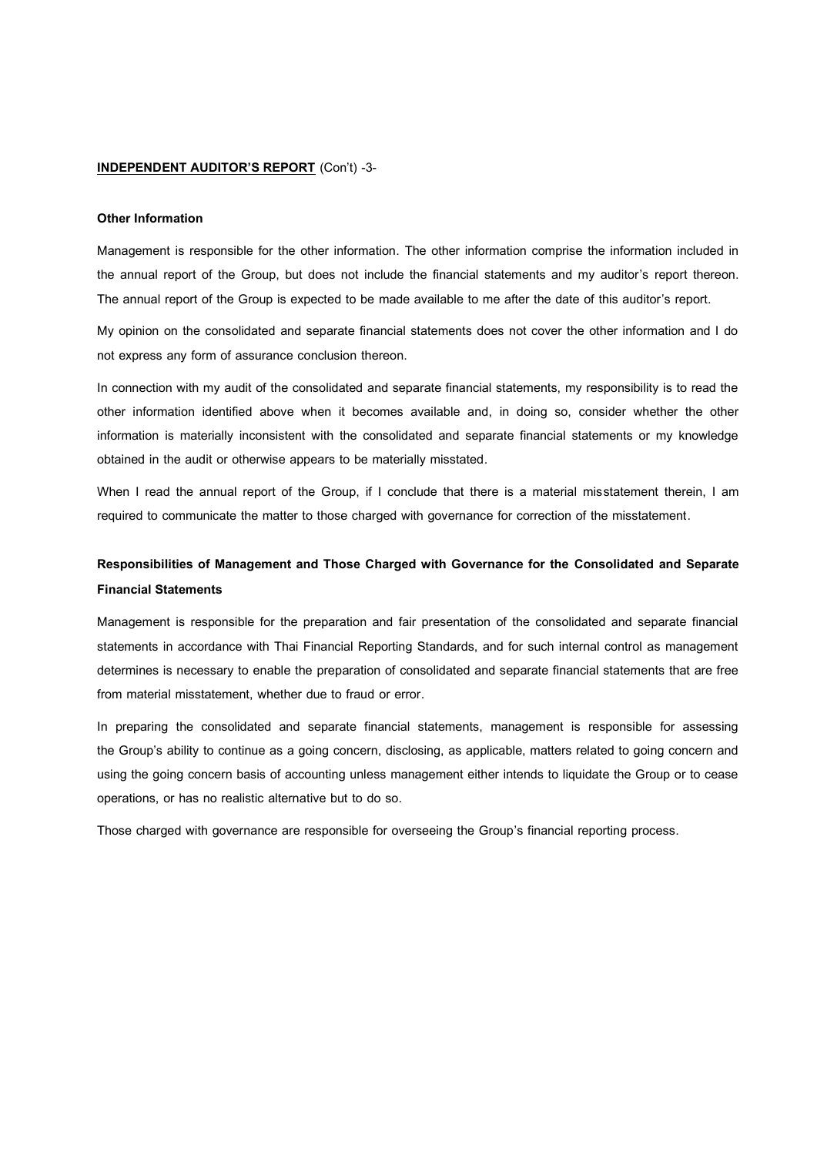#### **INDEPENDENT AUDITOR'S REPORT** (Con't) -3-

### **Other Information**

Management is responsible for the other information. The other information comprise the information included in the annual report of the Group, but does not include the financial statements and my auditor's report thereon. The annual report of the Group is expected to be made available to me after the date of this auditor's report.

My opinion on the consolidated and separate financial statements does not cover the other information and I do not express any form of assurance conclusion thereon.

In connection with my audit of the consolidated and separate financial statements, my responsibility is to read the other information identified above when it becomes available and, in doing so, consider whether the other information is materially inconsistent with the consolidated and separate financial statements or my knowledge obtained in the audit or otherwise appears to be materially misstated.

When I read the annual report of the Group, if I conclude that there is a material misstatement therein, I am required to communicate the matter to those charged with governance for correction of the misstatement.

# **Responsibilities of Management and Those Charged with Governance for the Consolidated and Separate Financial Statements**

Management is responsible for the preparation and fair presentation of the consolidated and separate financial statements in accordance with Thai Financial Reporting Standards, and for such internal control as management determines is necessary to enable the preparation of consolidated and separate financial statements that are free from material misstatement, whether due to fraud or error.

In preparing the consolidated and separate financial statements, management is responsible for assessing the Group's ability to continue as a going concern, disclosing, as applicable, matters related to going concern and using the going concern basis of accounting unless management either intends to liquidate the Group or to cease operations, or has no realistic alternative but to do so.

Those charged with governance are responsible for overseeing the Group's financial reporting process.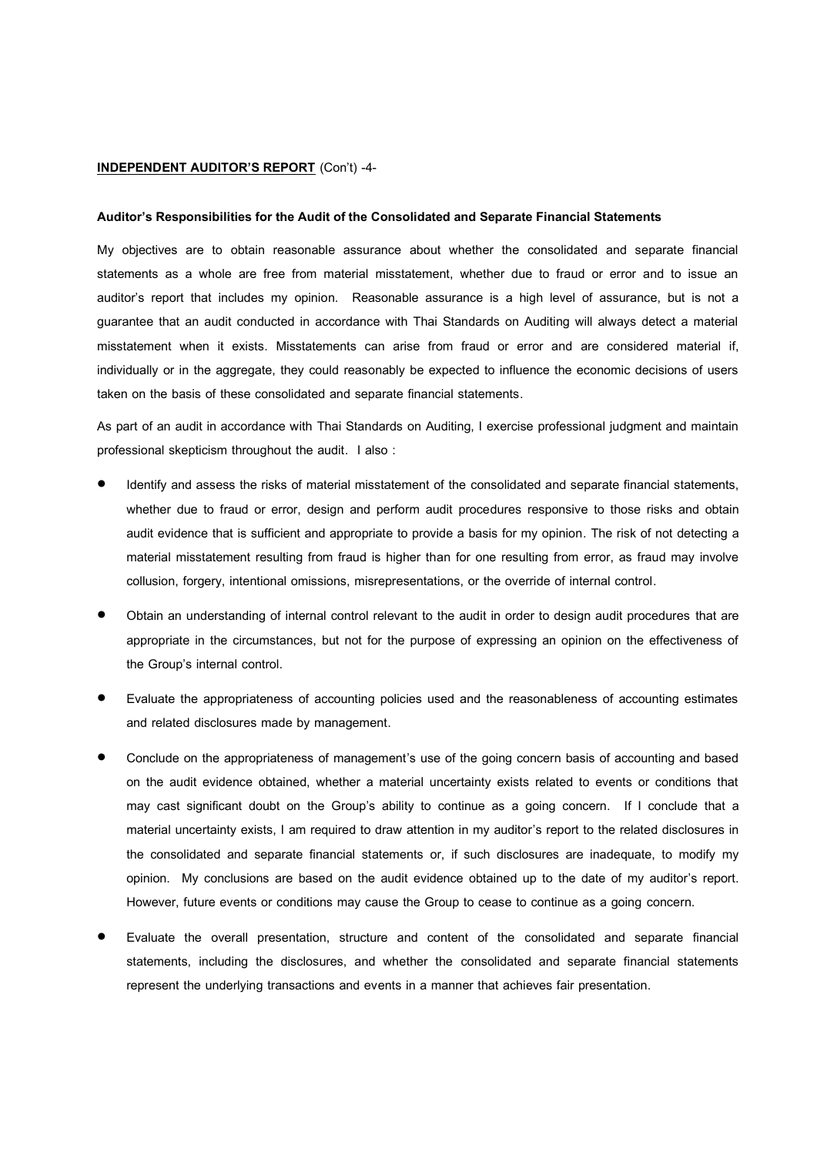#### **INDEPENDENT AUDITOR'S REPORT** (Con't) -4-

#### **Auditor's Responsibilities for the Audit of the Consolidated and Separate Financial Statements**

My objectives are to obtain reasonable assurance about whether the consolidated and separate financial statements as a whole are free from material misstatement, whether due to fraud or error and to issue an auditor's report that includes my opinion. Reasonable assurance is a high level of assurance, but is not a guarantee that an audit conducted in accordance with Thai Standards on Auditing will always detect a material misstatement when it exists. Misstatements can arise from fraud or error and are considered material if, individually or in the aggregate, they could reasonably be expected to influence the economic decisions of users taken on the basis of these consolidated and separate financial statements.

As part of an audit in accordance with Thai Standards on Auditing, I exercise professional judgment and maintain professional skepticism throughout the audit. I also :

- Identify and assess the risks of material misstatement of the consolidated and separate financial statements, whether due to fraud or error, design and perform audit procedures responsive to those risks and obtain audit evidence that is sufficient and appropriate to provide a basis for my opinion. The risk of not detecting a material misstatement resulting from fraud is higher than for one resulting from error, as fraud may involve collusion, forgery, intentional omissions, misrepresentations, or the override of internal control.
- Obtain an understanding of internal control relevant to the audit in order to design audit procedures that are appropriate in the circumstances, but not for the purpose of expressing an opinion on the effectiveness of the Group's internal control.
- Evaluate the appropriateness of accounting policies used and the reasonableness of accounting estimates and related disclosures made by management.
- Conclude on the appropriateness of management's use of the going concern basis of accounting and based on the audit evidence obtained, whether a material uncertainty exists related to events or conditions that may cast significant doubt on the Group's ability to continue as a going concern. If I conclude that a material uncertainty exists, I am required to draw attention in my auditor's report to the related disclosures in the consolidated and separate financial statements or, if such disclosures are inadequate, to modify my opinion. My conclusions are based on the audit evidence obtained up to the date of my auditor's report. However, future events or conditions may cause the Group to cease to continue as a going concern.
- Evaluate the overall presentation, structure and content of the consolidated and separate financial statements, including the disclosures, and whether the consolidated and separate financial statements represent the underlying transactions and events in a manner that achieves fair presentation.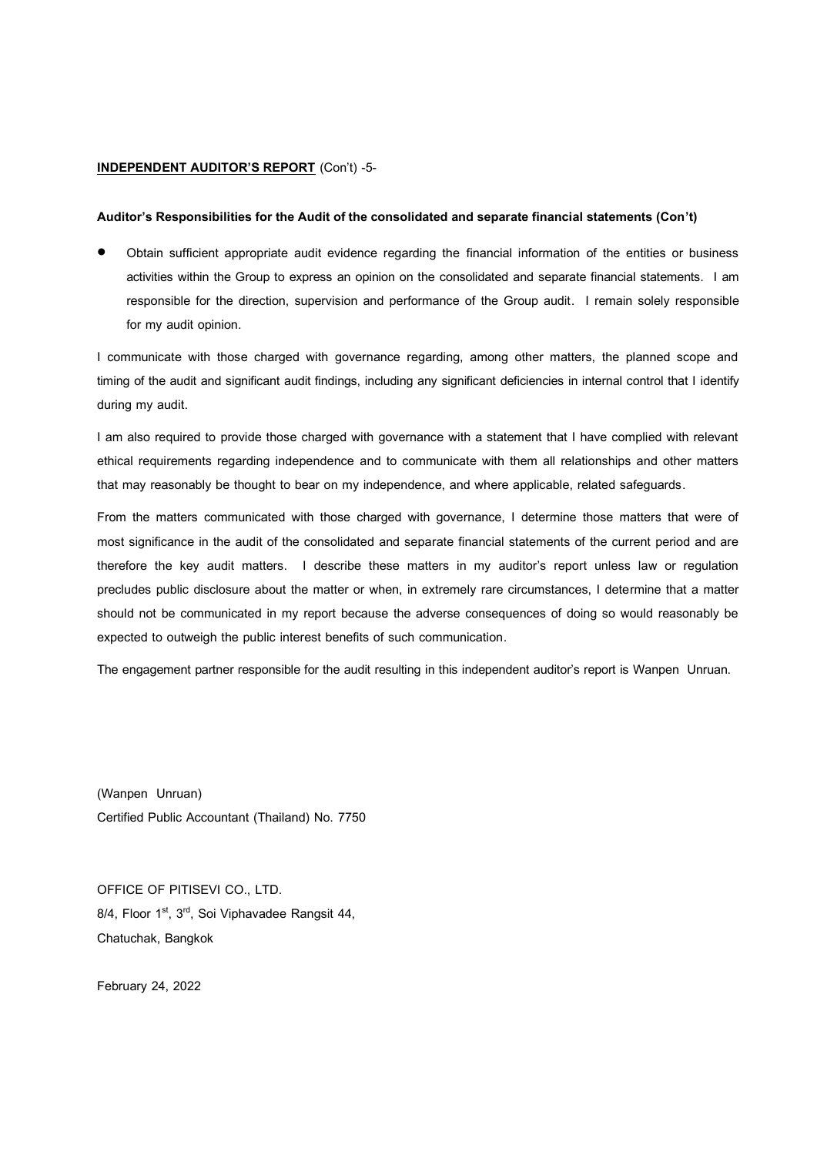#### **INDEPENDENT AUDITOR'S REPORT** (Con't) -5-

### **Auditor's Responsibilities for the Audit of the consolidated and separate financial statements (Con't)**

 Obtain sufficient appropriate audit evidence regarding the financial information of the entities or business activities within the Group to express an opinion on the consolidated and separate financial statements. I am responsible for the direction, supervision and performance of the Group audit. I remain solely responsible for my audit opinion.

I communicate with those charged with governance regarding, among other matters, the planned scope and timing of the audit and significant audit findings, including any significant deficiencies in internal control that I identify during my audit.

I am also required to provide those charged with governance with a statement that I have complied with relevant ethical requirements regarding independence and to communicate with them all relationships and other matters that may reasonably be thought to bear on my independence, and where applicable, related safeguards.

From the matters communicated with those charged with governance, I determine those matters that were of most significance in the audit of the consolidated and separate financial statements of the current period and are therefore the key audit matters. I describe these matters in my auditor's report unless law or regulation precludes public disclosure about the matter or when, in extremely rare circumstances, I determine that a matter should not be communicated in my report because the adverse consequences of doing so would reasonably be expected to outweigh the public interest benefits of such communication.

The engagement partner responsible for the audit resulting in this independent auditor's report is Wanpen Unruan.

(Wanpen Unruan) Certified Public Accountant (Thailand) No. 7750

OFFICE OF PITISEVI CO., LTD. 8/4, Floor 1<sup>st</sup>, 3<sup>rd</sup>, Soi Viphavadee Rangsit 44, Chatuchak, Bangkok

February 24, 2022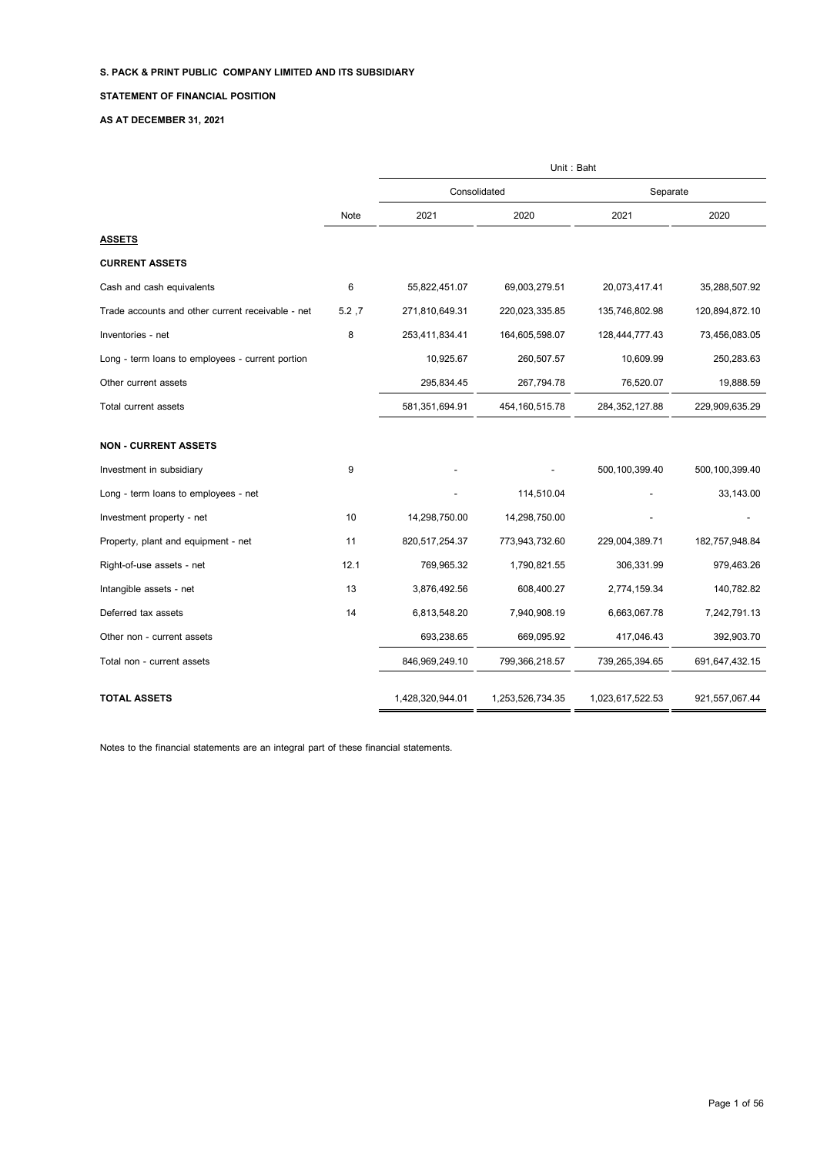#### **STATEMENT OF FINANCIAL POSITION**

**AS AT DECEMBER 31, 2021**

|                                                   |        | Unit: Baht       |                  |                  |                |  |
|---------------------------------------------------|--------|------------------|------------------|------------------|----------------|--|
|                                                   |        | Consolidated     |                  | Separate         |                |  |
|                                                   | Note   | 2021             | 2020             | 2021             | 2020           |  |
| <b>ASSETS</b>                                     |        |                  |                  |                  |                |  |
| <b>CURRENT ASSETS</b>                             |        |                  |                  |                  |                |  |
| Cash and cash equivalents                         | 6      | 55,822,451.07    | 69,003,279.51    | 20,073,417.41    | 35,288,507.92  |  |
| Trade accounts and other current receivable - net | 5.2, 7 | 271,810,649.31   | 220,023,335.85   | 135,746,802.98   | 120,894,872.10 |  |
| Inventories - net                                 | 8      | 253,411,834.41   | 164,605,598.07   | 128,444,777.43   | 73,456,083.05  |  |
| Long - term loans to employees - current portion  |        | 10,925.67        | 260,507.57       | 10,609.99        | 250,283.63     |  |
| Other current assets                              |        | 295,834.45       | 267,794.78       | 76,520.07        | 19,888.59      |  |
| Total current assets                              |        | 581,351,694.91   | 454, 160, 515.78 | 284, 352, 127.88 | 229,909,635.29 |  |
| <b>NON - CURRENT ASSETS</b>                       |        |                  |                  |                  |                |  |
| Investment in subsidiary                          | 9      |                  |                  | 500,100,399.40   | 500,100,399.40 |  |
| Long - term loans to employees - net              |        |                  | 114,510.04       |                  | 33,143.00      |  |
| Investment property - net                         | 10     | 14,298,750.00    | 14,298,750.00    |                  |                |  |
| Property, plant and equipment - net               | 11     | 820,517,254.37   | 773,943,732.60   | 229,004,389.71   | 182,757,948.84 |  |
| Right-of-use assets - net                         | 12.1   | 769,965.32       | 1,790,821.55     | 306,331.99       | 979,463.26     |  |
| Intangible assets - net                           | 13     | 3,876,492.56     | 608,400.27       | 2,774,159.34     | 140,782.82     |  |
| Deferred tax assets                               | 14     | 6,813,548.20     | 7,940,908.19     | 6,663,067.78     | 7,242,791.13   |  |
| Other non - current assets                        |        | 693,238.65       | 669,095.92       | 417,046.43       | 392,903.70     |  |
| Total non - current assets                        |        | 846,969,249.10   | 799,366,218.57   | 739,265,394.65   | 691,647,432.15 |  |
| <b>TOTAL ASSETS</b>                               |        | 1,428,320,944.01 | 1,253,526,734.35 | 1,023,617,522.53 | 921,557,067.44 |  |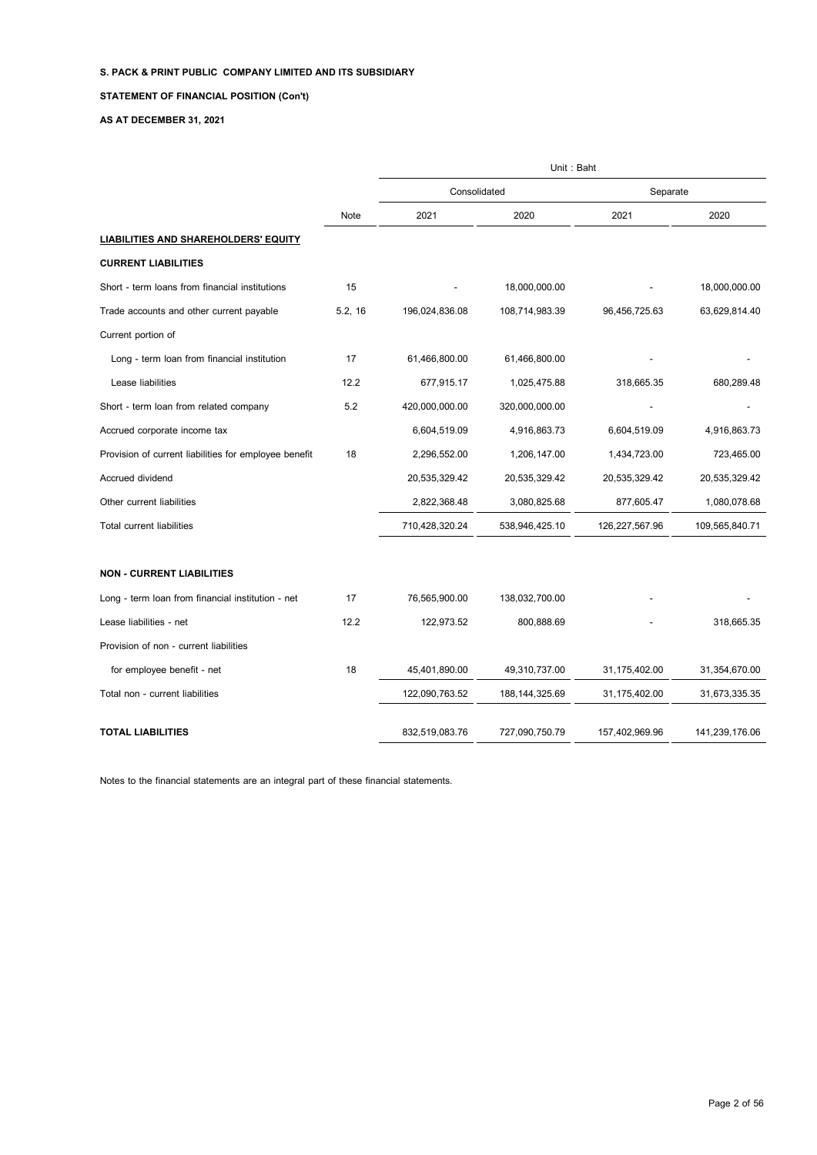#### **STATEMENT OF FINANCIAL POSITION (Con't)**

**AS AT DECEMBER 31, 2021**

|                                                       |         | Unit: Baht     |                  |                |                |  |  |
|-------------------------------------------------------|---------|----------------|------------------|----------------|----------------|--|--|
|                                                       |         | Consolidated   |                  | Separate       |                |  |  |
|                                                       | Note    | 2021           | 2020             | 2021           | 2020           |  |  |
| <b>LIABILITIES AND SHAREHOLDERS' EQUITY</b>           |         |                |                  |                |                |  |  |
| <b>CURRENT LIABILITIES</b>                            |         |                |                  |                |                |  |  |
| Short - term loans from financial institutions        | 15      |                | 18,000,000.00    |                | 18,000,000.00  |  |  |
| Trade accounts and other current payable              | 5.2, 16 | 196,024,836.08 | 108,714,983.39   | 96,456,725.63  | 63,629,814.40  |  |  |
| Current portion of                                    |         |                |                  |                |                |  |  |
| Long - term loan from financial institution           | 17      | 61,466,800.00  | 61,466,800.00    |                |                |  |  |
| Lease liabilities                                     | 12.2    | 677,915.17     | 1,025,475.88     | 318,665.35     | 680,289.48     |  |  |
| Short - term loan from related company                | 5.2     | 420,000,000.00 | 320,000,000.00   |                |                |  |  |
| Accrued corporate income tax                          |         | 6,604,519.09   | 4,916,863.73     | 6,604,519.09   | 4,916,863.73   |  |  |
| Provision of current liabilities for employee benefit | 18      | 2,296,552.00   | 1,206,147.00     | 1,434,723.00   | 723,465.00     |  |  |
| Accrued dividend                                      |         | 20,535,329.42  | 20,535,329.42    | 20,535,329.42  | 20,535,329.42  |  |  |
| Other current liabilities                             |         | 2,822,368.48   | 3,080,825.68     | 877,605.47     | 1,080,078.68   |  |  |
| <b>Total current liabilities</b>                      |         | 710,428,320.24 | 538,946,425.10   | 126,227,567.96 | 109,565,840.71 |  |  |
| <b>NON - CURRENT LIABILITIES</b>                      |         |                |                  |                |                |  |  |
| Long - term loan from financial institution - net     | 17      | 76,565,900.00  | 138,032,700.00   |                |                |  |  |
| Lease liabilities - net                               | 12.2    | 122,973.52     | 800,888.69       |                | 318,665.35     |  |  |
| Provision of non - current liabilities                |         |                |                  |                |                |  |  |
| for employee benefit - net                            | 18      | 45,401,890.00  | 49,310,737.00    | 31,175,402.00  | 31,354,670.00  |  |  |
| Total non - current liabilities                       |         | 122,090,763.52 | 188, 144, 325.69 | 31,175,402.00  | 31,673,335.35  |  |  |
| <b>TOTAL LIABILITIES</b>                              |         | 832,519,083.76 | 727,090,750.79   | 157,402,969.96 | 141,239,176.06 |  |  |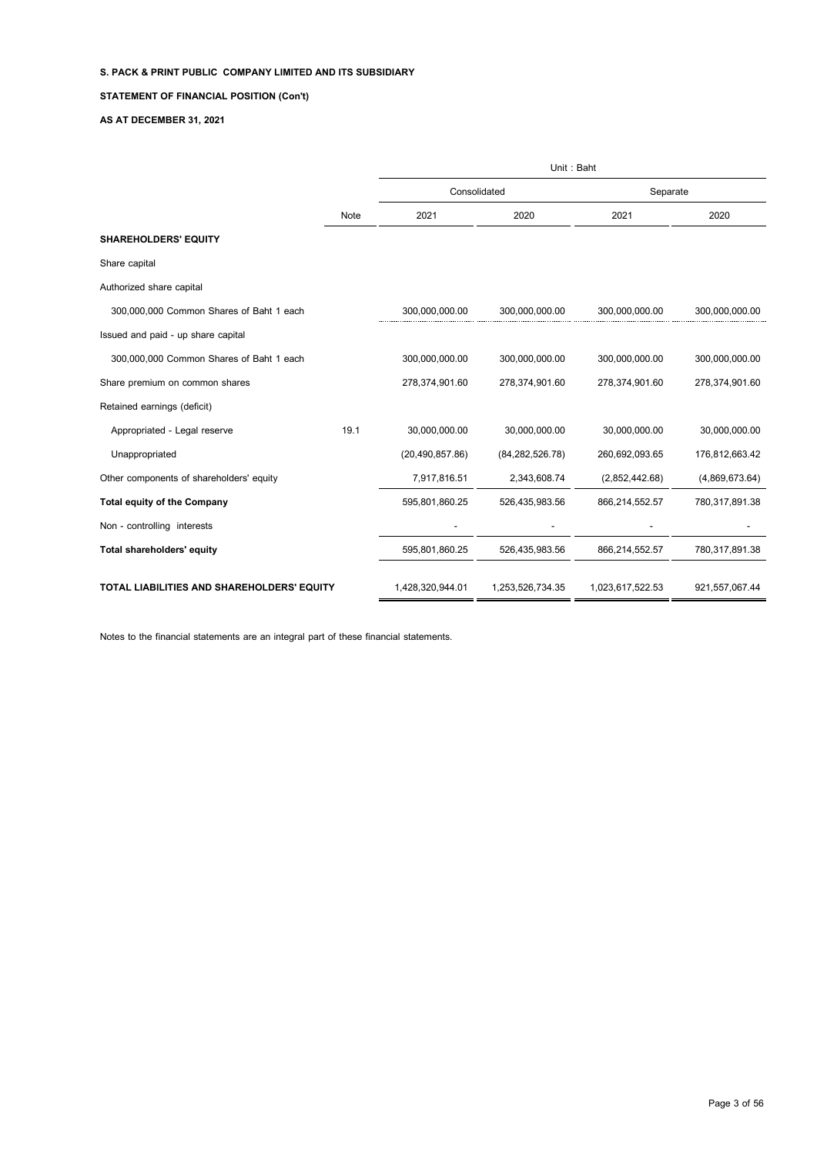#### **STATEMENT OF FINANCIAL POSITION (Con't)**

**AS AT DECEMBER 31, 2021**

|                                                   |      | Unit: Baht        |                   |                  |                |  |  |
|---------------------------------------------------|------|-------------------|-------------------|------------------|----------------|--|--|
|                                                   |      | Consolidated      |                   | Separate         |                |  |  |
|                                                   | Note | 2021              | 2020              | 2021             | 2020           |  |  |
| <b>SHAREHOLDERS' EQUITY</b>                       |      |                   |                   |                  |                |  |  |
| Share capital                                     |      |                   |                   |                  |                |  |  |
| Authorized share capital                          |      |                   |                   |                  |                |  |  |
| 300,000,000 Common Shares of Baht 1 each          |      | 300.000.000.00    | 300.000.000.00    | 300.000.000.00   | 300.000.000.00 |  |  |
| Issued and paid - up share capital                |      |                   |                   |                  |                |  |  |
| 300,000,000 Common Shares of Baht 1 each          |      | 300.000.000.00    | 300.000.000.00    | 300.000.000.00   | 300,000,000.00 |  |  |
| Share premium on common shares                    |      | 278,374,901.60    | 278,374,901.60    | 278,374,901.60   | 278,374,901.60 |  |  |
| Retained earnings (deficit)                       |      |                   |                   |                  |                |  |  |
| Appropriated - Legal reserve                      | 19.1 | 30,000,000.00     | 30,000,000.00     | 30,000,000.00    | 30,000,000.00  |  |  |
| Unappropriated                                    |      | (20, 490, 857.86) | (84, 282, 526.78) | 260,692,093.65   | 176,812,663.42 |  |  |
| Other components of shareholders' equity          |      | 7,917,816.51      | 2,343,608.74      | (2,852,442.68)   | (4,869,673.64) |  |  |
| <b>Total equity of the Company</b>                |      | 595,801,860.25    | 526,435,983.56    | 866,214,552.57   | 780,317,891.38 |  |  |
| Non - controlling interests                       |      |                   |                   |                  |                |  |  |
| Total shareholders' equity                        |      | 595,801,860.25    | 526,435,983.56    | 866,214,552.57   | 780,317,891.38 |  |  |
| <b>TOTAL LIABILITIES AND SHAREHOLDERS' EQUITY</b> |      | 1,428,320,944.01  | 1,253,526,734.35  | 1,023,617,522.53 | 921,557,067.44 |  |  |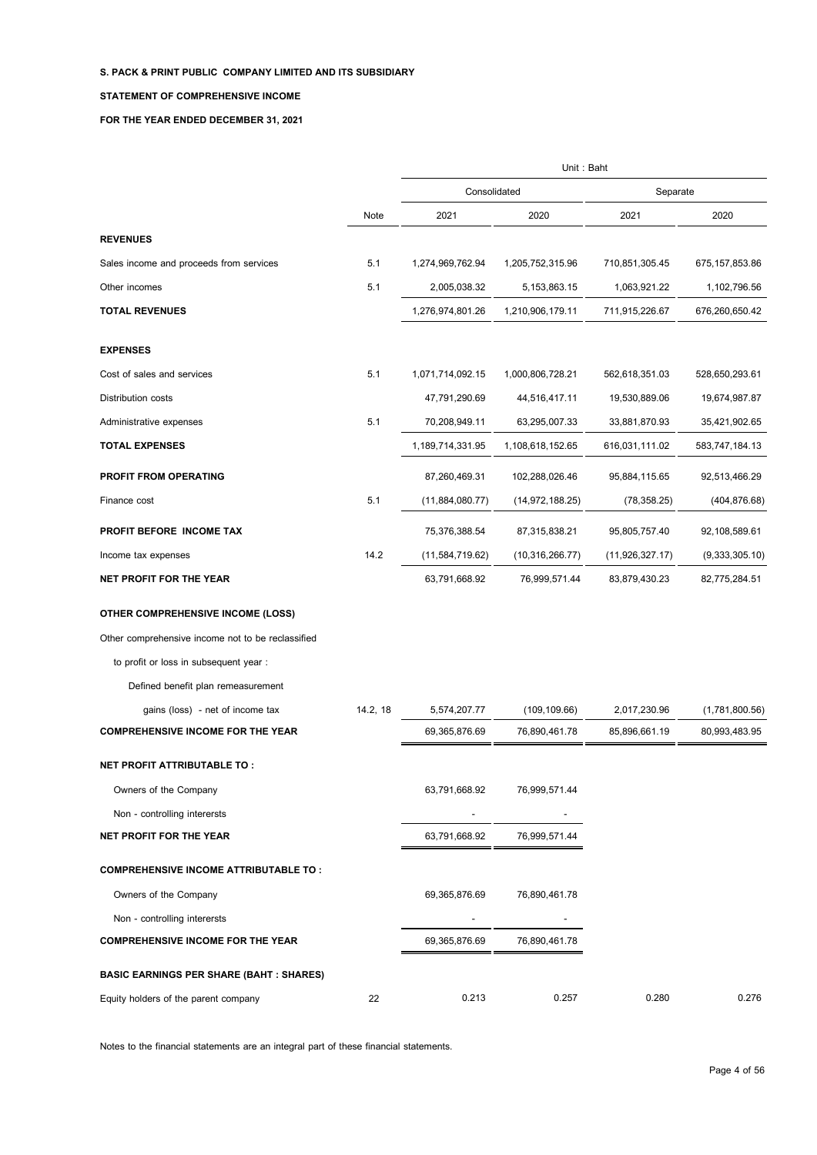#### **STATEMENT OF COMPREHENSIVE INCOME**

**FOR THE YEAR ENDED DECEMBER 31, 2021**

|                                                   |          | Unit: Baht        |                   |                   |                  |  |  |
|---------------------------------------------------|----------|-------------------|-------------------|-------------------|------------------|--|--|
|                                                   |          | Consolidated      |                   | Separate          |                  |  |  |
|                                                   | Note     | 2021              | 2020              | 2021              | 2020             |  |  |
| <b>REVENUES</b>                                   |          |                   |                   |                   |                  |  |  |
| Sales income and proceeds from services           | 5.1      | 1,274,969,762.94  | 1,205,752,315.96  | 710,851,305.45    | 675, 157, 853.86 |  |  |
| Other incomes                                     | 5.1      | 2,005,038.32      | 5, 153, 863. 15   | 1,063,921.22      | 1,102,796.56     |  |  |
| <b>TOTAL REVENUES</b>                             |          | 1,276,974,801.26  | 1,210,906,179.11  | 711,915,226.67    | 676,260,650.42   |  |  |
| <b>EXPENSES</b>                                   |          |                   |                   |                   |                  |  |  |
| Cost of sales and services                        | 5.1      | 1,071,714,092.15  | 1,000,806,728.21  | 562,618,351.03    | 528,650,293.61   |  |  |
| Distribution costs                                |          | 47,791,290.69     | 44,516,417.11     | 19,530,889.06     | 19,674,987.87    |  |  |
| Administrative expenses                           | 5.1      | 70,208,949.11     | 63,295,007.33     | 33,881,870.93     | 35,421,902.65    |  |  |
| <b>TOTAL EXPENSES</b>                             |          | 1,189,714,331.95  | 1,108,618,152.65  | 616,031,111.02    | 583,747,184.13   |  |  |
| <b>PROFIT FROM OPERATING</b>                      |          | 87,260,469.31     | 102,288,026.46    | 95,884,115.65     | 92,513,466.29    |  |  |
| Finance cost                                      | 5.1      | (11, 884, 080.77) | (14, 972, 188.25) | (78, 358.25)      | (404, 876.68)    |  |  |
| PROFIT BEFORE INCOME TAX                          |          | 75,376,388.54     | 87,315,838.21     | 95,805,757.40     | 92,108,589.61    |  |  |
| Income tax expenses                               | 14.2     | (11,584,719.62)   | (10, 316, 266.77) | (11, 926, 327.17) | (9,333,305.10)   |  |  |
| NET PROFIT FOR THE YEAR                           |          | 63,791,668.92     | 76,999,571.44     | 83,879,430.23     | 82,775,284.51    |  |  |
| <b>OTHER COMPREHENSIVE INCOME (LOSS)</b>          |          |                   |                   |                   |                  |  |  |
| Other comprehensive income not to be reclassified |          |                   |                   |                   |                  |  |  |
| to profit or loss in subsequent year :            |          |                   |                   |                   |                  |  |  |
| Defined benefit plan remeasurement                |          |                   |                   |                   |                  |  |  |
| gains (loss) - net of income tax                  | 14.2, 18 | 5,574,207.77      | (109, 109.66)     | 2,017,230.96      | (1,781,800.56)   |  |  |
| <b>COMPREHENSIVE INCOME FOR THE YEAR</b>          |          | 69,365,876.69     | 76,890,461.78     | 85,896,661.19     | 80,993,483.95    |  |  |
| <b>NET PROFIT ATTRIBUTABLE TO :</b>               |          |                   |                   |                   |                  |  |  |
| Owners of the Company                             |          | 63,791,668.92     | 76,999,571.44     |                   |                  |  |  |
| Non - controlling interersts                      |          |                   |                   |                   |                  |  |  |
| NET PROFIT FOR THE YEAR                           |          | 63,791,668.92     | 76,999,571.44     |                   |                  |  |  |
| <b>COMPREHENSIVE INCOME ATTRIBUTABLE TO :</b>     |          |                   |                   |                   |                  |  |  |
| Owners of the Company                             |          | 69,365,876.69     | 76,890,461.78     |                   |                  |  |  |
| Non - controlling interersts                      |          |                   |                   |                   |                  |  |  |
| <b>COMPREHENSIVE INCOME FOR THE YEAR</b>          |          | 69,365,876.69     | 76,890,461.78     |                   |                  |  |  |
| <b>BASIC EARNINGS PER SHARE (BAHT : SHARES)</b>   |          |                   |                   |                   |                  |  |  |
| Equity holders of the parent company              | 22       | 0.213             | 0.257             | 0.280             | 0.276            |  |  |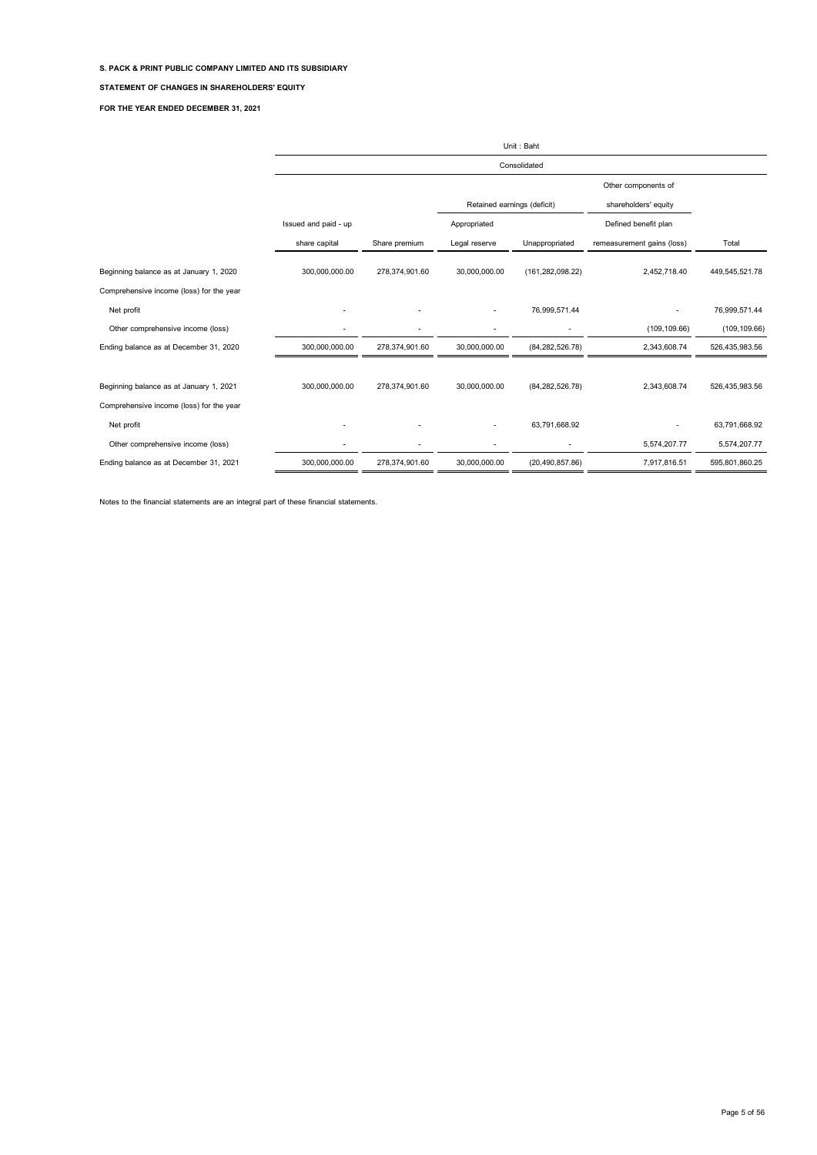#### **STATEMENT OF CHANGES IN SHAREHOLDERS' EQUITY**

**FOR THE YEAR ENDED DECEMBER 31, 2021**

|                                          | Unit: Baht           |                |                             |                    |                            |                |  |  |
|------------------------------------------|----------------------|----------------|-----------------------------|--------------------|----------------------------|----------------|--|--|
|                                          |                      | Consolidated   |                             |                    |                            |                |  |  |
|                                          |                      |                |                             |                    | Other components of        |                |  |  |
|                                          |                      |                | Retained earnings (deficit) |                    | shareholders' equity       |                |  |  |
|                                          | Issued and paid - up |                | Appropriated                |                    | Defined benefit plan       |                |  |  |
|                                          | share capital        | Share premium  | Legal reserve               | Unappropriated     | remeasurement gains (loss) | Total          |  |  |
| Beginning balance as at January 1, 2020  | 300,000,000.00       | 278,374,901.60 | 30,000,000.00               | (161, 282, 098.22) | 2,452,718.40               | 449,545,521.78 |  |  |
| Comprehensive income (loss) for the year |                      |                |                             |                    |                            |                |  |  |
| Net profit                               |                      |                | ٠                           | 76,999,571.44      | $\overline{\phantom{a}}$   | 76,999,571.44  |  |  |
| Other comprehensive income (loss)        |                      |                |                             |                    | (109, 109.66)              | (109, 109.66)  |  |  |
| Ending balance as at December 31, 2020   | 300,000,000.00       | 278,374,901.60 | 30,000,000.00               | (84, 282, 526.78)  | 2,343,608.74               | 526,435,983.56 |  |  |
|                                          |                      |                |                             |                    |                            |                |  |  |
| Beginning balance as at January 1, 2021  | 300,000,000.00       | 278,374,901.60 | 30,000,000.00               | (84, 282, 526.78)  | 2,343,608.74               | 526,435,983.56 |  |  |
| Comprehensive income (loss) for the year |                      |                |                             |                    |                            |                |  |  |
| Net profit                               |                      |                |                             | 63,791,668.92      |                            | 63,791,668.92  |  |  |
| Other comprehensive income (loss)        |                      |                | ٠                           |                    | 5,574,207.77               | 5,574,207.77   |  |  |
| Ending balance as at December 31, 2021   | 300,000,000.00       | 278,374,901.60 | 30,000,000.00               | (20, 490, 857.86)  | 7,917,816.51               | 595,801,860.25 |  |  |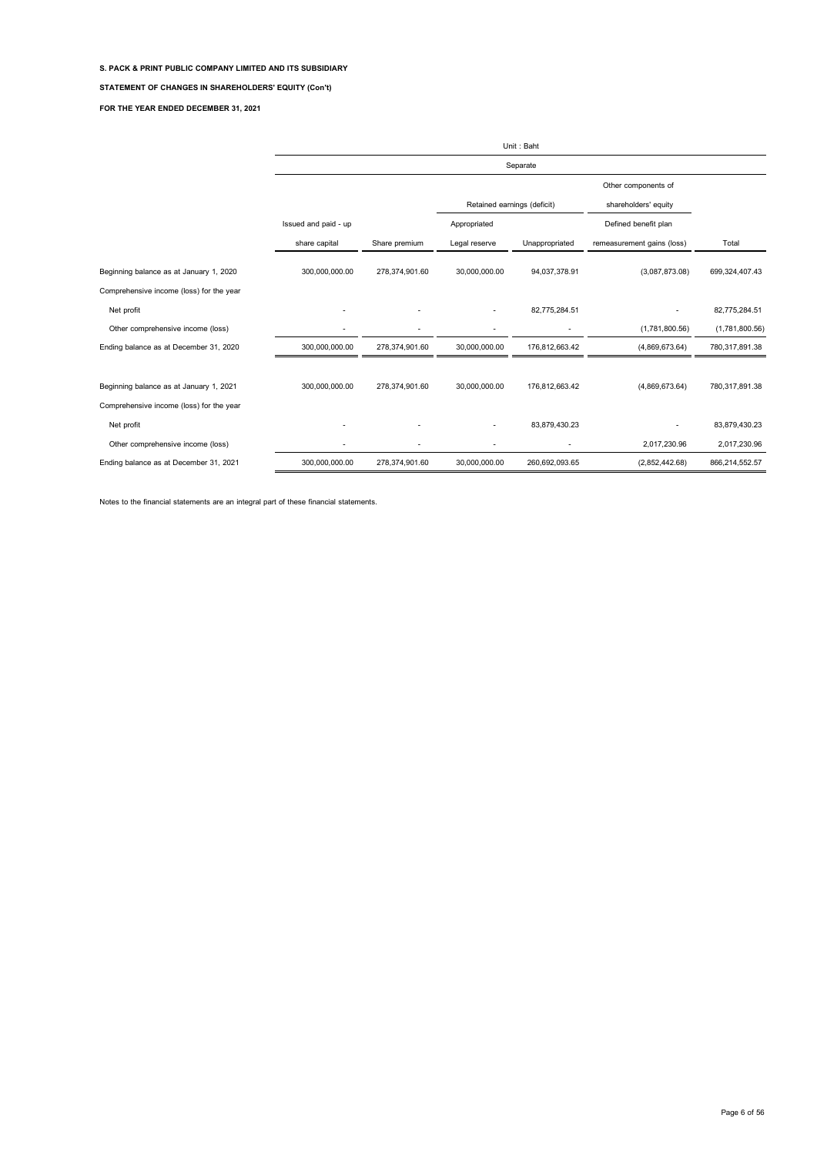#### **STATEMENT OF CHANGES IN SHAREHOLDERS' EQUITY (Con't)**

**FOR THE YEAR ENDED DECEMBER 31, 2021**

|                                          |                      | Unit: Baht     |                             |                |                            |                |  |  |
|------------------------------------------|----------------------|----------------|-----------------------------|----------------|----------------------------|----------------|--|--|
|                                          |                      | Separate       |                             |                |                            |                |  |  |
|                                          |                      |                |                             |                | Other components of        |                |  |  |
|                                          |                      |                | Retained earnings (deficit) |                | shareholders' equity       |                |  |  |
|                                          | Issued and paid - up |                | Appropriated                |                | Defined benefit plan       |                |  |  |
|                                          | share capital        | Share premium  | Legal reserve               | Unappropriated | remeasurement gains (loss) | Total          |  |  |
| Beginning balance as at January 1, 2020  | 300,000,000.00       | 278,374,901.60 | 30,000,000.00               | 94,037,378.91  | (3,087,873.08)             | 699,324,407.43 |  |  |
| Comprehensive income (loss) for the year |                      |                |                             |                |                            |                |  |  |
| Net profit                               |                      |                | ٠                           | 82,775,284.51  |                            | 82,775,284.51  |  |  |
| Other comprehensive income (loss)        |                      |                |                             |                | (1,781,800.56)             | (1,781,800.56) |  |  |
| Ending balance as at December 31, 2020   | 300,000,000.00       | 278,374,901.60 | 30,000,000.00               | 176,812,663.42 | (4,869,673.64)             | 780,317,891.38 |  |  |
|                                          |                      |                |                             |                |                            |                |  |  |
| Beginning balance as at January 1, 2021  | 300,000,000.00       | 278,374,901.60 | 30,000,000.00               | 176,812,663.42 | (4,869,673.64)             | 780,317,891.38 |  |  |
| Comprehensive income (loss) for the year |                      |                |                             |                |                            |                |  |  |
| Net profit                               |                      |                |                             | 83,879,430.23  |                            | 83,879,430.23  |  |  |
| Other comprehensive income (loss)        | ٠                    |                | ٠                           | ٠              | 2,017,230.96               | 2,017,230.96   |  |  |
| Ending balance as at December 31, 2021   | 300,000,000.00       | 278,374,901.60 | 30,000,000.00               | 260,692,093.65 | (2,852,442.68)             | 866,214,552.57 |  |  |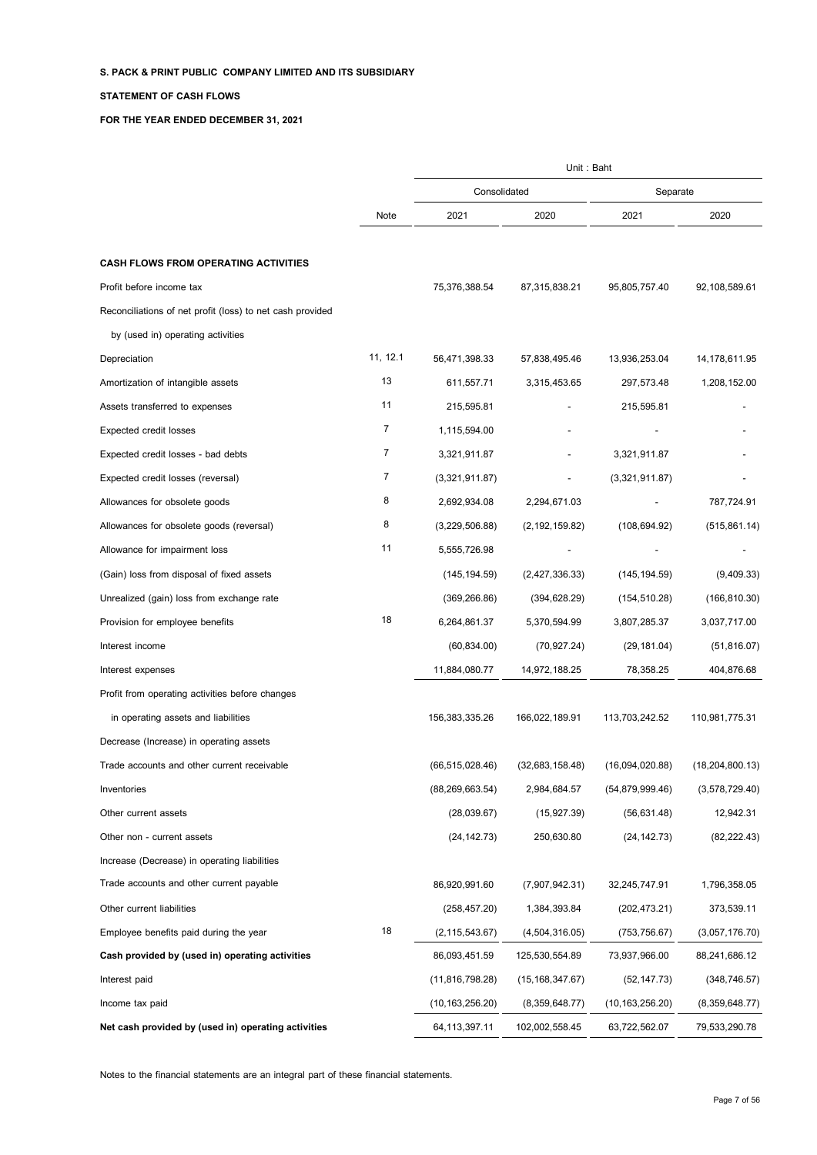#### **STATEMENT OF CASH FLOWS**

#### **FOR THE YEAR ENDED DECEMBER 31, 2021**

|                                                           |          | Unit: Baht        |                   |                   |                   |  |
|-----------------------------------------------------------|----------|-------------------|-------------------|-------------------|-------------------|--|
|                                                           |          | Consolidated      |                   | Separate          |                   |  |
|                                                           | Note     | 2021              | 2020              | 2021              | 2020              |  |
| <b>CASH FLOWS FROM OPERATING ACTIVITIES</b>               |          |                   |                   |                   |                   |  |
| Profit before income tax                                  |          | 75,376,388.54     | 87,315,838.21     | 95,805,757.40     | 92,108,589.61     |  |
| Reconciliations of net profit (loss) to net cash provided |          |                   |                   |                   |                   |  |
| by (used in) operating activities                         |          |                   |                   |                   |                   |  |
| Depreciation                                              | 11, 12.1 | 56,471,398.33     | 57,838,495.46     | 13,936,253.04     | 14,178,611.95     |  |
| Amortization of intangible assets                         | 13       | 611,557.71        | 3,315,453.65      | 297,573.48        | 1,208,152.00      |  |
| Assets transferred to expenses                            | 11       | 215,595.81        |                   | 215,595.81        |                   |  |
| <b>Expected credit losses</b>                             | 7        | 1,115,594.00      |                   |                   |                   |  |
| Expected credit losses - bad debts                        | 7        | 3,321,911.87      |                   | 3,321,911.87      |                   |  |
| Expected credit losses (reversal)                         | 7        | (3,321,911.87)    |                   | (3,321,911.87)    |                   |  |
| Allowances for obsolete goods                             | 8        | 2,692,934.08      | 2,294,671.03      |                   | 787,724.91        |  |
| Allowances for obsolete goods (reversal)                  | 8        | (3,229,506.88)    | (2, 192, 159.82)  | (108, 694.92)     | (515, 861.14)     |  |
| Allowance for impairment loss                             | 11       | 5,555,726.98      |                   |                   |                   |  |
| (Gain) loss from disposal of fixed assets                 |          | (145, 194.59)     | (2,427,336.33)    | (145, 194.59)     | (9,409.33)        |  |
| Unrealized (gain) loss from exchange rate                 |          | (369, 266.86)     | (394, 628.29)     | (154, 510.28)     | (166, 810.30)     |  |
| Provision for employee benefits                           | 18       | 6,264,861.37      | 5,370,594.99      | 3,807,285.37      | 3,037,717.00      |  |
| Interest income                                           |          | (60, 834.00)      | (70, 927.24)      | (29, 181.04)      | (51, 816.07)      |  |
| Interest expenses                                         |          | 11,884,080.77     | 14,972,188.25     | 78,358.25         | 404,876.68        |  |
| Profit from operating activities before changes           |          |                   |                   |                   |                   |  |
| in operating assets and liabilities                       |          | 156,383,335.26    | 166,022,189.91    | 113,703,242.52    | 110,981,775.31    |  |
| Decrease (Increase) in operating assets                   |          |                   |                   |                   |                   |  |
| Trade accounts and other current receivable               |          | (66, 515, 028.46) | (32,683,158.48)   | (16,094,020.88)   | (18, 204, 800.13) |  |
| Inventories                                               |          | (88, 269, 663.54) | 2,984,684.57      | (54, 879, 999.46) | (3,578,729.40)    |  |
| Other current assets                                      |          | (28,039.67)       | (15, 927.39)      | (56, 631.48)      | 12,942.31         |  |
| Other non - current assets                                |          | (24, 142.73)      | 250,630.80        | (24, 142.73)      | (82, 222.43)      |  |
| Increase (Decrease) in operating liabilities              |          |                   |                   |                   |                   |  |
| Trade accounts and other current payable                  |          | 86,920,991.60     | (7,907,942.31)    | 32,245,747.91     | 1,796,358.05      |  |
| Other current liabilities                                 |          | (258, 457.20)     | 1,384,393.84      | (202, 473.21)     | 373,539.11        |  |
| Employee benefits paid during the year                    | 18       | (2, 115, 543.67)  | (4,504,316.05)    | (753, 756.67)     | (3,057,176.70)    |  |
| Cash provided by (used in) operating activities           |          | 86,093,451.59     | 125,530,554.89    | 73,937,966.00     | 88,241,686.12     |  |
| Interest paid                                             |          | (11, 816, 798.28) | (15, 168, 347.67) | (52, 147.73)      | (348,746.57)      |  |
| Income tax paid                                           |          | (10, 163, 256.20) | (8,359,648.77)    | (10, 163, 256.20) | (8,359,648.77)    |  |
| Net cash provided by (used in) operating activities       |          | 64,113,397.11     | 102,002,558.45    | 63,722,562.07     | 79,533,290.78     |  |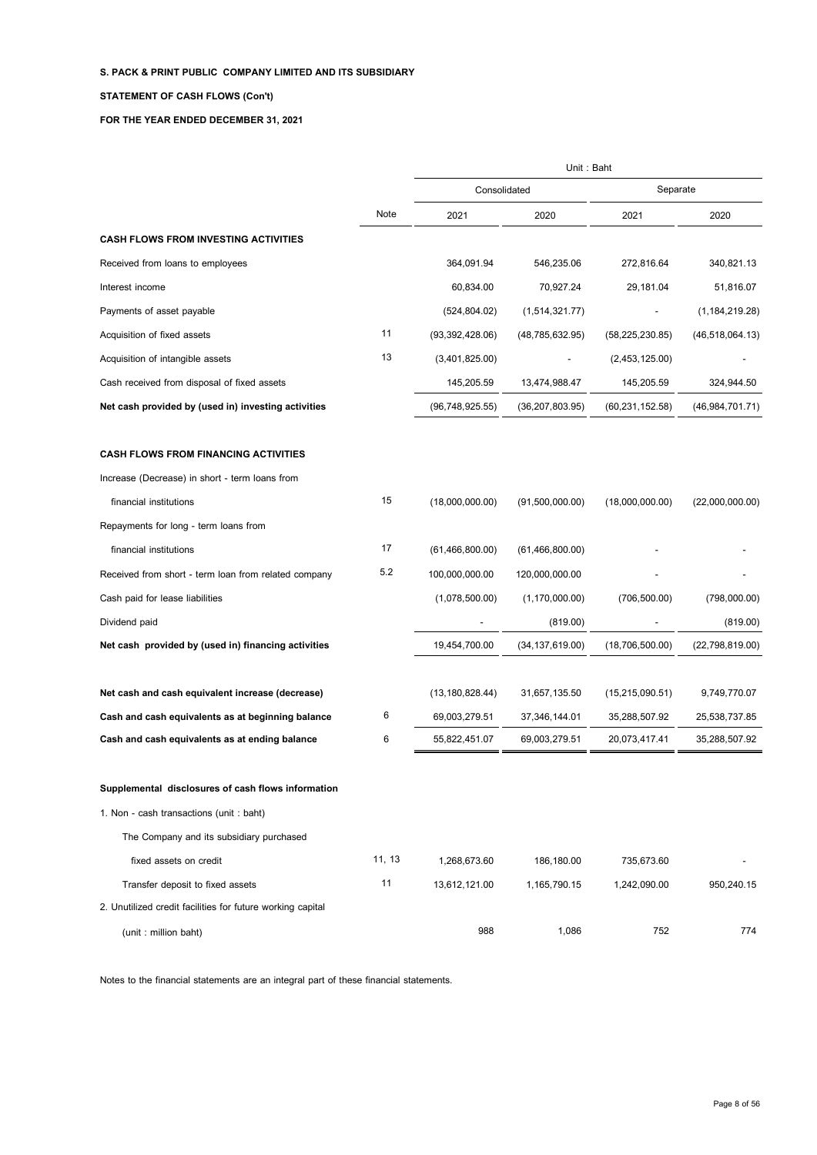#### **STATEMENT OF CASH FLOWS (Con't)**

### **FOR THE YEAR ENDED DECEMBER 31, 2021**

|                                                            |        | Unit: Baht        |                   |                   |                   |  |
|------------------------------------------------------------|--------|-------------------|-------------------|-------------------|-------------------|--|
|                                                            |        | Consolidated      |                   | Separate          |                   |  |
|                                                            | Note   | 2021              | 2020              | 2021              | 2020              |  |
| <b>CASH FLOWS FROM INVESTING ACTIVITIES</b>                |        |                   |                   |                   |                   |  |
| Received from loans to employees                           |        | 364,091.94        | 546,235.06        | 272,816.64        | 340,821.13        |  |
| Interest income                                            |        | 60,834.00         | 70,927.24         | 29,181.04         | 51,816.07         |  |
| Payments of asset payable                                  |        | (524, 804.02)     | (1,514,321.77)    |                   | (1, 184, 219.28)  |  |
| Acquisition of fixed assets                                | 11     | (93, 392, 428.06) | (48, 785, 632.95) | (58, 225, 230.85) | (46, 518, 064.13) |  |
| Acquisition of intangible assets                           | 13     | (3,401,825.00)    |                   | (2,453,125.00)    |                   |  |
| Cash received from disposal of fixed assets                |        | 145,205.59        | 13,474,988.47     | 145,205.59        | 324,944.50        |  |
| Net cash provided by (used in) investing activities        |        | (96, 748, 925.55) | (36, 207, 803.95) | (60, 231, 152.58) | (46,984,701.71)   |  |
| <b>CASH FLOWS FROM FINANCING ACTIVITIES</b>                |        |                   |                   |                   |                   |  |
| Increase (Decrease) in short - term loans from             |        |                   |                   |                   |                   |  |
| financial institutions                                     | 15     | (18,000,000.00)   | (91,500,000.00)   | (18,000,000.00)   | (22,000,000.00)   |  |
| Repayments for long - term loans from                      |        |                   |                   |                   |                   |  |
| financial institutions                                     | 17     | (61, 466, 800.00) | (61, 466, 800.00) |                   |                   |  |
| Received from short - term loan from related company       | 5.2    | 100,000,000.00    | 120,000,000.00    |                   |                   |  |
| Cash paid for lease liabilities                            |        | (1,078,500.00)    | (1, 170, 000.00)  | (706, 500.00)     | (798,000.00)      |  |
| Dividend paid                                              |        |                   | (819.00)          |                   | (819.00)          |  |
| Net cash provided by (used in) financing activities        |        | 19,454,700.00     | (34, 137, 619.00) | (18,706,500.00)   | (22, 798, 819.00) |  |
| Net cash and cash equivalent increase (decrease)           |        | (13, 180, 828.44) | 31,657,135.50     | (15, 215, 090.51) | 9,749,770.07      |  |
| Cash and cash equivalents as at beginning balance          | 6      | 69,003,279.51     | 37,346,144.01     | 35,288,507.92     | 25,538,737.85     |  |
| Cash and cash equivalents as at ending balance             | 6      | 55,822,451.07     | 69,003,279.51     | 20,073,417.41     | 35,288,507.92     |  |
| Supplemental disclosures of cash flows information         |        |                   |                   |                   |                   |  |
| 1. Non - cash transactions (unit : baht)                   |        |                   |                   |                   |                   |  |
| The Company and its subsidiary purchased                   |        |                   |                   |                   |                   |  |
| fixed assets on credit                                     | 11, 13 | 1,268,673.60      | 186,180.00        | 735,673.60        |                   |  |
| Transfer deposit to fixed assets                           | 11     | 13,612,121.00     | 1,165,790.15      | 1,242,090.00      | 950,240.15        |  |
| 2. Unutilized credit facilities for future working capital |        |                   |                   |                   |                   |  |
| (unit: million baht)                                       |        | 988               | 1,086             | 752               | 774               |  |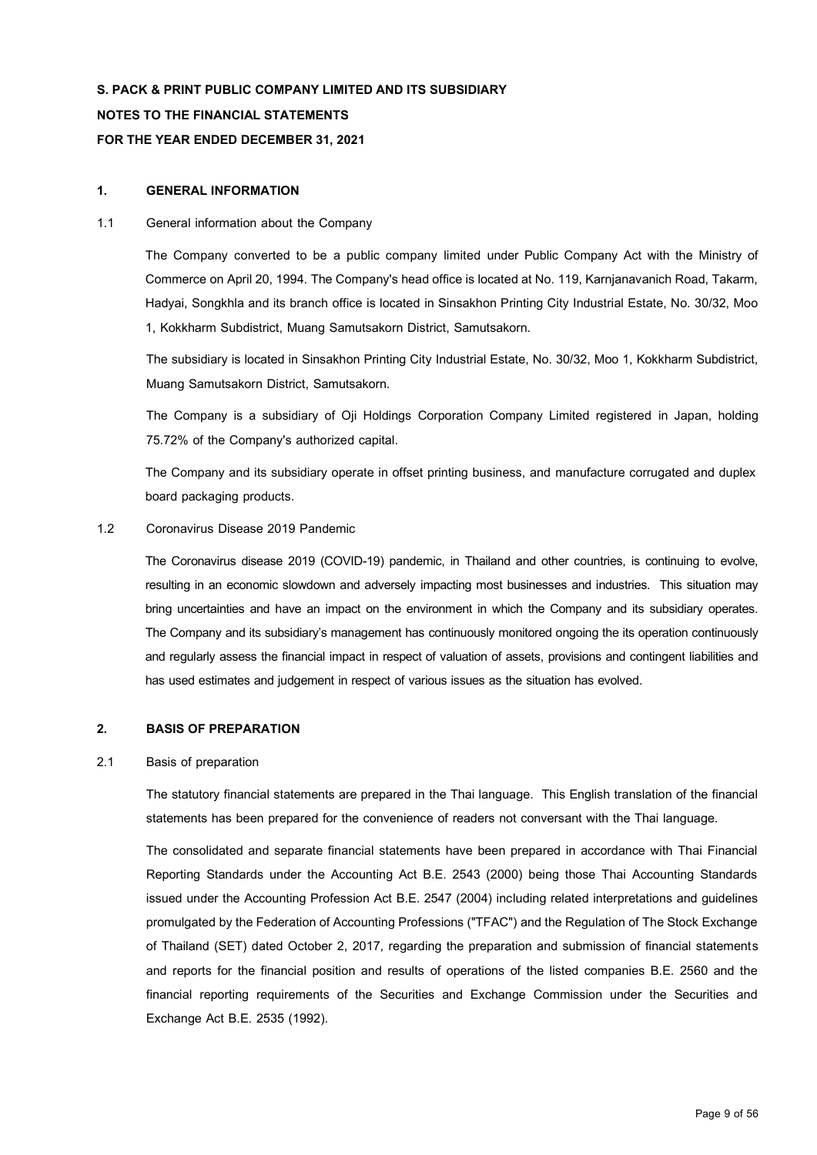# **S. PACK & PRINT PUBLIC COMPANY LIMITED AND ITS SUBSIDIARY NOTES TO THE FINANCIAL STATEMENTS FOR THE YEAR ENDED DECEMBER 31, 2021**

# **1. GENERAL INFORMATION**

### 1.1 General information about the Company

The Company converted to be a public company limited under Public Company Act with the Ministry of Commerce on April 20, 1994. The Company's head office is located at No. 119, Karnjanavanich Road, Takarm, Hadyai, Songkhla and its branch office is located in Sinsakhon Printing City Industrial Estate, No. 30/32, Moo 1, Kokkharm Subdistrict, Muang Samutsakorn District, Samutsakorn.

The subsidiary is located in Sinsakhon Printing City Industrial Estate, No. 30/32, Moo 1, Kokkharm Subdistrict, Muang Samutsakorn District, Samutsakorn.

The Company is a subsidiary of Oji Holdings Corporation Company Limited registered in Japan, holding 75.72% of the Company's authorized capital.

The Company and its subsidiary operate in offset printing business, and manufacture corrugated and duplex board packaging products.

### 1.2 Coronavirus Disease 2019 Pandemic

The Coronavirus disease 2019 (COVID-19) pandemic, in Thailand and other countries, is continuing to evolve, resulting in an economic slowdown and adversely impacting most businesses and industries. This situation may bring uncertainties and have an impact on the environment in which the Company and its subsidiary operates. The Company and its subsidiary's management has continuously monitored ongoing the its operation continuously and regularly assess the financial impact in respect of valuation of assets, provisions and contingent liabilities and has used estimates and judgement in respect of various issues as the situation has evolved.

# **2. BASIS OF PREPARATION**

# 2.1 Basis of preparation

The statutory financial statements are prepared in the Thai language. This English translation of the financial statements has been prepared for the convenience of readers not conversant with the Thai language.

The consolidated and separate financial statements have been prepared in accordance with Thai Financial Reporting Standards under the Accounting Act B.E. 2543 (2000) being those Thai Accounting Standards issued under the Accounting Profession Act B.E. 2547 (2004) including related interpretations and guidelines promulgated by the Federation of Accounting Professions ("TFAC") and the Regulation of The Stock Exchange of Thailand (SET) dated October 2, 2017, regarding the preparation and submission of financial statements and reports for the financial position and results of operations of the listed companies B.E. 2560 and the financial reporting requirements of the Securities and Exchange Commission under the Securities and Exchange Act B.E. 2535 (1992).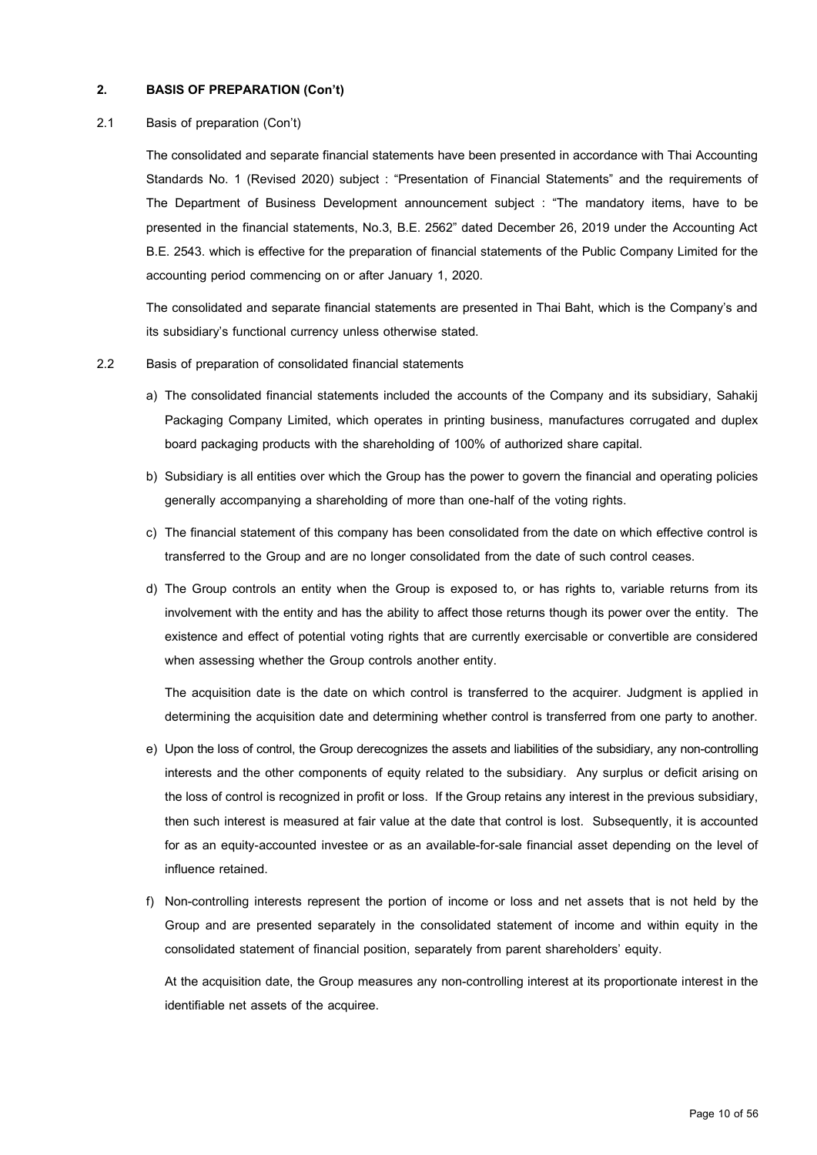## **2. BASIS OF PREPARATION (Con't)**

### 2.1 Basis of preparation (Con't)

The consolidated and separate financial statements have been presented in accordance with Thai Accounting Standards No. 1 (Revised 2020) subject : "Presentation of Financial Statements" and the requirements of The Department of Business Development announcement subject : "The mandatory items, have to be presented in the financial statements, No.3, B.E. 2562" dated December 26, 2019 under the Accounting Act B.E. 2543. which is effective for the preparation of financial statements of the Public Company Limited for the accounting period commencing on or after January 1, 2020.

The consolidated and separate financial statements are presented in Thai Baht, which is the Company's and its subsidiary's functional currency unless otherwise stated.

- 2.2 Basis of preparation of consolidated financial statements
	- a) The consolidated financial statements included the accounts of the Company and its subsidiary, Sahakij Packaging Company Limited, which operates in printing business, manufactures corrugated and duplex board packaging products with the shareholding of 100% of authorized share capital.
	- b) Subsidiary is all entities over which the Group has the power to govern the financial and operating policies generally accompanying a shareholding of more than one-half of the voting rights.
	- c) The financial statement of this company has been consolidated from the date on which effective control is transferred to the Group and are no longer consolidated from the date of such control ceases.
	- d) The Group controls an entity when the Group is exposed to, or has rights to, variable returns from its involvement with the entity and has the ability to affect those returns though its power over the entity. The existence and effect of potential voting rights that are currently exercisable or convertible are considered when assessing whether the Group controls another entity.

The acquisition date is the date on which control is transferred to the acquirer. Judgment is applied in determining the acquisition date and determining whether control is transferred from one party to another.

- e) Upon the loss of control, the Group derecognizes the assets and liabilities of the subsidiary, any non-controlling interests and the other components of equity related to the subsidiary. Any surplus or deficit arising on the loss of control is recognized in profit or loss. If the Group retains any interest in the previous subsidiary, then such interest is measured at fair value at the date that control is lost. Subsequently, it is accounted for as an equity-accounted investee or as an available-for-sale financial asset depending on the level of influence retained.
- f) Non-controlling interests represent the portion of income or loss and net assets that is not held by the Group and are presented separately in the consolidated statement of income and within equity in the consolidated statement of financial position, separately from parent shareholders' equity.

At the acquisition date, the Group measures any non-controlling interest at its proportionate interest in the identifiable net assets of the acquiree.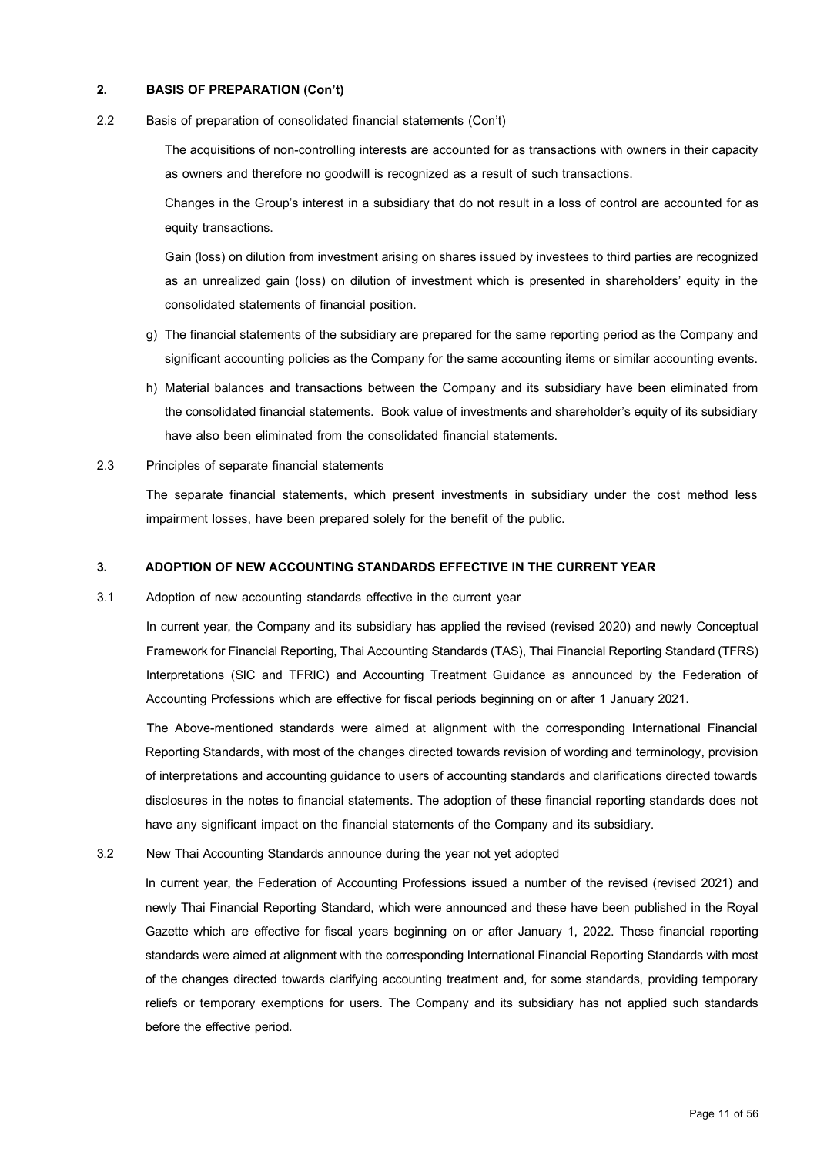## **2. BASIS OF PREPARATION (Con't)**

2.2 Basis of preparation of consolidated financial statements (Con't)

The acquisitions of non-controlling interests are accounted for as transactions with owners in their capacity as owners and therefore no goodwill is recognized as a result of such transactions.

Changes in the Group's interest in a subsidiary that do not result in a loss of control are accounted for as equity transactions.

Gain (loss) on dilution from investment arising on shares issued by investees to third parties are recognized as an unrealized gain (loss) on dilution of investment which is presented in shareholders' equity in the consolidated statements of financial position.

- g) The financial statements of the subsidiary are prepared for the same reporting period as the Company and significant accounting policies as the Company for the same accounting items or similar accounting events.
- h) Material balances and transactions between the Company and its subsidiary have been eliminated from the consolidated financial statements. Book value of investments and shareholder's equity of its subsidiary have also been eliminated from the consolidated financial statements.
- 2.3 Principles of separate financial statements

The separate financial statements, which present investments in subsidiary under the cost method less impairment losses, have been prepared solely for the benefit of the public.

# **3. ADOPTION OF NEW ACCOUNTING STANDARDS EFFECTIVE IN THE CURRENT YEAR**

3.1 Adoption of new accounting standards effective in the current year

In current year, the Company and its subsidiary has applied the revised (revised 2020) and newly Conceptual Framework for Financial Reporting, Thai Accounting Standards (TAS), Thai Financial Reporting Standard (TFRS) Interpretations (SIC and TFRIC) and Accounting Treatment Guidance as announced by the Federation of Accounting Professions which are effective for fiscal periods beginning on or after 1 January 2021.

The Above-mentioned standards were aimed at alignment with the corresponding International Financial Reporting Standards, with most of the changes directed towards revision of wording and terminology, provision of interpretations and accounting guidance to users of accounting standards and clarifications directed towards disclosures in the notes to financial statements. The adoption of these financial reporting standards does not have any significant impact on the financial statements of the Company and its subsidiary.

3.2 New Thai Accounting Standards announce during the year not yet adopted

In current year, the Federation of Accounting Professions issued a number of the revised (revised 2021) and newly Thai Financial Reporting Standard, which were announced and these have been published in the Royal Gazette which are effective for fiscal years beginning on or after January 1, 2022. These financial reporting standards were aimed at alignment with the corresponding International Financial Reporting Standards with most of the changes directed towards clarifying accounting treatment and, for some standards, providing temporary reliefs or temporary exemptions for users. The Company and its subsidiary has not applied such standards before the effective period.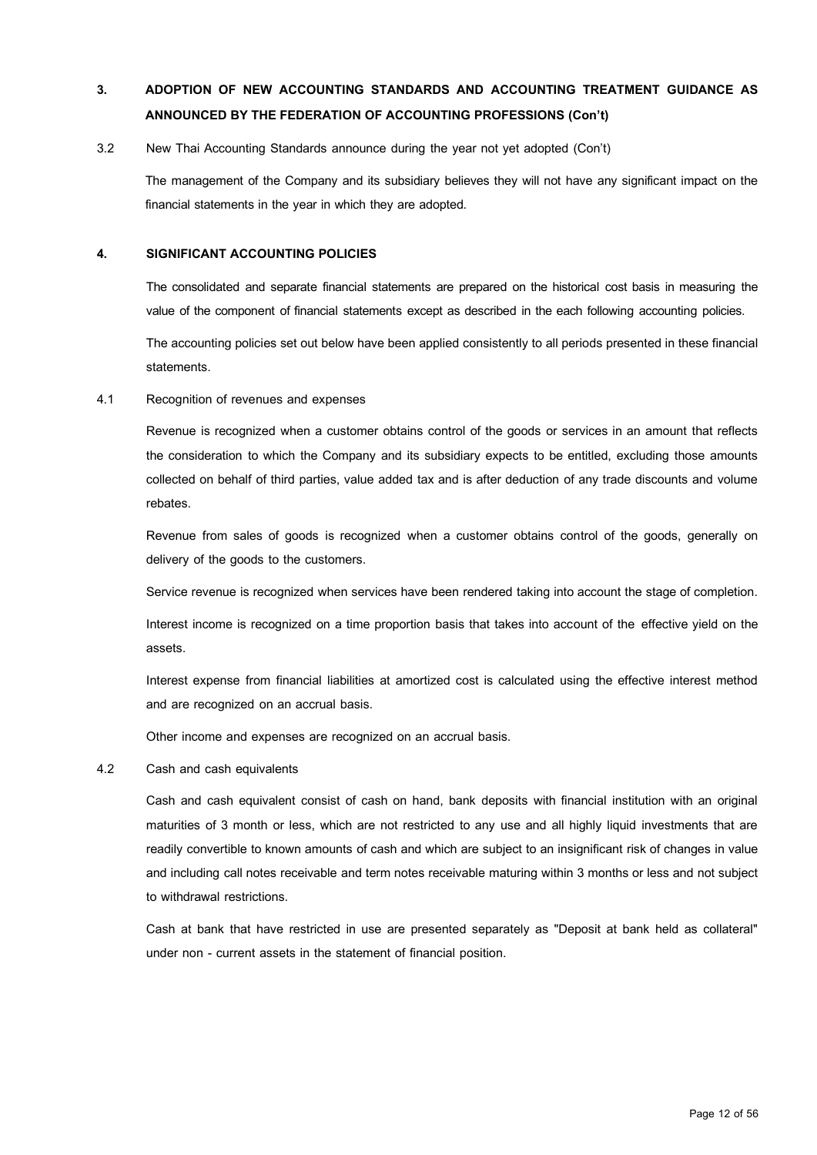# **3. ADOPTION OF NEW ACCOUNTING STANDARDS AND ACCOUNTING TREATMENT GUIDANCE AS ANNOUNCED BY THE FEDERATION OF ACCOUNTING PROFESSIONS (Con't)**

3.2 New Thai Accounting Standards announce during the year not yet adopted (Con't)

The management of the Company and its subsidiary believes they will not have any significant impact on the financial statements in the year in which they are adopted.

# **4. SIGNIFICANT ACCOUNTING POLICIES**

The consolidated and separate financial statements are prepared on the historical cost basis in measuring the value of the component of financial statements except as described in the each following accounting policies.

The accounting policies set out below have been applied consistently to all periods presented in these financial statements.

# 4.1 Recognition of revenues and expenses

Revenue is recognized when a customer obtains control of the goods or services in an amount that reflects the consideration to which the Company and its subsidiary expects to be entitled, excluding those amounts collected on behalf of third parties, value added tax and is after deduction of any trade discounts and volume rebates.

Revenue from sales of goods is recognized when a customer obtains control of the goods, generally on delivery of the goods to the customers.

Service revenue is recognized when services have been rendered taking into account the stage of completion.

Interest income is recognized on a time proportion basis that takes into account of the effective yield on the assets.

Interest expense from financial liabilities at amortized cost is calculated using the effective interest method and are recognized on an accrual basis.

Other income and expenses are recognized on an accrual basis.

# 4.2 Cash and cash equivalents

Cash and cash equivalent consist of cash on hand, bank deposits with financial institution with an original maturities of 3 month or less, which are not restricted to any use and all highly liquid investments that are readily convertible to known amounts of cash and which are subject to an insignificant risk of changes in value and including call notes receivable and term notes receivable maturing within 3 months or less and not subject to withdrawal restrictions.

Cash at bank that have restricted in use are presented separately as "Deposit at bank held as collateral" under non - current assets in the statement of financial position.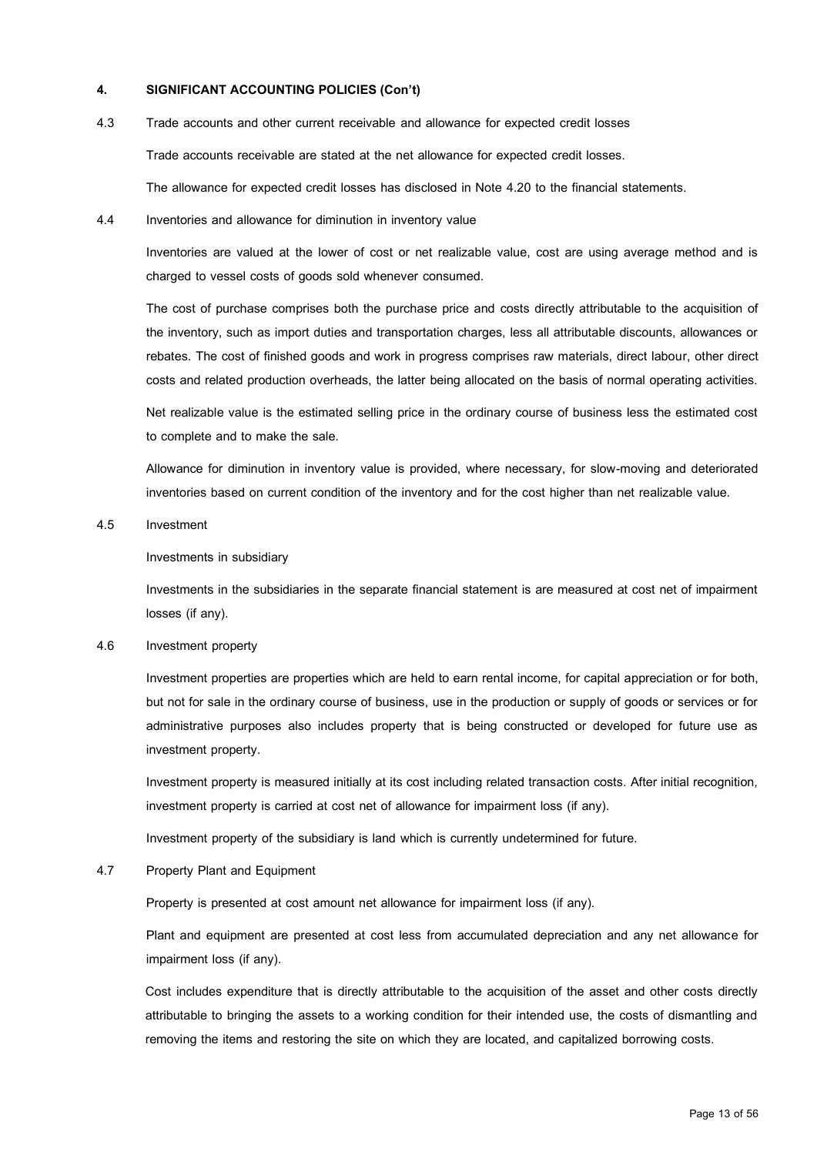4.3 Trade accounts and other current receivable and allowance for expected credit losses

Trade accounts receivable are stated at the net allowance for expected credit losses.

The allowance for expected credit losses has disclosed in Note 4.20 to the financial statements.

4.4 Inventories and allowance for diminution in inventory value

Inventories are valued at the lower of cost or net realizable value, cost are using average method and is charged to vessel costs of goods sold whenever consumed.

The cost of purchase comprises both the purchase price and costs directly attributable to the acquisition of the inventory, such as import duties and transportation charges, less all attributable discounts, allowances or rebates. The cost of finished goods and work in progress comprises raw materials, direct labour, other direct costs and related production overheads, the latter being allocated on the basis of normal operating activities.

Net realizable value is the estimated selling price in the ordinary course of business less the estimated cost to complete and to make the sale.

Allowance for diminution in inventory value is provided, where necessary, for slow-moving and deteriorated inventories based on current condition of the inventory and for the cost higher than net realizable value.

4.5 Investment

#### Investments in subsidiary

Investments in the subsidiaries in the separate financial statement is are measured at cost net of impairment losses (if any).

## 4.6 Investment property

Investment properties are properties which are held to earn rental income, for capital appreciation or for both, but not for sale in the ordinary course of business, use in the production or supply of goods or services or for administrative purposes also includes property that is being constructed or developed for future use as investment property.

Investment property is measured initially at its cost including related transaction costs. After initial recognition, investment property is carried at cost net of allowance for impairment loss (if any).

Investment property of the subsidiary is land which is currently undetermined for future.

### 4.7 Property Plant and Equipment

Property is presented at cost amount net allowance for impairment loss (if any).

Plant and equipment are presented at cost less from accumulated depreciation and any net allowance for impairment loss (if any).

Cost includes expenditure that is directly attributable to the acquisition of the asset and other costs directly attributable to bringing the assets to a working condition for their intended use, the costs of dismantling and removing the items and restoring the site on which they are located, and capitalized borrowing costs.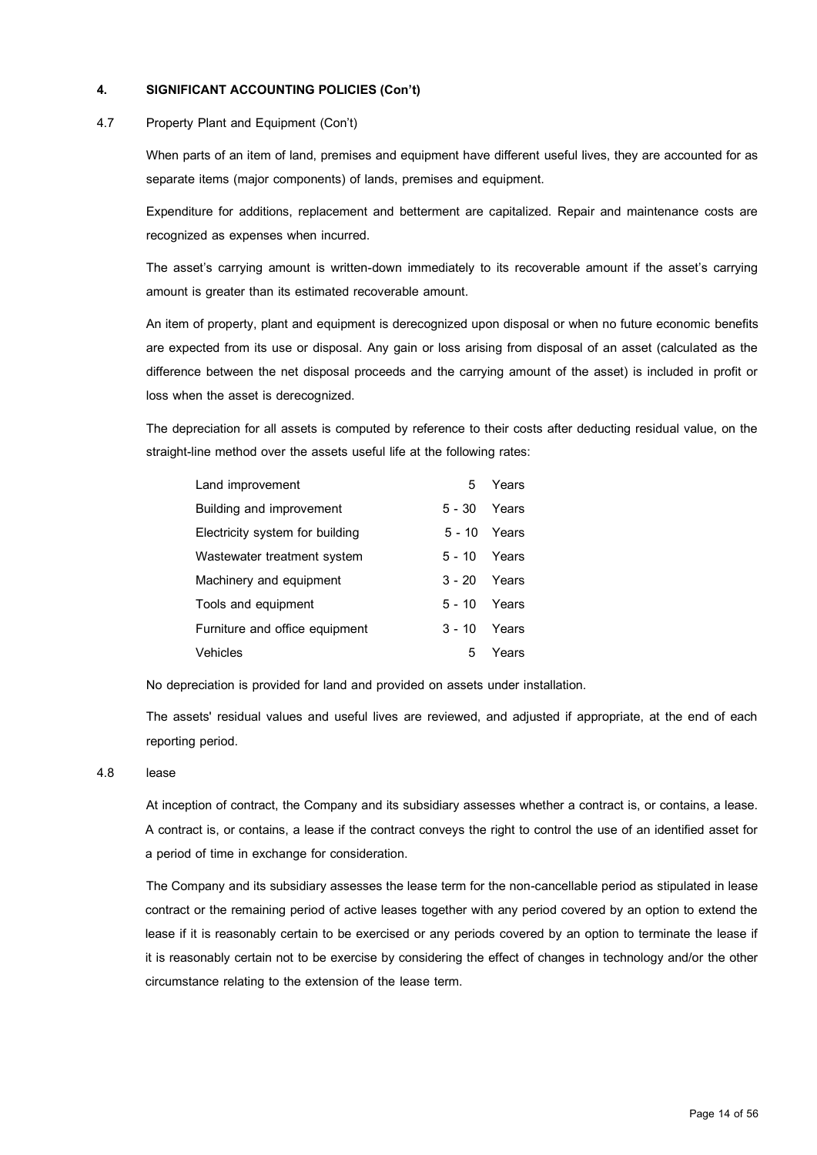## 4.7 Property Plant and Equipment (Con't)

When parts of an item of land, premises and equipment have different useful lives, they are accounted for as separate items (major components) of lands, premises and equipment.

Expenditure for additions, replacement and betterment are capitalized. Repair and maintenance costs are recognized as expenses when incurred.

The asset's carrying amount is written-down immediately to its recoverable amount if the asset's carrying amount is greater than its estimated recoverable amount.

An item of property, plant and equipment is derecognized upon disposal or when no future economic benefits are expected from its use or disposal. Any gain or loss arising from disposal of an asset (calculated as the difference between the net disposal proceeds and the carrying amount of the asset) is included in profit or loss when the asset is derecognized.

The depreciation for all assets is computed by reference to their costs after deducting residual value, on the straight-line method over the assets useful life at the following rates:

| Land improvement                |                | 5 Years |
|---------------------------------|----------------|---------|
| Building and improvement        | $5 - 30$ Years |         |
| Electricity system for building | $5 - 10$ Years |         |
| Wastewater treatment system     | $5 - 10$ Years |         |
| Machinery and equipment         | $3 - 20$ Years |         |
| Tools and equipment             | $5 - 10$ Years |         |
| Furniture and office equipment  | 3 - 10 Years   |         |
| Vehicles                        | 5              | Years   |

No depreciation is provided for land and provided on assets under installation.

The assets' residual values and useful lives are reviewed, and adjusted if appropriate, at the end of each reporting period.

### 4.8 lease

At inception of contract, the Company and its subsidiary assesses whether a contract is, or contains, a lease. A contract is, or contains, a lease if the contract conveys the right to control the use of an identified asset for a period of time in exchange for consideration.

The Company and its subsidiary assesses the lease term for the non-cancellable period as stipulated in lease contract or the remaining period of active leases together with any period covered by an option to extend the lease if it is reasonably certain to be exercised or any periods covered by an option to terminate the lease if it is reasonably certain not to be exercise by considering the effect of changes in technology and/or the other circumstance relating to the extension of the lease term.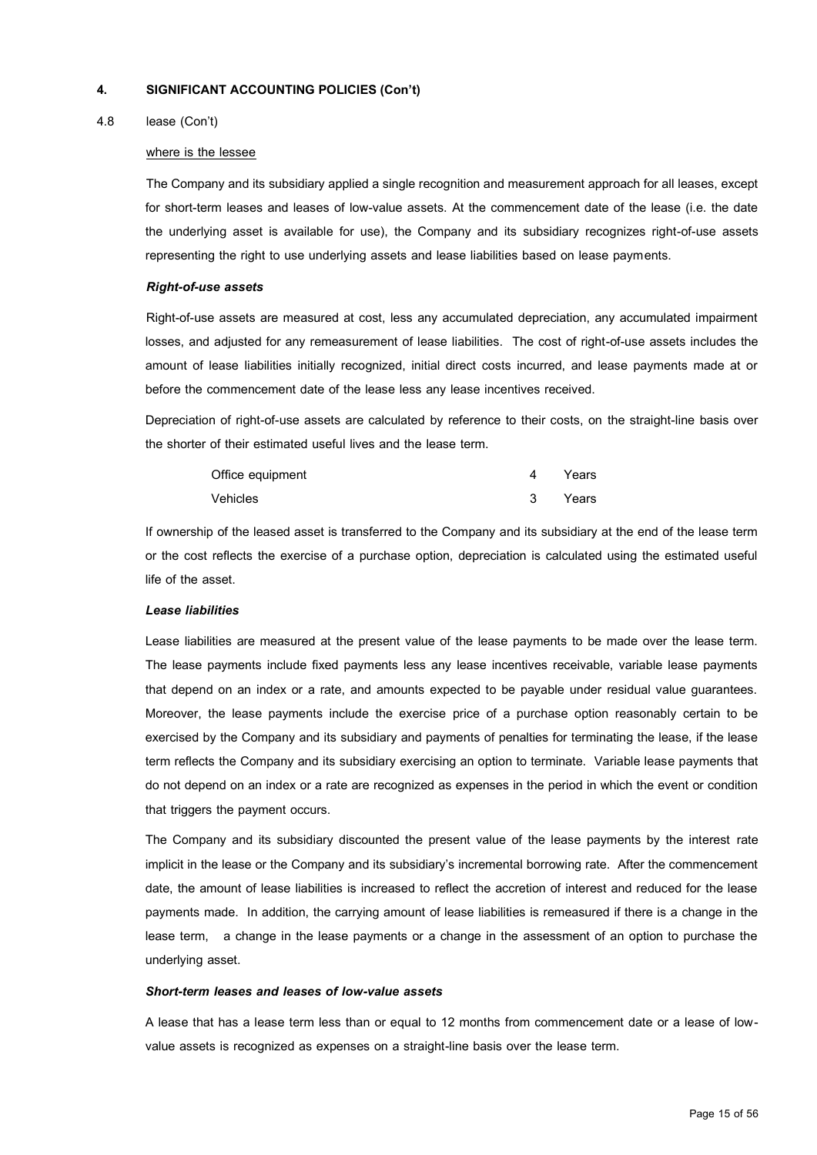### 4.8 lease (Con't)

#### where is the lessee

The Company and its subsidiary applied a single recognition and measurement approach for all leases, except for short-term leases and leases of low-value assets. At the commencement date of the lease (i.e. the date the underlying asset is available for use), the Company and its subsidiary recognizes right-of-use assets representing the right to use underlying assets and lease liabilities based on lease payments.

#### *Right-of-use assets*

Right-of-use assets are measured at cost, less any accumulated depreciation, any accumulated impairment losses, and adjusted for any remeasurement of lease liabilities. The cost of right-of-use assets includes the amount of lease liabilities initially recognized, initial direct costs incurred, and lease payments made at or before the commencement date of the lease less any lease incentives received.

Depreciation of right-of-use assets are calculated by reference to their costs, on the straight-line basis over the shorter of their estimated useful lives and the lease term.

| Office equipment | Years |
|------------------|-------|
| Vehicles         | Years |

If ownership of the leased asset is transferred to the Company and its subsidiary at the end of the lease term or the cost reflects the exercise of a purchase option, depreciation is calculated using the estimated useful life of the asset.

#### *Lease liabilities*

Lease liabilities are measured at the present value of the lease payments to be made over the lease term. The lease payments include fixed payments less any lease incentives receivable, variable lease payments that depend on an index or a rate, and amounts expected to be payable under residual value guarantees. Moreover, the lease payments include the exercise price of a purchase option reasonably certain to be exercised by the Company and its subsidiary and payments of penalties for terminating the lease, if the lease term reflects the Company and its subsidiary exercising an option to terminate. Variable lease payments that do not depend on an index or a rate are recognized as expenses in the period in which the event or condition that triggers the payment occurs.

The Company and its subsidiary discounted the present value of the lease payments by the interest rate implicit in the lease or the Company and its subsidiary's incremental borrowing rate. After the commencement date, the amount of lease liabilities is increased to reflect the accretion of interest and reduced for the lease payments made. In addition, the carrying amount of lease liabilities is remeasured if there is a change in the lease term, a change in the lease payments or a change in the assessment of an option to purchase the underlying asset.

#### *Short-term leases and leases of low-value assets*

A lease that has a lease term less than or equal to 12 months from commencement date or a lease of lowvalue assets is recognized as expenses on a straight-line basis over the lease term.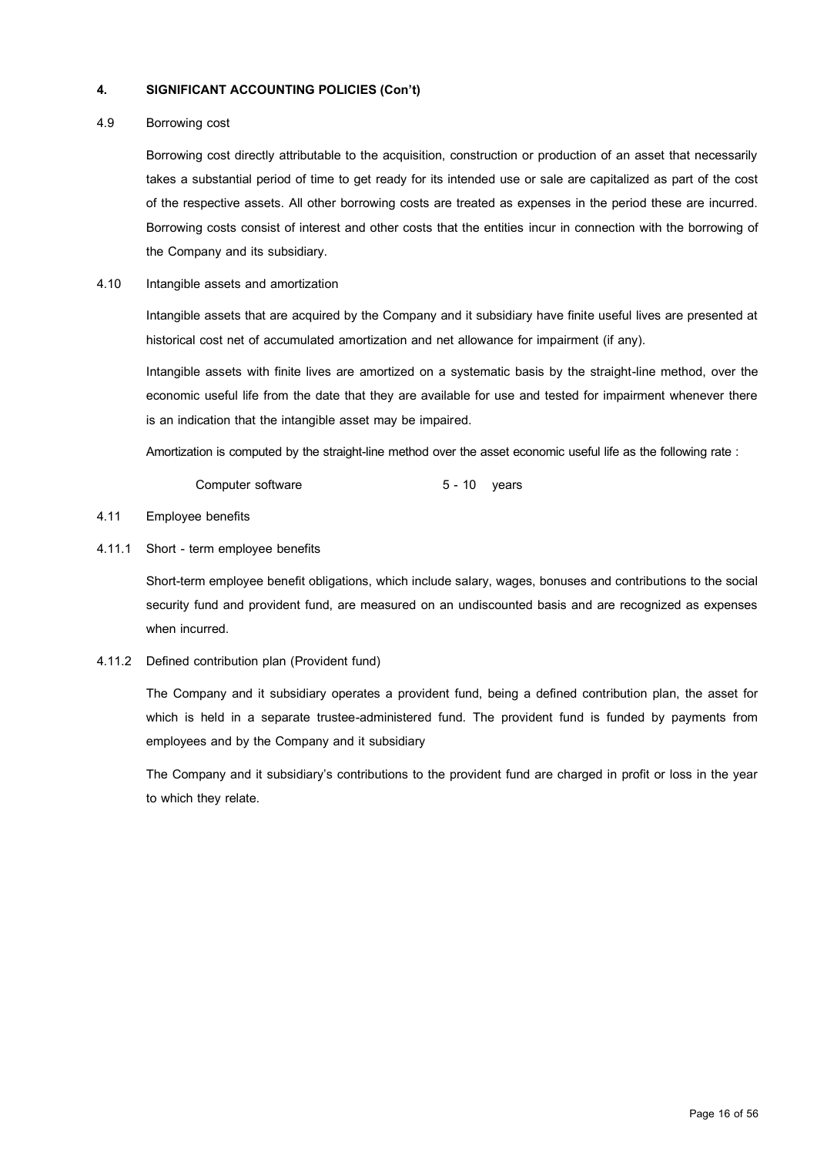# 4.9 Borrowing cost

Borrowing cost directly attributable to the acquisition, construction or production of an asset that necessarily takes a substantial period of time to get ready for its intended use or sale are capitalized as part of the cost of the respective assets. All other borrowing costs are treated as expenses in the period these are incurred. Borrowing costs consist of interest and other costs that the entities incur in connection with the borrowing of the Company and its subsidiary.

## 4.10 Intangible assets and amortization

Intangible assets that are acquired by the Company and it subsidiary have finite useful lives are presented at historical cost net of accumulated amortization and net allowance for impairment (if any).

Intangible assets with finite lives are amortized on a systematic basis by the straight-line method, over the economic useful life from the date that they are available for use and tested for impairment whenever there is an indication that the intangible asset may be impaired.

Amortization is computed by the straight-line method over the asset economic useful life as the following rate :

Computer software 6 - 10 years

# 4.11 Employee benefits

4.11.1 Short - term employee benefits

Short-term employee benefit obligations, which include salary, wages, bonuses and contributions to the social security fund and provident fund, are measured on an undiscounted basis and are recognized as expenses when incurred.

4.11.2 Defined contribution plan (Provident fund)

The Company and it subsidiary operates a provident fund, being a defined contribution plan, the asset for which is held in a separate trustee-administered fund. The provident fund is funded by payments from employees and by the Company and it subsidiary

The Company and it subsidiary's contributions to the provident fund are charged in profit or loss in the year to which they relate.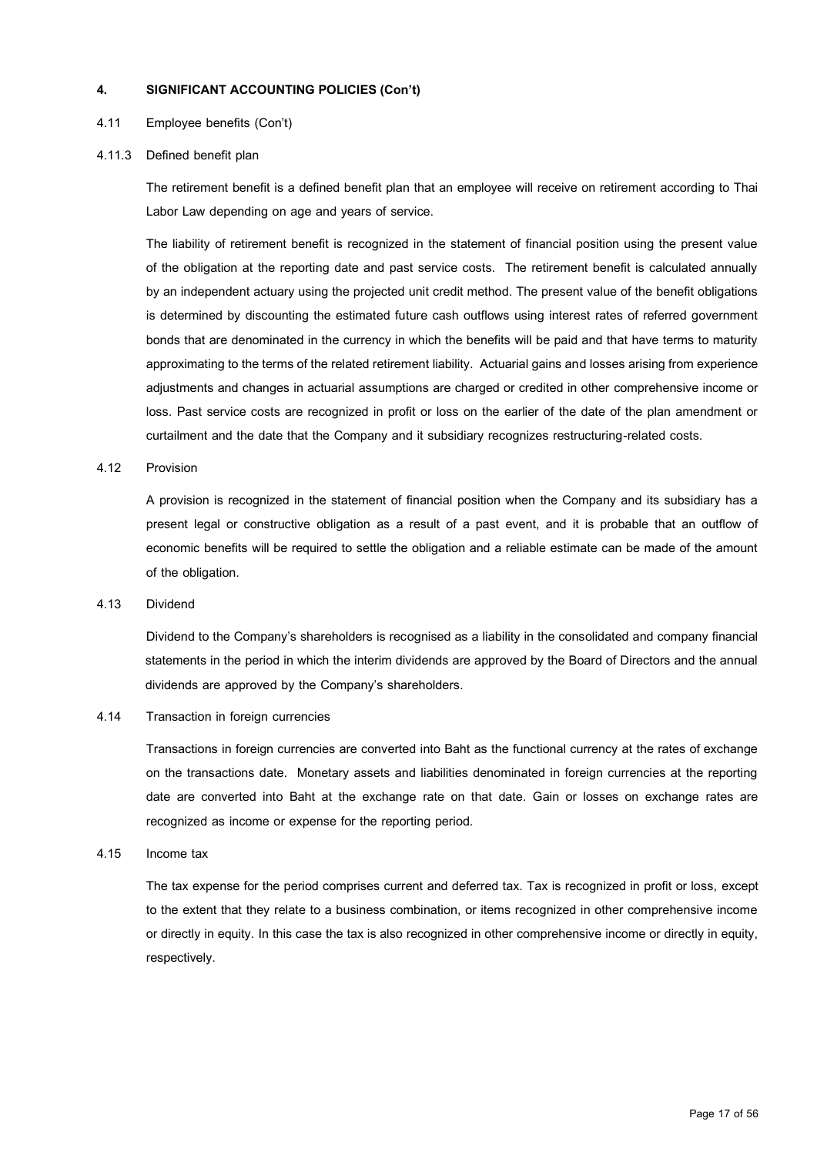### 4.11 Employee benefits (Con't)

### 4.11.3 Defined benefit plan

The retirement benefit is a defined benefit plan that an employee will receive on retirement according to Thai Labor Law depending on age and years of service.

The liability of retirement benefit is recognized in the statement of financial position using the present value of the obligation at the reporting date and past service costs. The retirement benefit is calculated annually by an independent actuary using the projected unit credit method. The present value of the benefit obligations is determined by discounting the estimated future cash outflows using interest rates of referred government bonds that are denominated in the currency in which the benefits will be paid and that have terms to maturity approximating to the terms of the related retirement liability. Actuarial gains and losses arising from experience adjustments and changes in actuarial assumptions are charged or credited in other comprehensive income or loss. Past service costs are recognized in profit or loss on the earlier of the date of the plan amendment or curtailment and the date that the Company and it subsidiary recognizes restructuring-related costs.

## 4.12 Provision

A provision is recognized in the statement of financial position when the Company and its subsidiary has a present legal or constructive obligation as a result of a past event, and it is probable that an outflow of economic benefits will be required to settle the obligation and a reliable estimate can be made of the amount of the obligation.

### 4.13 Dividend

Dividend to the Company's shareholders is recognised as a liability in the consolidated and company financial statements in the period in which the interim dividends are approved by the Board of Directors and the annual dividends are approved by the Company's shareholders.

### 4.14 Transaction in foreign currencies

Transactions in foreign currencies are converted into Baht as the functional currency at the rates of exchange on the transactions date. Monetary assets and liabilities denominated in foreign currencies at the reporting date are converted into Baht at the exchange rate on that date. Gain or losses on exchange rates are recognized as income or expense for the reporting period.

### 4.15 Income tax

The tax expense for the period comprises current and deferred tax. Tax is recognized in profit or loss, except to the extent that they relate to a business combination, or items recognized in other comprehensive income or directly in equity. In this case the tax is also recognized in other comprehensive income or directly in equity, respectively.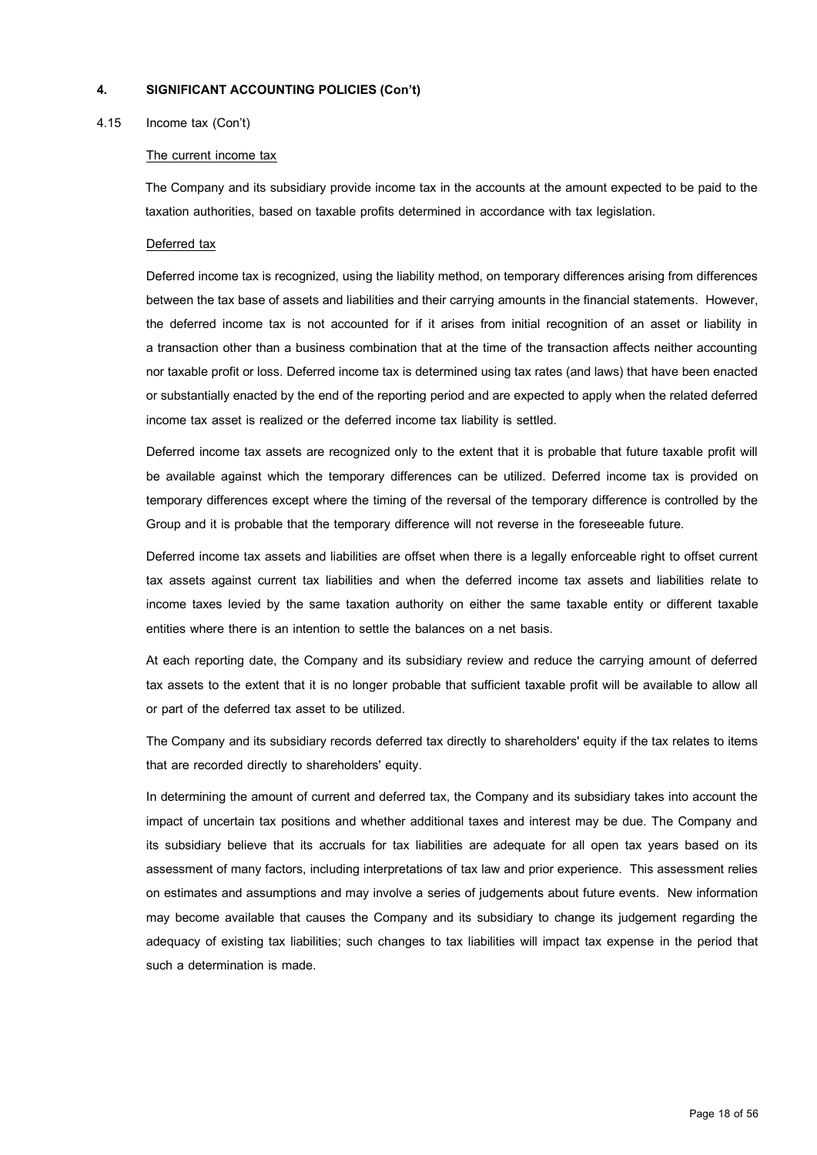#### 4.15 Income tax (Con't)

#### The current income tax

The Company and its subsidiary provide income tax in the accounts at the amount expected to be paid to the taxation authorities, based on taxable profits determined in accordance with tax legislation.

#### Deferred tax

Deferred income tax is recognized, using the liability method, on temporary differences arising from differences between the tax base of assets and liabilities and their carrying amounts in the financial statements. However, the deferred income tax is not accounted for if it arises from initial recognition of an asset or liability in a transaction other than a business combination that at the time of the transaction affects neither accounting nor taxable profit or loss. Deferred income tax is determined using tax rates (and laws) that have been enacted or substantially enacted by the end of the reporting period and are expected to apply when the related deferred income tax asset is realized or the deferred income tax liability is settled.

Deferred income tax assets are recognized only to the extent that it is probable that future taxable profit will be available against which the temporary differences can be utilized. Deferred income tax is provided on temporary differences except where the timing of the reversal of the temporary difference is controlled by the Group and it is probable that the temporary difference will not reverse in the foreseeable future.

Deferred income tax assets and liabilities are offset when there is a legally enforceable right to offset current tax assets against current tax liabilities and when the deferred income tax assets and liabilities relate to income taxes levied by the same taxation authority on either the same taxable entity or different taxable entities where there is an intention to settle the balances on a net basis.

At each reporting date, the Company and its subsidiary review and reduce the carrying amount of deferred tax assets to the extent that it is no longer probable that sufficient taxable profit will be available to allow all or part of the deferred tax asset to be utilized.

The Company and its subsidiary records deferred tax directly to shareholders' equity if the tax relates to items that are recorded directly to shareholders' equity.

In determining the amount of current and deferred tax, the Company and its subsidiary takes into account the impact of uncertain tax positions and whether additional taxes and interest may be due. The Company and its subsidiary believe that its accruals for tax liabilities are adequate for all open tax years based on its assessment of many factors, including interpretations of tax law and prior experience. This assessment relies on estimates and assumptions and may involve a series of judgements about future events. New information may become available that causes the Company and its subsidiary to change its judgement regarding the adequacy of existing tax liabilities; such changes to tax liabilities will impact tax expense in the period that such a determination is made.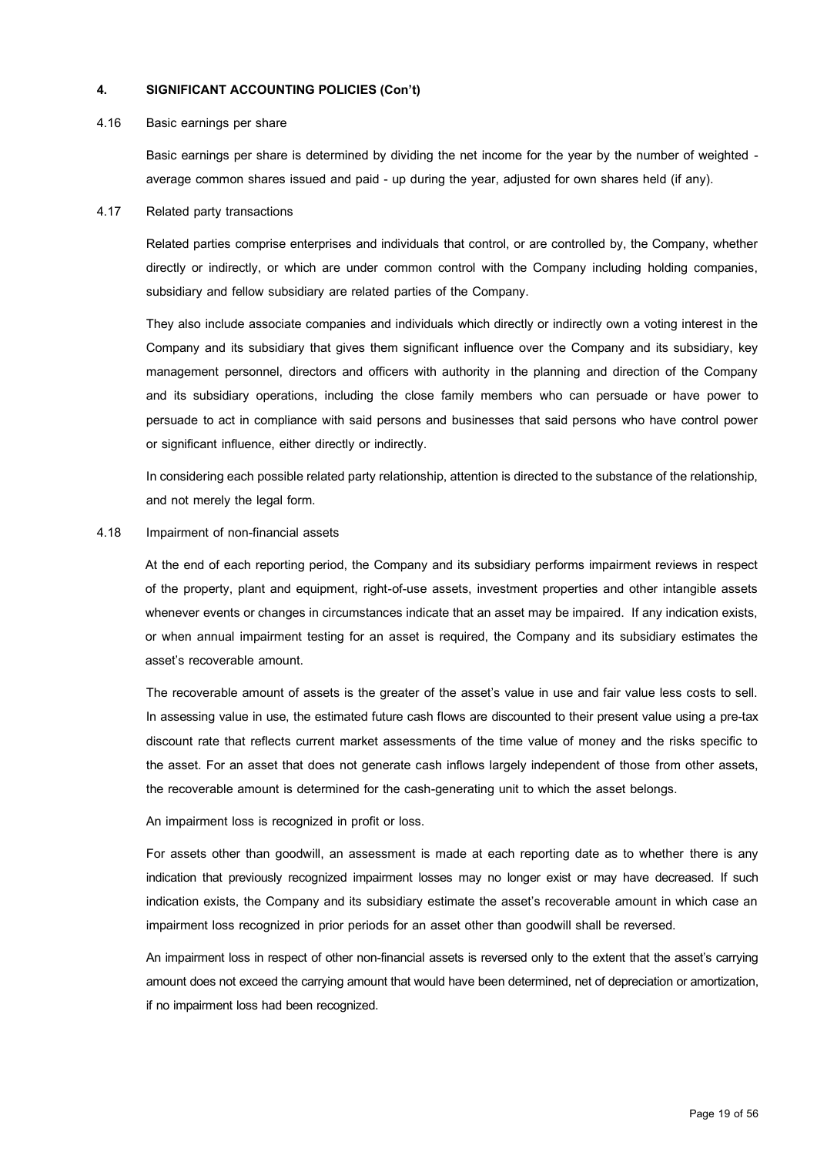#### 4.16 Basic earnings per share

Basic earnings per share is determined by dividing the net income for the year by the number of weighted average common shares issued and paid - up during the year, adjusted for own shares held (if any).

#### 4.17 Related party transactions

Related parties comprise enterprises and individuals that control, or are controlled by, the Company, whether directly or indirectly, or which are under common control with the Company including holding companies, subsidiary and fellow subsidiary are related parties of the Company.

They also include associate companies and individuals which directly or indirectly own a voting interest in the Company and its subsidiary that gives them significant influence over the Company and its subsidiary, key management personnel, directors and officers with authority in the planning and direction of the Company and its subsidiary operations, including the close family members who can persuade or have power to persuade to act in compliance with said persons and businesses that said persons who have control power or significant influence, either directly or indirectly.

In considering each possible related party relationship, attention is directed to the substance of the relationship, and not merely the legal form.

### 4.18 Impairment of non-financial assets

At the end of each reporting period, the Company and its subsidiary performs impairment reviews in respect of the property, plant and equipment, right-of-use assets, investment properties and other intangible assets whenever events or changes in circumstances indicate that an asset may be impaired. If any indication exists, or when annual impairment testing for an asset is required, the Company and its subsidiary estimates the asset's recoverable amount.

The recoverable amount of assets is the greater of the asset's value in use and fair value less costs to sell. In assessing value in use, the estimated future cash flows are discounted to their present value using a pre-tax discount rate that reflects current market assessments of the time value of money and the risks specific to the asset. For an asset that does not generate cash inflows largely independent of those from other assets, the recoverable amount is determined for the cash-generating unit to which the asset belongs.

#### An impairment loss is recognized in profit or loss.

For assets other than goodwill, an assessment is made at each reporting date as to whether there is any indication that previously recognized impairment losses may no longer exist or may have decreased. If such indication exists, the Company and its subsidiary estimate the asset's recoverable amount in which case an impairment loss recognized in prior periods for an asset other than goodwill shall be reversed.

An impairment loss in respect of other non-financial assets is reversed only to the extent that the asset's carrying amount does not exceed the carrying amount that would have been determined, net of depreciation or amortization, if no impairment loss had been recognized.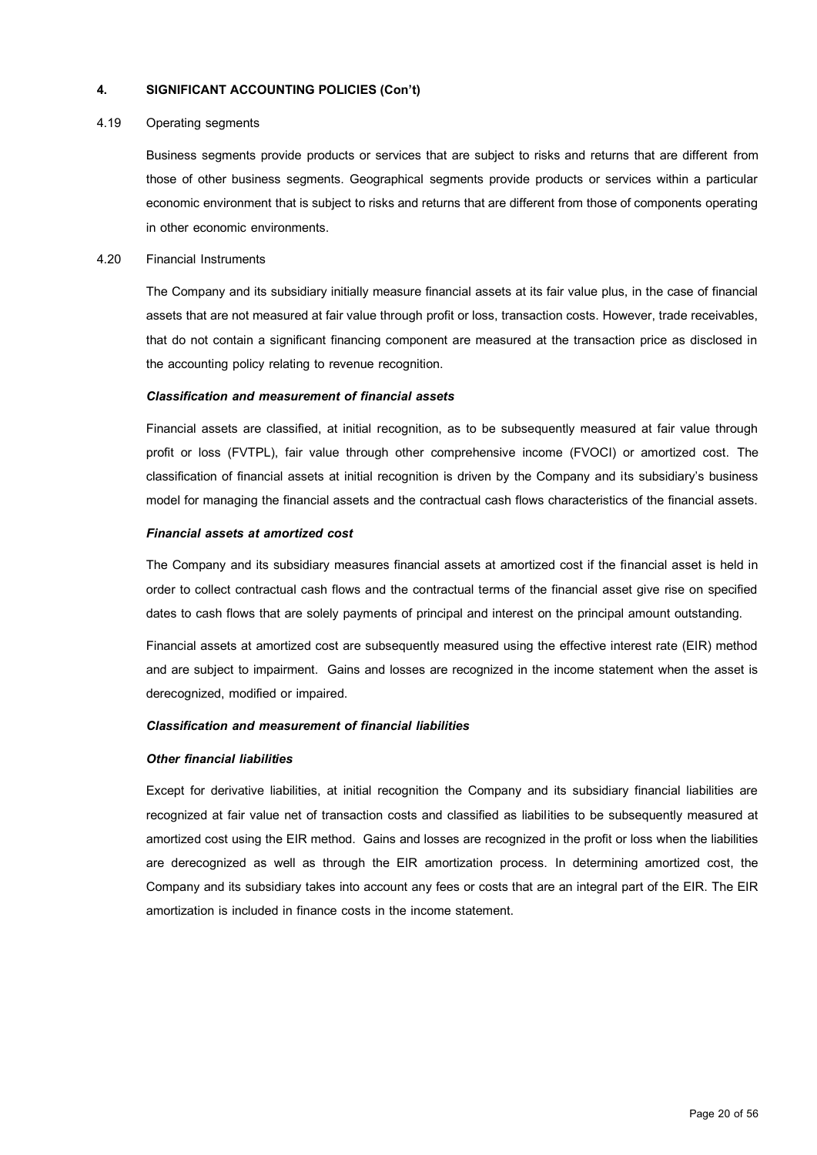#### 4.19 Operating segments

Business segments provide products or services that are subject to risks and returns that are different from those of other business segments. Geographical segments provide products or services within a particular economic environment that is subject to risks and returns that are different from those of components operating in other economic environments.

#### 4.20 Financial Instruments

The Company and its subsidiary initially measure financial assets at its fair value plus, in the case of financial assets that are not measured at fair value through profit or loss, transaction costs. However, trade receivables, that do not contain a significant financing component are measured at the transaction price as disclosed in the accounting policy relating to revenue recognition.

### *Classification and measurement of financial assets*

Financial assets are classified, at initial recognition, as to be subsequently measured at fair value through profit or loss (FVTPL), fair value through other comprehensive income (FVOCI) or amortized cost. The classification of financial assets at initial recognition is driven by the Company and its subsidiary's business model for managing the financial assets and the contractual cash flows characteristics of the financial assets.

#### *Financial assets at amortized cost*

The Company and its subsidiary measures financial assets at amortized cost if the financial asset is held in order to collect contractual cash flows and the contractual terms of the financial asset give rise on specified dates to cash flows that are solely payments of principal and interest on the principal amount outstanding.

Financial assets at amortized cost are subsequently measured using the effective interest rate (EIR) method and are subject to impairment. Gains and losses are recognized in the income statement when the asset is derecognized, modified or impaired.

### *Classification and measurement of financial liabilities*

#### *Other financial liabilities*

Except for derivative liabilities, at initial recognition the Company and its subsidiary financial liabilities are recognized at fair value net of transaction costs and classified as liabilities to be subsequently measured at amortized cost using the EIR method. Gains and losses are recognized in the profit or loss when the liabilities are derecognized as well as through the EIR amortization process. In determining amortized cost, the Company and its subsidiary takes into account any fees or costs that are an integral part of the EIR. The EIR amortization is included in finance costs in the income statement.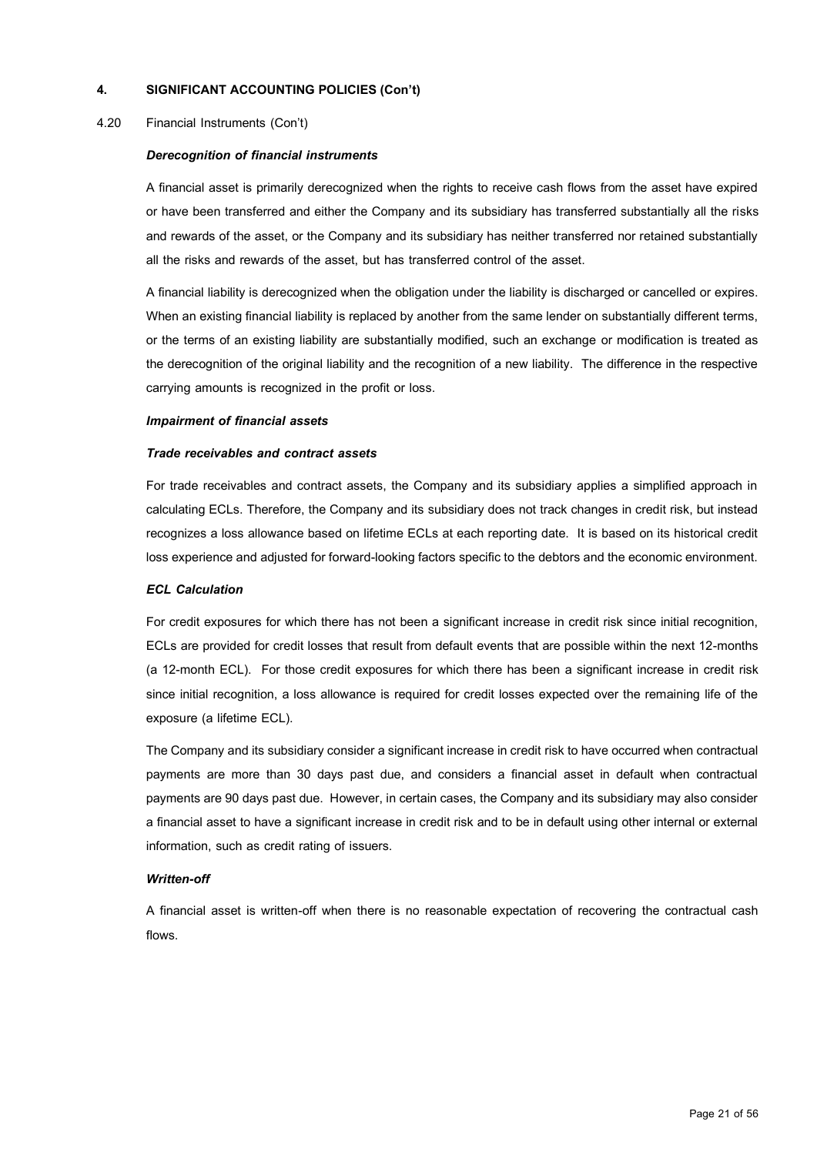### 4.20 Financial Instruments (Con't)

### *Derecognition of financial instruments*

A financial asset is primarily derecognized when the rights to receive cash flows from the asset have expired or have been transferred and either the Company and its subsidiary has transferred substantially all the risks and rewards of the asset, or the Company and its subsidiary has neither transferred nor retained substantially all the risks and rewards of the asset, but has transferred control of the asset.

A financial liability is derecognized when the obligation under the liability is discharged or cancelled or expires. When an existing financial liability is replaced by another from the same lender on substantially different terms, or the terms of an existing liability are substantially modified, such an exchange or modification is treated as the derecognition of the original liability and the recognition of a new liability. The difference in the respective carrying amounts is recognized in the profit or loss.

### *Impairment of financial assets*

### *Trade receivables and contract assets*

For trade receivables and contract assets, the Company and its subsidiary applies a simplified approach in calculating ECLs. Therefore, the Company and its subsidiary does not track changes in credit risk, but instead recognizes a loss allowance based on lifetime ECLs at each reporting date. It is based on its historical credit loss experience and adjusted for forward-looking factors specific to the debtors and the economic environment.

### *ECL Calculation*

For credit exposures for which there has not been a significant increase in credit risk since initial recognition, ECLs are provided for credit losses that result from default events that are possible within the next 12-months (a 12-month ECL). For those credit exposures for which there has been a significant increase in credit risk since initial recognition, a loss allowance is required for credit losses expected over the remaining life of the exposure (a lifetime ECL).

The Company and its subsidiary consider a significant increase in credit risk to have occurred when contractual payments are more than 30 days past due, and considers a financial asset in default when contractual payments are 90 days past due. However, in certain cases, the Company and its subsidiary may also consider a financial asset to have a significant increase in credit risk and to be in default using other internal or external information, such as credit rating of issuers.

# *Written-off*

A financial asset is written-off when there is no reasonable expectation of recovering the contractual cash flows.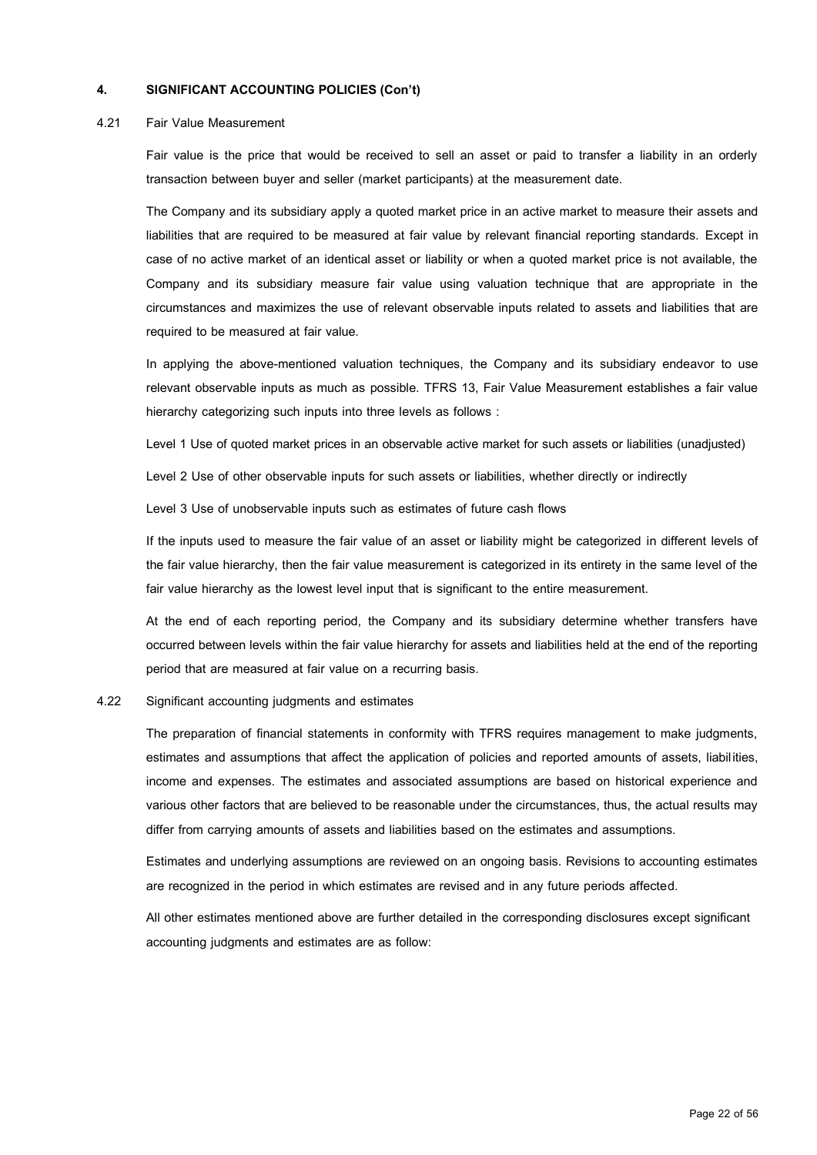### 4.21 Fair Value Measurement

Fair value is the price that would be received to sell an asset or paid to transfer a liability in an orderly transaction between buyer and seller (market participants) at the measurement date.

The Company and its subsidiary apply a quoted market price in an active market to measure their assets and liabilities that are required to be measured at fair value by relevant financial reporting standards. Except in case of no active market of an identical asset or liability or when a quoted market price is not available, the Company and its subsidiary measure fair value using valuation technique that are appropriate in the circumstances and maximizes the use of relevant observable inputs related to assets and liabilities that are required to be measured at fair value.

In applying the above-mentioned valuation techniques, the Company and its subsidiary endeavor to use relevant observable inputs as much as possible. TFRS 13, Fair Value Measurement establishes a fair value hierarchy categorizing such inputs into three levels as follows :

Level 1 Use of quoted market prices in an observable active market for such assets or liabilities (unadjusted)

Level 2 Use of other observable inputs for such assets or liabilities, whether directly or indirectly

Level 3 Use of unobservable inputs such as estimates of future cash flows

If the inputs used to measure the fair value of an asset or liability might be categorized in different levels of the fair value hierarchy, then the fair value measurement is categorized in its entirety in the same level of the fair value hierarchy as the lowest level input that is significant to the entire measurement.

At the end of each reporting period, the Company and its subsidiary determine whether transfers have occurred between levels within the fair value hierarchy for assets and liabilities held at the end of the reporting period that are measured at fair value on a recurring basis.

#### 4.22 Significant accounting judgments and estimates

The preparation of financial statements in conformity with TFRS requires management to make judgments, estimates and assumptions that affect the application of policies and reported amounts of assets, liabilities, income and expenses. The estimates and associated assumptions are based on historical experience and various other factors that are believed to be reasonable under the circumstances, thus, the actual results may differ from carrying amounts of assets and liabilities based on the estimates and assumptions.

Estimates and underlying assumptions are reviewed on an ongoing basis. Revisions to accounting estimates are recognized in the period in which estimates are revised and in any future periods affected.

All other estimates mentioned above are further detailed in the corresponding disclosures except significant accounting judgments and estimates are as follow: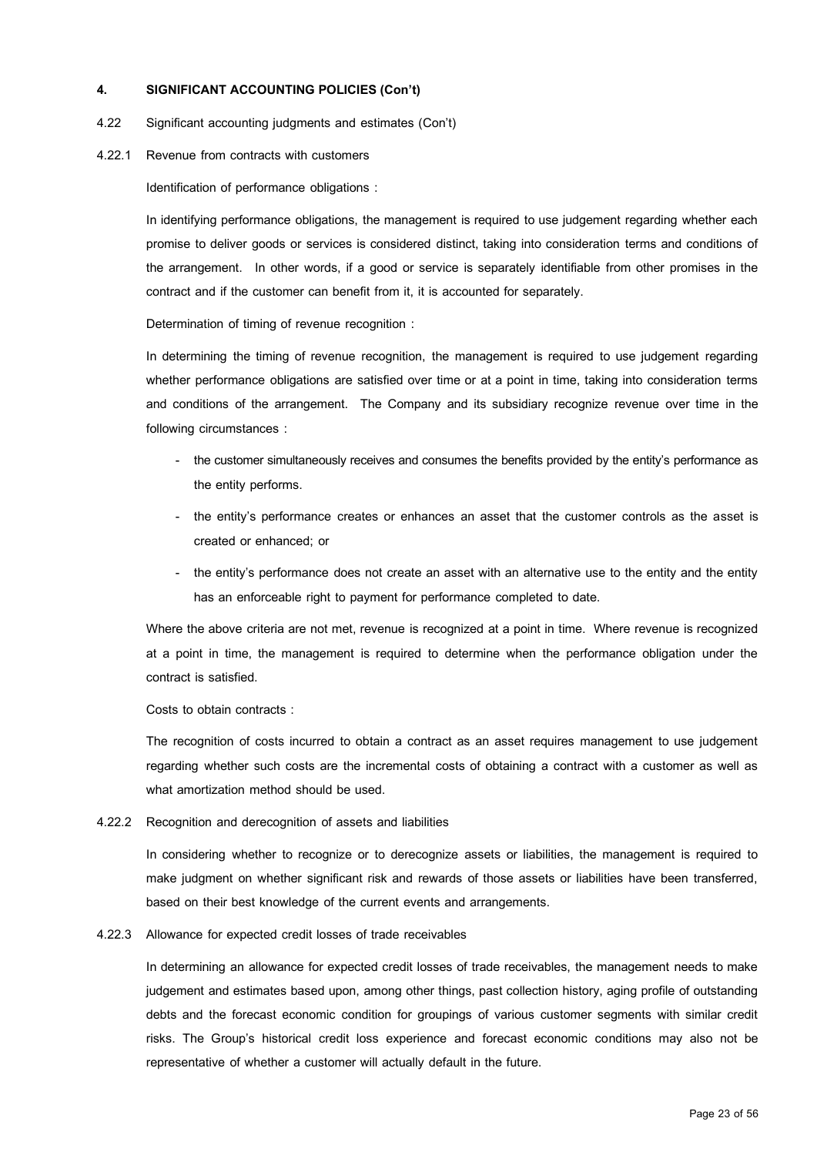- 4.22 Significant accounting judgments and estimates (Con't)
- 4.22.1 Revenue from contracts with customers

Identification of performance obligations :

In identifying performance obligations, the management is required to use judgement regarding whether each promise to deliver goods or services is considered distinct, taking into consideration terms and conditions of the arrangement. In other words, if a good or service is separately identifiable from other promises in the contract and if the customer can benefit from it, it is accounted for separately.

Determination of timing of revenue recognition :

In determining the timing of revenue recognition, the management is required to use judgement regarding whether performance obligations are satisfied over time or at a point in time, taking into consideration terms and conditions of the arrangement. The Company and its subsidiary recognize revenue over time in the following circumstances :

- the customer simultaneously receives and consumes the benefits provided by the entity's performance as the entity performs.
- the entity's performance creates or enhances an asset that the customer controls as the asset is created or enhanced; or
- the entity's performance does not create an asset with an alternative use to the entity and the entity has an enforceable right to payment for performance completed to date.

Where the above criteria are not met, revenue is recognized at a point in time. Where revenue is recognized at a point in time, the management is required to determine when the performance obligation under the contract is satisfied.

Costs to obtain contracts :

The recognition of costs incurred to obtain a contract as an asset requires management to use judgement regarding whether such costs are the incremental costs of obtaining a contract with a customer as well as what amortization method should be used.

4.22.2 Recognition and derecognition of assets and liabilities

In considering whether to recognize or to derecognize assets or liabilities, the management is required to make judgment on whether significant risk and rewards of those assets or liabilities have been transferred, based on their best knowledge of the current events and arrangements.

4.22.3 Allowance for expected credit losses of trade receivables

In determining an allowance for expected credit losses of trade receivables, the management needs to make judgement and estimates based upon, among other things, past collection history, aging profile of outstanding debts and the forecast economic condition for groupings of various customer segments with similar credit risks. The Group's historical credit loss experience and forecast economic conditions may also not be representative of whether a customer will actually default in the future.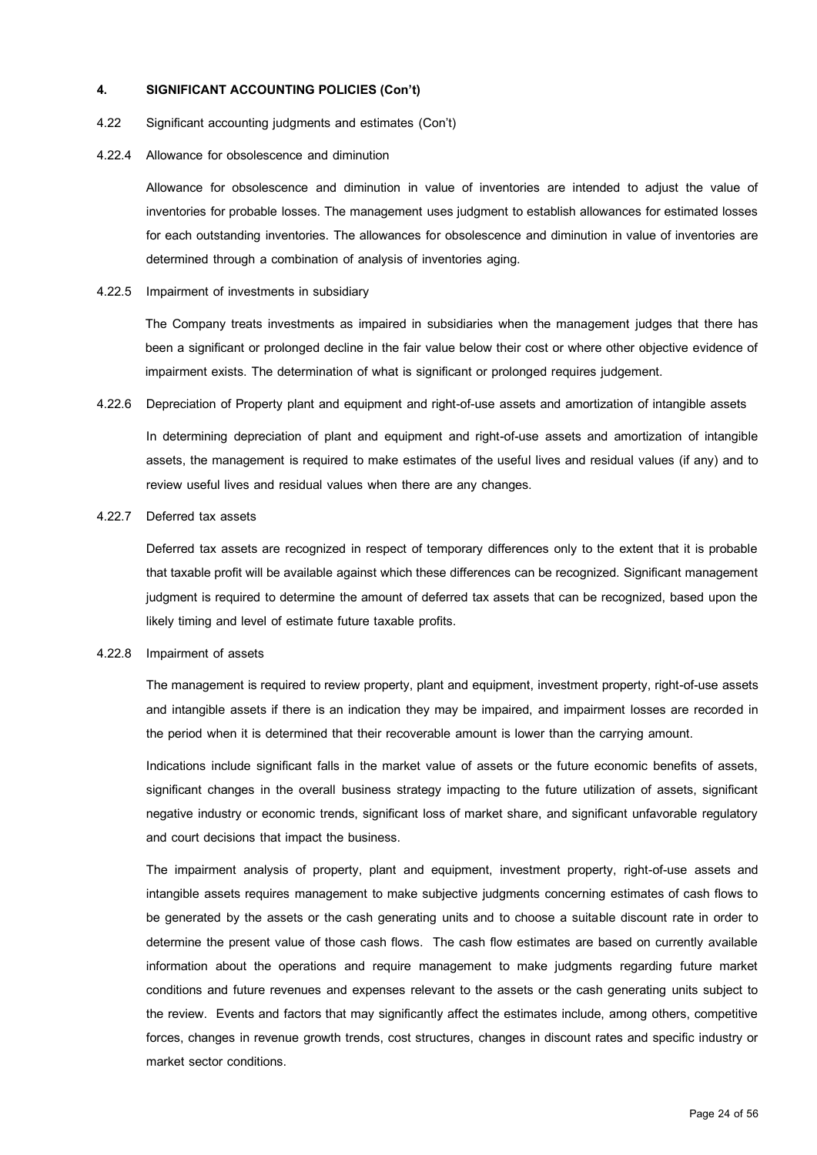- 4.22 Significant accounting judgments and estimates (Con't)
- 4.22.4 Allowance for obsolescence and diminution

Allowance for obsolescence and diminution in value of inventories are intended to adjust the value of inventories for probable losses. The management uses judgment to establish allowances for estimated losses for each outstanding inventories. The allowances for obsolescence and diminution in value of inventories are determined through a combination of analysis of inventories aging.

4.22.5 Impairment of investments in subsidiary

The Company treats investments as impaired in subsidiaries when the management judges that there has been a significant or prolonged decline in the fair value below their cost or where other objective evidence of impairment exists. The determination of what is significant or prolonged requires judgement.

4.22.6 Depreciation of Property plant and equipment and right-of-use assets and amortization of intangible assets

In determining depreciation of plant and equipment and right-of-use assets and amortization of intangible assets, the management is required to make estimates of the useful lives and residual values (if any) and to review useful lives and residual values when there are any changes.

4.22.7 Deferred tax assets

Deferred tax assets are recognized in respect of temporary differences only to the extent that it is probable that taxable profit will be available against which these differences can be recognized. Significant management judgment is required to determine the amount of deferred tax assets that can be recognized, based upon the likely timing and level of estimate future taxable profits.

4.22.8 Impairment of assets

The management is required to review property, plant and equipment, investment property, right-of-use assets and intangible assets if there is an indication they may be impaired, and impairment losses are recorded in the period when it is determined that their recoverable amount is lower than the carrying amount.

Indications include significant falls in the market value of assets or the future economic benefits of assets, significant changes in the overall business strategy impacting to the future utilization of assets, significant negative industry or economic trends, significant loss of market share, and significant unfavorable regulatory and court decisions that impact the business.

The impairment analysis of property, plant and equipment, investment property, right-of-use assets and intangible assets requires management to make subjective judgments concerning estimates of cash flows to be generated by the assets or the cash generating units and to choose a suitable discount rate in order to determine the present value of those cash flows. The cash flow estimates are based on currently available information about the operations and require management to make judgments regarding future market conditions and future revenues and expenses relevant to the assets or the cash generating units subject to the review. Events and factors that may significantly affect the estimates include, among others, competitive forces, changes in revenue growth trends, cost structures, changes in discount rates and specific industry or market sector conditions.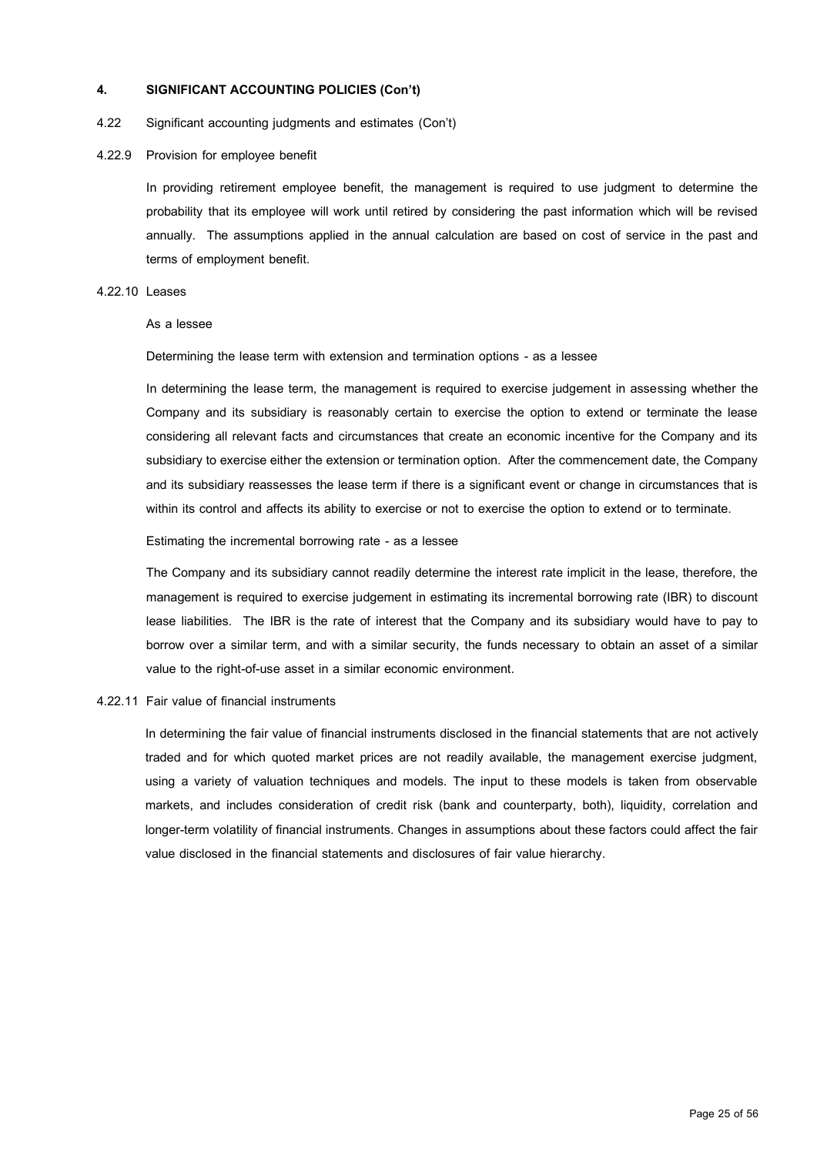- 4.22 Significant accounting judgments and estimates (Con't)
- 4.22.9 Provision for employee benefit

In providing retirement employee benefit, the management is required to use judgment to determine the probability that its employee will work until retired by considering the past information which will be revised annually. The assumptions applied in the annual calculation are based on cost of service in the past and terms of employment benefit.

### 4.22.10 Leases

#### As a lessee

Determining the lease term with extension and termination options - as a lessee

In determining the lease term, the management is required to exercise judgement in assessing whether the Company and its subsidiary is reasonably certain to exercise the option to extend or terminate the lease considering all relevant facts and circumstances that create an economic incentive for the Company and its subsidiary to exercise either the extension or termination option. After the commencement date, the Company and its subsidiary reassesses the lease term if there is a significant event or change in circumstances that is within its control and affects its ability to exercise or not to exercise the option to extend or to terminate.

Estimating the incremental borrowing rate - as a lessee

The Company and its subsidiary cannot readily determine the interest rate implicit in the lease, therefore, the management is required to exercise judgement in estimating its incremental borrowing rate (IBR) to discount lease liabilities. The IBR is the rate of interest that the Company and its subsidiary would have to pay to borrow over a similar term, and with a similar security, the funds necessary to obtain an asset of a similar value to the right-of-use asset in a similar economic environment.

### 4.22.11 Fair value of financial instruments

In determining the fair value of financial instruments disclosed in the financial statements that are not actively traded and for which quoted market prices are not readily available, the management exercise judgment, using a variety of valuation techniques and models. The input to these models is taken from observable markets, and includes consideration of credit risk (bank and counterparty, both), liquidity, correlation and longer-term volatility of financial instruments. Changes in assumptions about these factors could affect the fair value disclosed in the financial statements and disclosures of fair value hierarchy.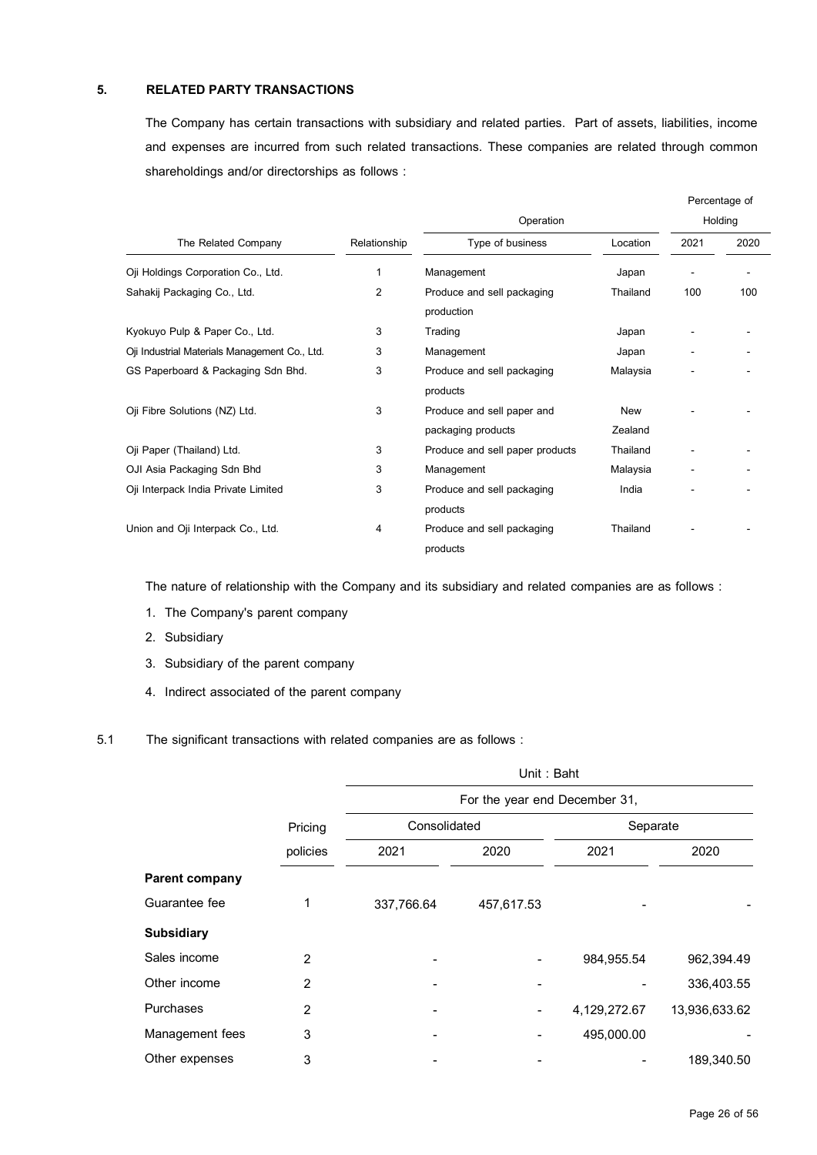# **5. RELATED PARTY TRANSACTIONS**

The Company has certain transactions with subsidiary and related parties. Part of assets, liabilities, income and expenses are incurred from such related transactions. These companies are related through common shareholdings and/or directorships as follows :

|                                               |                |                                 |            |      | <b>Percentage or</b> |
|-----------------------------------------------|----------------|---------------------------------|------------|------|----------------------|
|                                               |                | Operation                       | Holding    |      |                      |
| The Related Company                           | Relationship   | Type of business                | Location   | 2021 | 2020                 |
| Oji Holdings Corporation Co., Ltd.            |                | Management                      | Japan      |      |                      |
| Sahakij Packaging Co., Ltd.                   | $\overline{2}$ | Produce and sell packaging      | Thailand   | 100  | 100                  |
|                                               |                | production                      |            |      |                      |
| Kyokuyo Pulp & Paper Co., Ltd.                | 3              | Trading                         | Japan      |      |                      |
| Oji Industrial Materials Management Co., Ltd. | 3              | Management                      | Japan      |      |                      |
| GS Paperboard & Packaging Sdn Bhd.            | 3              | Produce and sell packaging      | Malaysia   |      |                      |
|                                               |                | products                        |            |      |                      |
| Oji Fibre Solutions (NZ) Ltd.                 | 3              | Produce and sell paper and      | <b>New</b> |      |                      |
|                                               |                | packaging products              | Zealand    |      |                      |
| Oji Paper (Thailand) Ltd.                     | 3              | Produce and sell paper products | Thailand   |      |                      |
| OJI Asia Packaging Sdn Bhd                    | 3              | Management                      | Malaysia   |      |                      |
| Oji Interpack India Private Limited           | 3              | Produce and sell packaging      | India      |      |                      |
|                                               |                | products                        |            |      |                      |
| Union and Oji Interpack Co., Ltd.             | 4              | Produce and sell packaging      | Thailand   |      |                      |
|                                               |                | products                        |            |      |                      |

The nature of relationship with the Company and its subsidiary and related companies are as follows :

- 1. The Company's parent company
- 2. Subsidiary
- 3. Subsidiary of the parent company
- 4. Indirect associated of the parent company
- 5.1 The significant transactions with related companies are as follows :

|                       |                | Unit: Baht                    |            |              |               |  |  |  |  |
|-----------------------|----------------|-------------------------------|------------|--------------|---------------|--|--|--|--|
|                       |                | For the year end December 31, |            |              |               |  |  |  |  |
|                       | Pricing        | Consolidated                  |            | Separate     |               |  |  |  |  |
|                       | policies       | 2021                          | 2020       |              | 2020          |  |  |  |  |
| <b>Parent company</b> |                |                               |            |              |               |  |  |  |  |
| Guarantee fee         |                | 337,766.64                    | 457,617.53 |              |               |  |  |  |  |
| <b>Subsidiary</b>     |                |                               |            |              |               |  |  |  |  |
| Sales income          | $\overline{2}$ |                               |            | 984,955.54   | 962,394.49    |  |  |  |  |
| Other income          | $\overline{2}$ |                               |            |              | 336,403.55    |  |  |  |  |
| <b>Purchases</b>      | 2              |                               |            | 4,129,272.67 | 13,936,633.62 |  |  |  |  |
| Management fees       | 3              |                               |            | 495,000.00   |               |  |  |  |  |
| Other expenses        | 3              |                               |            |              | 189,340.50    |  |  |  |  |

Percentage of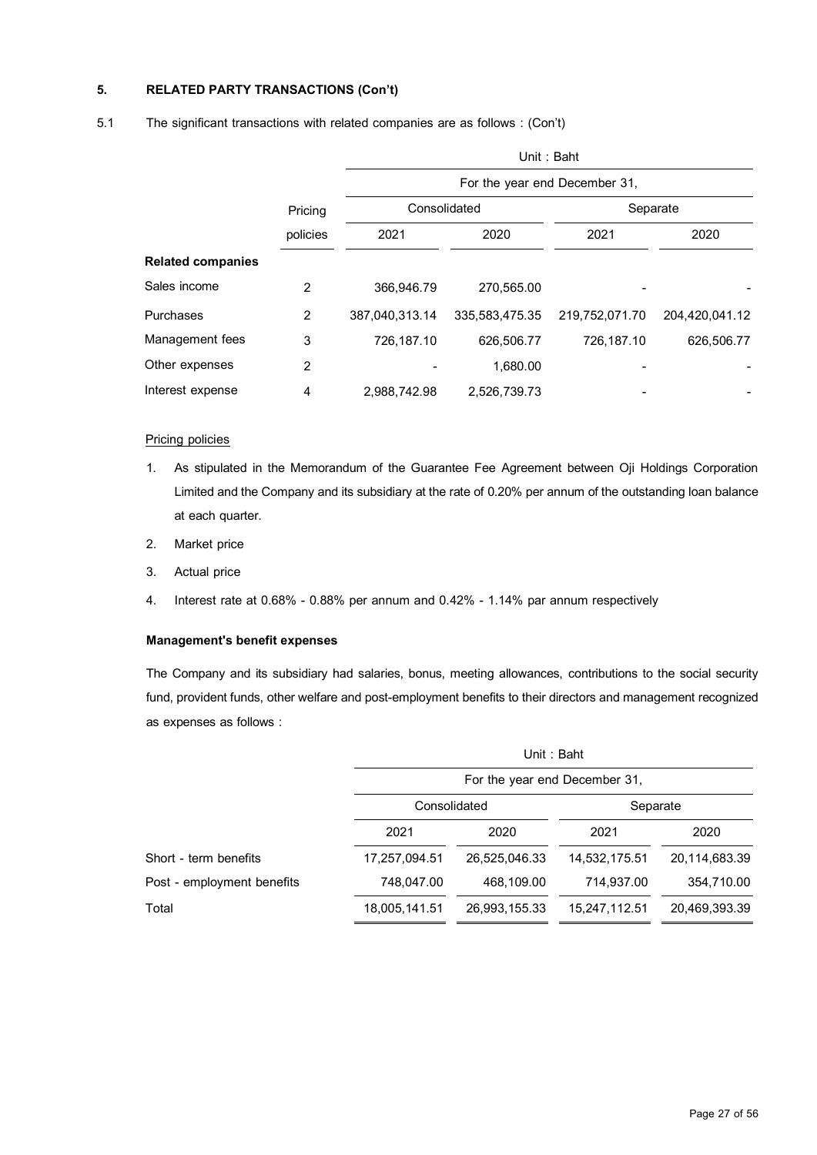# **5. RELATED PARTY TRANSACTIONS (Con't)**

# 5.1 The significant transactions with related companies are as follows : (Con't)

|                          |                |                | Unit: Baht                    |                |                |  |  |  |  |
|--------------------------|----------------|----------------|-------------------------------|----------------|----------------|--|--|--|--|
|                          |                |                | For the year end December 31, |                |                |  |  |  |  |
|                          | Pricing        | Consolidated   |                               | Separate       |                |  |  |  |  |
|                          | policies       | 2021<br>2020   |                               | 2021           | 2020           |  |  |  |  |
| <b>Related companies</b> |                |                |                               |                |                |  |  |  |  |
| Sales income             | 2              | 366,946.79     | 270,565.00                    |                |                |  |  |  |  |
| Purchases                | 2              | 387,040,313.14 | 335,583,475.35                | 219,752,071.70 | 204,420,041.12 |  |  |  |  |
| Management fees          | 3              | 726,187.10     | 626,506.77                    | 726,187.10     | 626,506.77     |  |  |  |  |
| Other expenses           | $\overline{2}$ |                | 1,680.00                      |                |                |  |  |  |  |
| Interest expense         | 4              | 2,988,742.98   | 2,526,739.73                  |                |                |  |  |  |  |

## **Pricing policies**

- 1. As stipulated in the Memorandum of the Guarantee Fee Agreement between Oji Holdings Corporation Limited and the Company and its subsidiary at the rate of 0.20% per annum of the outstanding loan balance at each quarter.
- 2. Market price
- 3. Actual price
- 4. Interest rate at 0.68% 0.88% per annum and 0.42% 1.14% par annum respectively

# **Management's benefit expenses**

The Company and its subsidiary had salaries, bonus, meeting allowances, contributions to the social security fund, provident funds, other welfare and post-employment benefits to their directors and management recognized as expenses as follows :

|                            |               | Unit: Baht<br>For the year end December 31. |               |               |  |  |  |  |
|----------------------------|---------------|---------------------------------------------|---------------|---------------|--|--|--|--|
|                            |               |                                             |               |               |  |  |  |  |
|                            | Consolidated  |                                             |               | Separate      |  |  |  |  |
|                            | 2021          | 2020                                        | 2021          | 2020          |  |  |  |  |
| Short - term benefits      | 17,257,094.51 | 26,525,046.33                               | 14,532,175.51 | 20,114,683.39 |  |  |  |  |
| Post - employment benefits | 748,047.00    | 468,109.00                                  | 714,937.00    | 354,710.00    |  |  |  |  |
| Total                      | 18,005,141.51 | 26,993,155.33                               | 15,247,112.51 | 20,469,393.39 |  |  |  |  |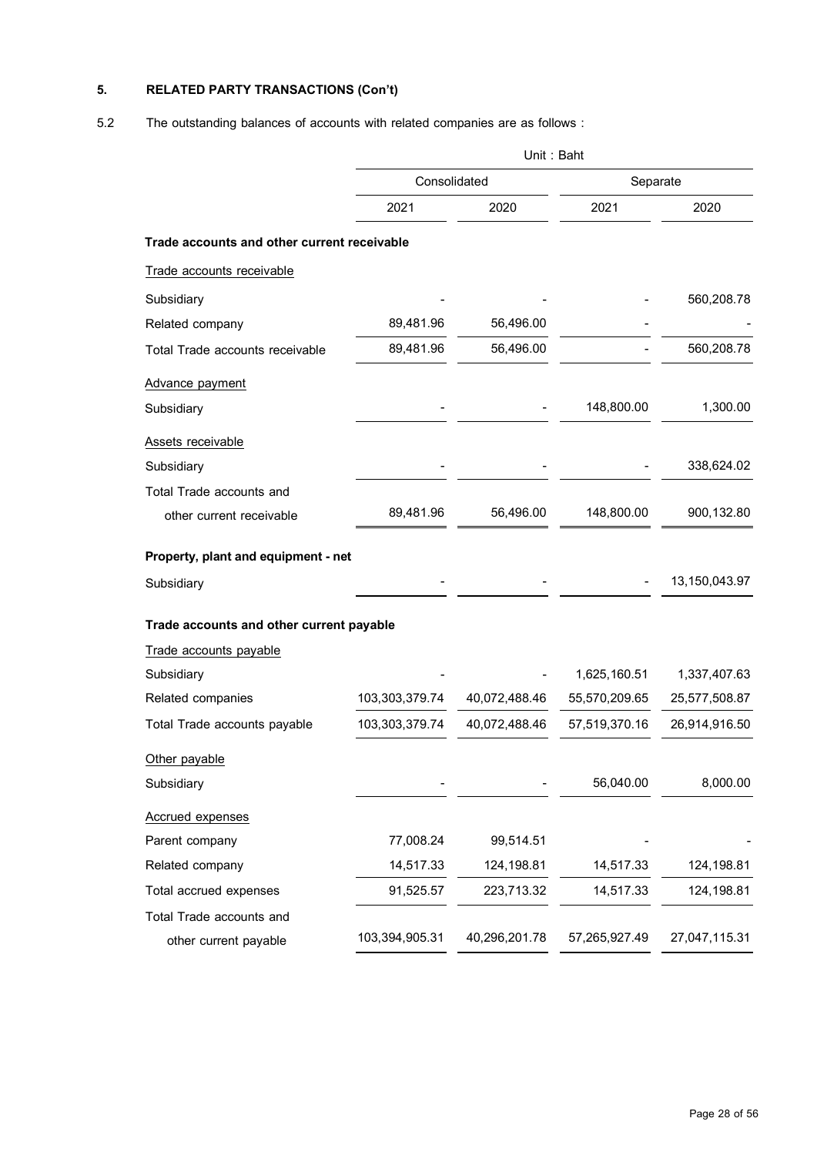# **5. RELATED PARTY TRANSACTIONS (Con't)**

# 5.2 The outstanding balances of accounts with related companies are as follows :

|                                             | Unit: Baht     |               |               |               |  |  |
|---------------------------------------------|----------------|---------------|---------------|---------------|--|--|
|                                             | Consolidated   |               | Separate      |               |  |  |
|                                             | 2021           | 2020          | 2021          | 2020          |  |  |
| Trade accounts and other current receivable |                |               |               |               |  |  |
| Trade accounts receivable                   |                |               |               |               |  |  |
| Subsidiary                                  |                |               |               | 560,208.78    |  |  |
| Related company                             | 89,481.96      | 56,496.00     |               |               |  |  |
| Total Trade accounts receivable             | 89,481.96      | 56,496.00     |               | 560,208.78    |  |  |
| Advance payment                             |                |               |               |               |  |  |
| Subsidiary                                  |                |               | 148,800.00    | 1,300.00      |  |  |
| Assets receivable                           |                |               |               |               |  |  |
| Subsidiary                                  |                |               |               | 338,624.02    |  |  |
| Total Trade accounts and                    |                |               |               |               |  |  |
| other current receivable                    | 89,481.96      | 56,496.00     | 148,800.00    | 900,132.80    |  |  |
| Property, plant and equipment - net         |                |               |               |               |  |  |
| Subsidiary                                  |                |               |               | 13,150,043.97 |  |  |
| Trade accounts and other current payable    |                |               |               |               |  |  |
| Trade accounts payable                      |                |               |               |               |  |  |
| Subsidiary                                  |                |               | 1,625,160.51  | 1,337,407.63  |  |  |
| Related companies                           | 103,303,379.74 | 40,072,488.46 | 55,570,209.65 | 25,577,508.87 |  |  |
| Total Trade accounts payable                | 103,303,379.74 | 40,072,488.46 | 57,519,370.16 | 26,914,916.50 |  |  |
| Other pavable                               |                |               |               |               |  |  |
| Subsidiary                                  |                |               | 56,040.00     | 8,000.00      |  |  |
| Accrued expenses                            |                |               |               |               |  |  |
| Parent company                              | 77,008.24      | 99,514.51     |               |               |  |  |
| Related company                             | 14,517.33      | 124,198.81    | 14,517.33     | 124,198.81    |  |  |
| Total accrued expenses                      | 91,525.57      | 223,713.32    | 14,517.33     | 124,198.81    |  |  |
| Total Trade accounts and                    |                |               |               |               |  |  |
| other current payable                       | 103,394,905.31 | 40,296,201.78 | 57,265,927.49 | 27,047,115.31 |  |  |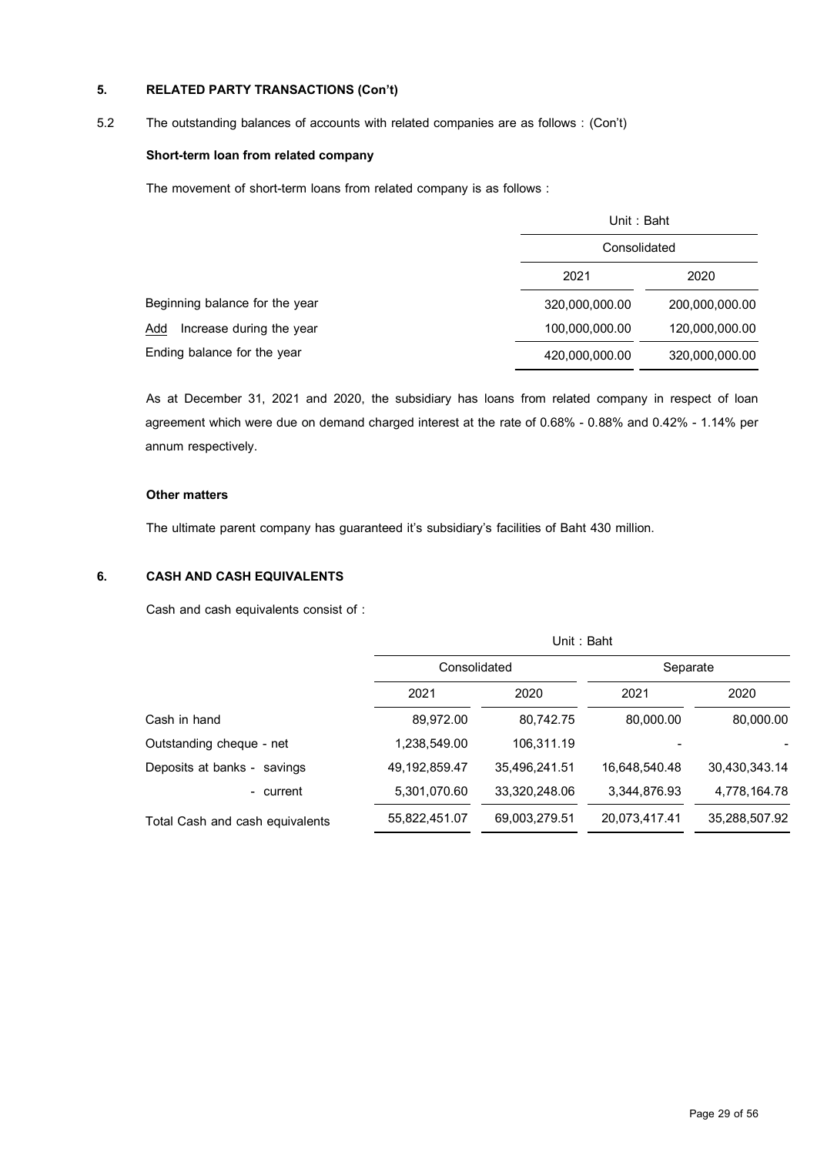# **5. RELATED PARTY TRANSACTIONS (Con't)**

# 5.2 The outstanding balances of accounts with related companies are as follows : (Con't)

## **Short-term loan from related company**

The movement of short-term loans from related company is as follows :

|                                 | Unit: Baht     |                |  |
|---------------------------------|----------------|----------------|--|
|                                 | Consolidated   |                |  |
|                                 | 2021           | 2020           |  |
| Beginning balance for the year  | 320,000,000.00 | 200,000,000.00 |  |
| Increase during the year<br>Add | 100,000,000.00 | 120,000,000.00 |  |
| Ending balance for the year     | 420,000,000.00 | 320,000,000.00 |  |

As at December 31, 2021 and 2020, the subsidiary has loans from related company in respect of loan agreement which were due on demand charged interest at the rate of 0.68% - 0.88% and 0.42% - 1.14% per annum respectively.

# **Other matters**

The ultimate parent company has guaranteed it's subsidiary's facilities of Baht 430 million.

# **6. CASH AND CASH EQUIVALENTS**

Cash and cash equivalents consist of :

|                                 |                  | Unit: Baht    |               |               |  |  |  |
|---------------------------------|------------------|---------------|---------------|---------------|--|--|--|
|                                 | Consolidated     |               | Separate      |               |  |  |  |
|                                 | 2021             | 2020          | 2021          | 2020          |  |  |  |
| Cash in hand                    | 89,972.00        | 80,742.75     | 80,000.00     | 80,000.00     |  |  |  |
| Outstanding cheque - net        | 1,238,549.00     | 106,311.19    |               |               |  |  |  |
| Deposits at banks -<br>savings  | 49, 192, 859. 47 | 35,496,241.51 | 16,648,540.48 | 30,430,343.14 |  |  |  |
| - current                       | 5,301,070.60     | 33,320,248.06 | 3,344,876.93  | 4,778,164.78  |  |  |  |
| Total Cash and cash equivalents | 55,822,451.07    | 69,003,279.51 | 20,073,417.41 | 35,288,507.92 |  |  |  |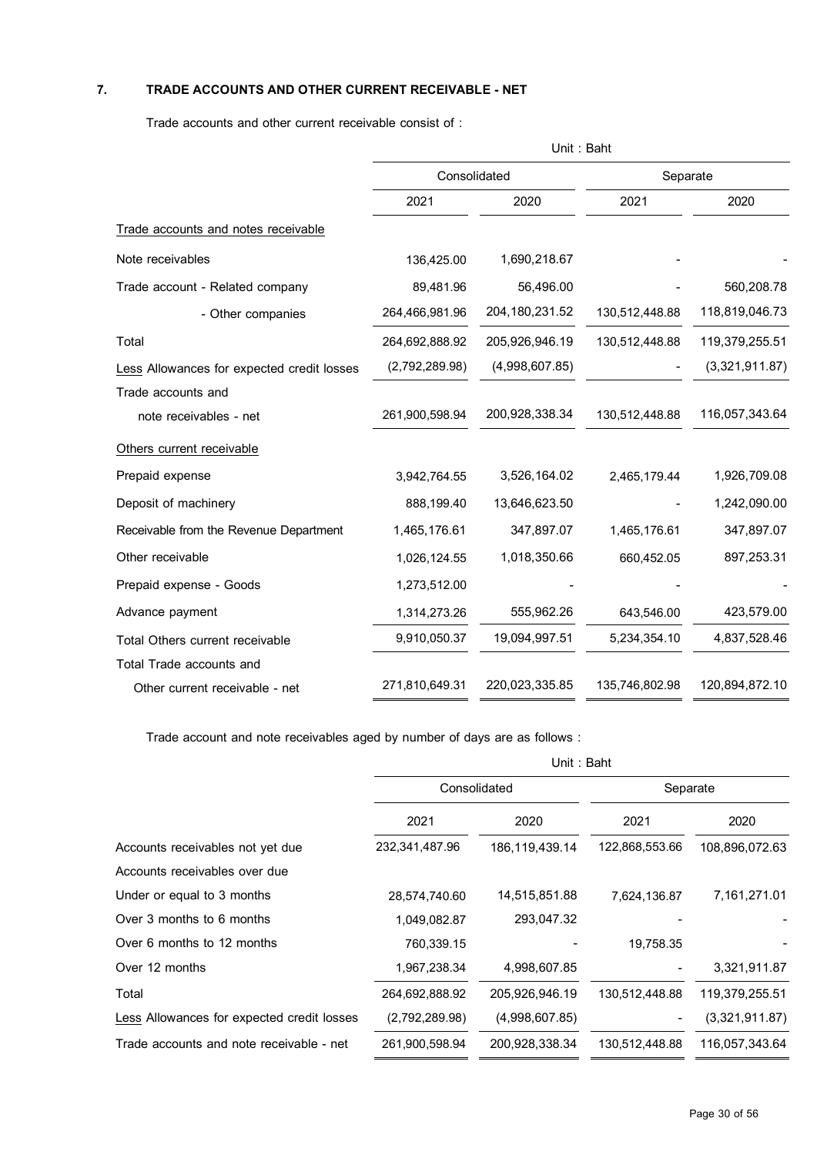# **7. TRADE ACCOUNTS AND OTHER CURRENT RECEIVABLE - NET**

Trade accounts and other current receivable consist of :

|                                            | Unit: Baht     |                  |                |                |  |
|--------------------------------------------|----------------|------------------|----------------|----------------|--|
|                                            | Consolidated   |                  | Separate       |                |  |
|                                            | 2021           | 2020             | 2021           | 2020           |  |
| Trade accounts and notes receivable        |                |                  |                |                |  |
| Note receivables                           | 136,425.00     | 1,690,218.67     |                |                |  |
| Trade account - Related company            | 89,481.96      | 56,496.00        |                | 560,208.78     |  |
| - Other companies                          | 264,466,981.96 | 204, 180, 231.52 | 130,512,448.88 | 118,819,046.73 |  |
| Total                                      | 264,692,888.92 | 205,926,946.19   | 130,512,448.88 | 119,379,255.51 |  |
| Less Allowances for expected credit losses | (2,792,289.98) | (4,998,607.85)   |                | (3,321,911.87) |  |
| Trade accounts and                         |                |                  |                |                |  |
| note receivables - net                     | 261,900,598.94 | 200,928,338.34   | 130,512,448.88 | 116,057,343.64 |  |
| Others current receivable                  |                |                  |                |                |  |
| Prepaid expense                            | 3,942,764.55   | 3,526,164.02     | 2,465,179.44   | 1,926,709.08   |  |
| Deposit of machinery                       | 888,199.40     | 13,646,623.50    |                | 1,242,090.00   |  |
| Receivable from the Revenue Department     | 1,465,176.61   | 347,897.07       | 1,465,176.61   | 347,897.07     |  |
| Other receivable                           | 1,026,124.55   | 1,018,350.66     | 660,452.05     | 897,253.31     |  |
| Prepaid expense - Goods                    | 1,273,512.00   |                  |                |                |  |
| Advance payment                            | 1,314,273.26   | 555,962.26       | 643,546.00     | 423,579.00     |  |
| Total Others current receivable            | 9,910,050.37   | 19,094,997.51    | 5,234,354.10   | 4,837,528.46   |  |
| Total Trade accounts and                   |                |                  |                |                |  |
| Other current receivable - net             | 271,810,649.31 | 220,023,335.85   | 135,746,802.98 | 120,894,872.10 |  |
|                                            |                |                  |                |                |  |

Trade account and note receivables aged by number of days are as follows :

|                                            | Unit: Baht     |                |                |                |  |  |
|--------------------------------------------|----------------|----------------|----------------|----------------|--|--|
|                                            |                | Consolidated   |                | Separate       |  |  |
|                                            | 2021           | 2020           | 2021           | 2020           |  |  |
| Accounts receivables not yet due           | 232,341,487.96 | 186,119,439.14 | 122,868,553.66 | 108,896,072.63 |  |  |
| Accounts receivables over due              |                |                |                |                |  |  |
| Under or equal to 3 months                 | 28,574,740.60  | 14,515,851.88  | 7,624,136.87   | 7,161,271.01   |  |  |
| Over 3 months to 6 months                  | 1,049,082.87   | 293,047.32     |                |                |  |  |
| Over 6 months to 12 months                 | 760,339.15     |                | 19,758.35      |                |  |  |
| Over 12 months                             | 1,967,238.34   | 4,998,607.85   |                | 3,321,911.87   |  |  |
| Total                                      | 264,692,888.92 | 205,926,946.19 | 130,512,448.88 | 119,379,255.51 |  |  |
| Less Allowances for expected credit losses | (2,792,289.98) | (4,998,607.85) |                | (3,321,911.87) |  |  |
| Trade accounts and note receivable - net   | 261,900,598.94 | 200,928,338.34 | 130,512,448.88 | 116,057,343.64 |  |  |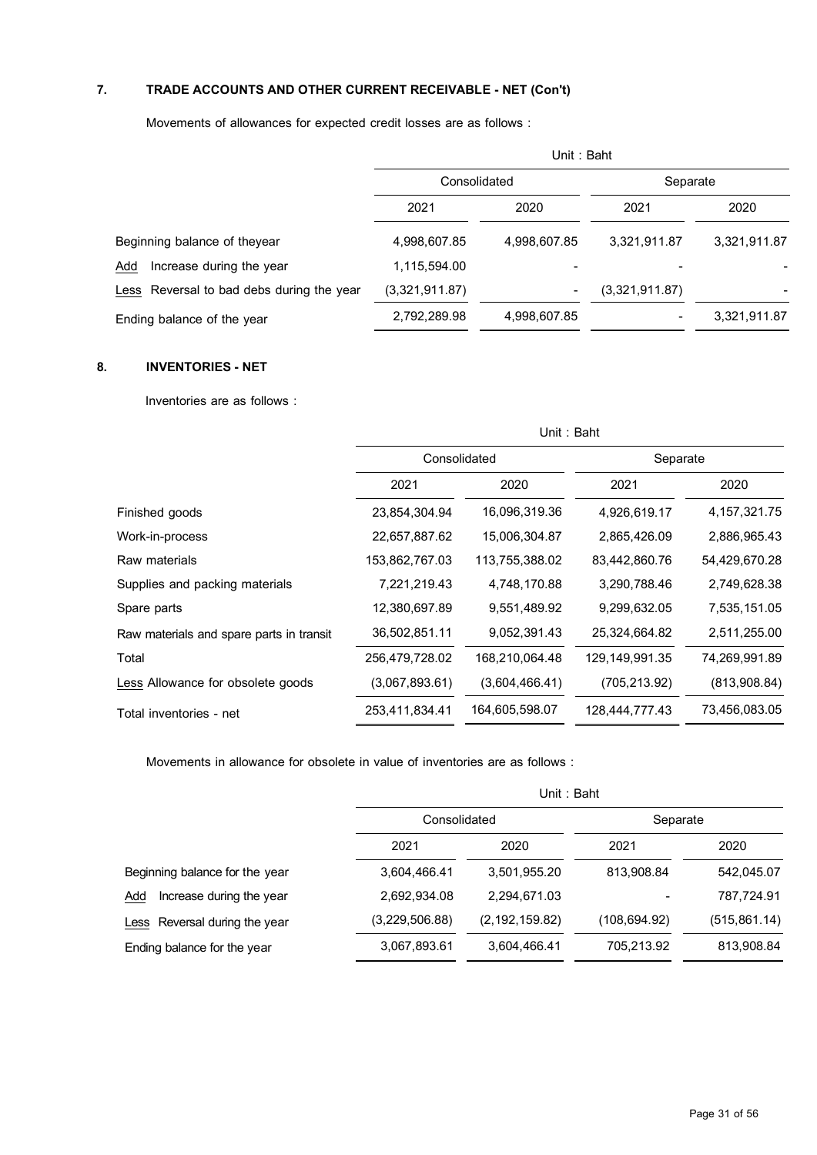# **7. TRADE ACCOUNTS AND OTHER CURRENT RECEIVABLE - NET (Con't)**

Movements of allowances for expected credit losses are as follows :

|                                           | Unit: Baht     |              |                |              |  |
|-------------------------------------------|----------------|--------------|----------------|--------------|--|
|                                           | Consolidated   |              | Separate       |              |  |
|                                           | 2021           | 2020         | 2021           | 2020         |  |
| Beginning balance of theyear              | 4,998,607.85   | 4,998,607.85 | 3,321,911.87   | 3,321,911.87 |  |
| Increase during the year<br>Add           | 1,115,594.00   |              |                |              |  |
| Less Reversal to bad debs during the year | (3,321,911.87) | ۰            | (3,321,911.87) |              |  |
| Ending balance of the year                | 2,792,289.98   | 4,998,607.85 |                | 3,321,911.87 |  |

# **8. INVENTORIES - NET**

Inventories are as follows :

|                                          | Unit: Baht     |                |                |                 |  |  |
|------------------------------------------|----------------|----------------|----------------|-----------------|--|--|
|                                          | Consolidated   |                |                | Separate        |  |  |
|                                          | 2021           | 2020           | 2021           | 2020            |  |  |
| Finished goods                           | 23,854,304.94  | 16,096,319.36  | 4,926,619.17   | 4, 157, 321. 75 |  |  |
| Work-in-process                          | 22,657,887.62  | 15,006,304.87  | 2,865,426.09   | 2,886,965.43    |  |  |
| Raw materials                            | 153,862,767.03 | 113,755,388.02 | 83,442,860.76  | 54,429,670.28   |  |  |
| Supplies and packing materials           | 7,221,219.43   | 4,748,170.88   | 3,290,788.46   | 2,749,628.38    |  |  |
| Spare parts                              | 12,380,697.89  | 9,551,489.92   | 9,299,632.05   | 7,535,151.05    |  |  |
| Raw materials and spare parts in transit | 36,502,851.11  | 9,052,391.43   | 25,324,664.82  | 2,511,255.00    |  |  |
| Total                                    | 256,479,728.02 | 168,210,064.48 | 129,149,991.35 | 74,269,991.89   |  |  |
| Less Allowance for obsolete goods        | (3,067,893.61) | (3,604,466.41) | (705, 213.92)  | (813,908.84)    |  |  |
| Total inventories - net                  | 253,411,834.41 | 164,605,598.07 | 128,444,777.43 | 73,456,083.05   |  |  |

Movements in allowance for obsolete in value of inventories are as follows :

|                                 | Unit: Baht     |                  |              |               |  |  |
|---------------------------------|----------------|------------------|--------------|---------------|--|--|
|                                 | Consolidated   |                  | Separate     |               |  |  |
|                                 | 2021           | 2020             | 2021         | 2020          |  |  |
| Beginning balance for the year  | 3,604,466.41   | 3,501,955.20     | 813,908.84   | 542,045.07    |  |  |
| Increase during the year<br>Add | 2,692,934.08   | 2,294,671.03     |              | 787,724.91    |  |  |
| Less Reversal during the year   | (3,229,506.88) | (2, 192, 159.82) | (108,694.92) | (515, 861.14) |  |  |
| Ending balance for the year     | 3,067,893.61   | 3,604,466.41     | 705,213.92   | 813,908.84    |  |  |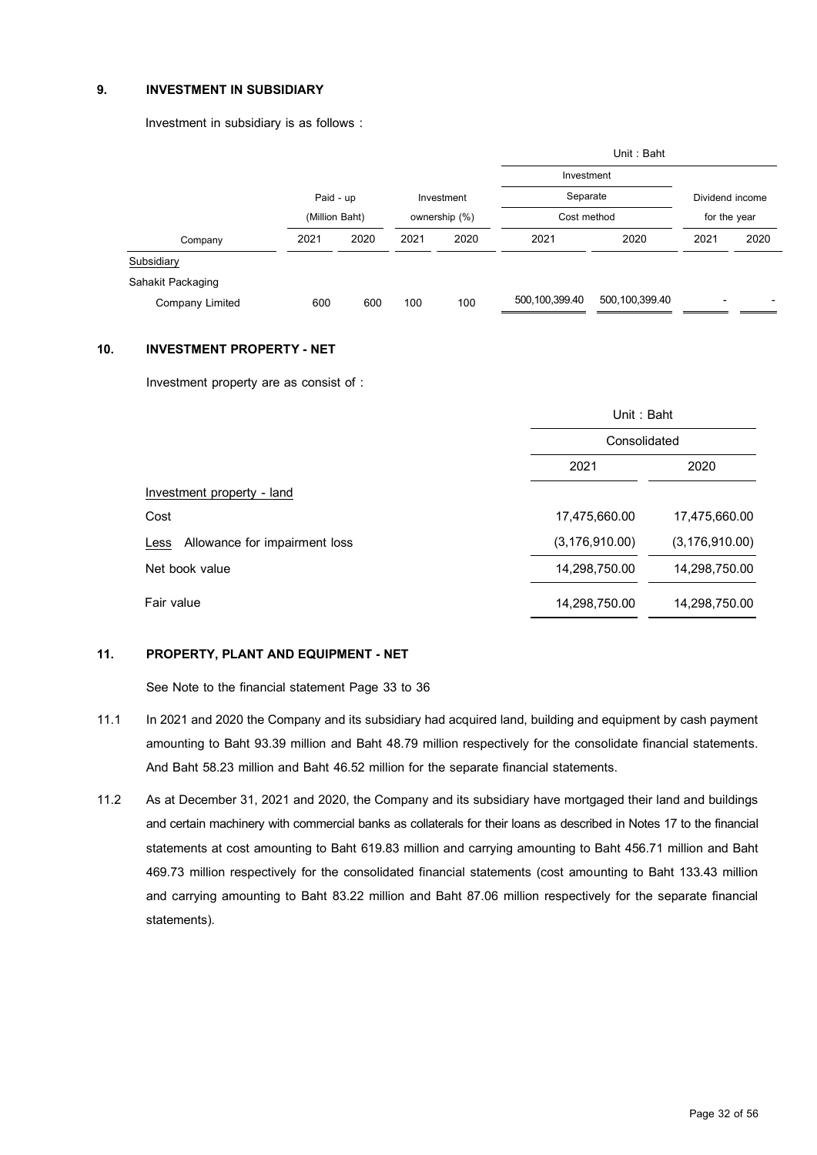# **9. INVESTMENT IN SUBSIDIARY**

Investment in subsidiary is as follows :

|                        |                |      |      |               | Unit: Baht     |                |                          |      |
|------------------------|----------------|------|------|---------------|----------------|----------------|--------------------------|------|
|                        |                |      |      |               | Investment     |                |                          |      |
|                        | Paid - up      |      |      | Investment    | Separate       |                | Dividend income          |      |
|                        | (Million Baht) |      |      | ownership (%) | Cost method    |                | for the year             |      |
| Company                | 2021           | 2020 | 2021 | 2020          | 2021           | 2020           | 2021                     | 2020 |
| Subsidiary             |                |      |      |               |                |                |                          |      |
| Sahakit Packaging      |                |      |      |               |                |                |                          |      |
| <b>Company Limited</b> | 600            | 600  | 100  | 100           | 500,100,399.40 | 500,100,399.40 | $\overline{\phantom{0}}$ |      |

### **10. INVESTMENT PROPERTY - NET**

Investment property are as consist of :

|                                       | Unit: Baht<br>Consolidated |                  |  |  |
|---------------------------------------|----------------------------|------------------|--|--|
|                                       |                            |                  |  |  |
|                                       | 2021                       | 2020             |  |  |
| Investment property - land            |                            |                  |  |  |
| Cost                                  | 17,475,660.00              | 17,475,660.00    |  |  |
| Less<br>Allowance for impairment loss | (3, 176, 910.00)           | (3, 176, 910.00) |  |  |
| Net book value                        | 14,298,750.00              | 14,298,750.00    |  |  |
| Fair value                            | 14,298,750.00              | 14,298,750.00    |  |  |

# **11. PROPERTY, PLANT AND EQUIPMENT - NET**

See Note to the financial statement Page 33 to 36

- 11.1 In 2021 and 2020 the Company and its subsidiary had acquired land, building and equipment by cash payment amounting to Baht 93.39 million and Baht 48.79 million respectively for the consolidate financial statements. And Baht 58.23 million and Baht 46.52 million for the separate financial statements.
- 11.2 As at December 31, 2021 and 2020, the Company and its subsidiary have mortgaged their land and buildings and certain machinery with commercial banks as collaterals for their loans as described in Notes 17 to the financial statements at cost amounting to Baht 619.83 million and carrying amounting to Baht 456.71 million and Baht 469.73 million respectively for the consolidated financial statements (cost amounting to Baht 133.43 million and carrying amounting to Baht 83.22 million and Baht 87.06 million respectively for the separate financial statements).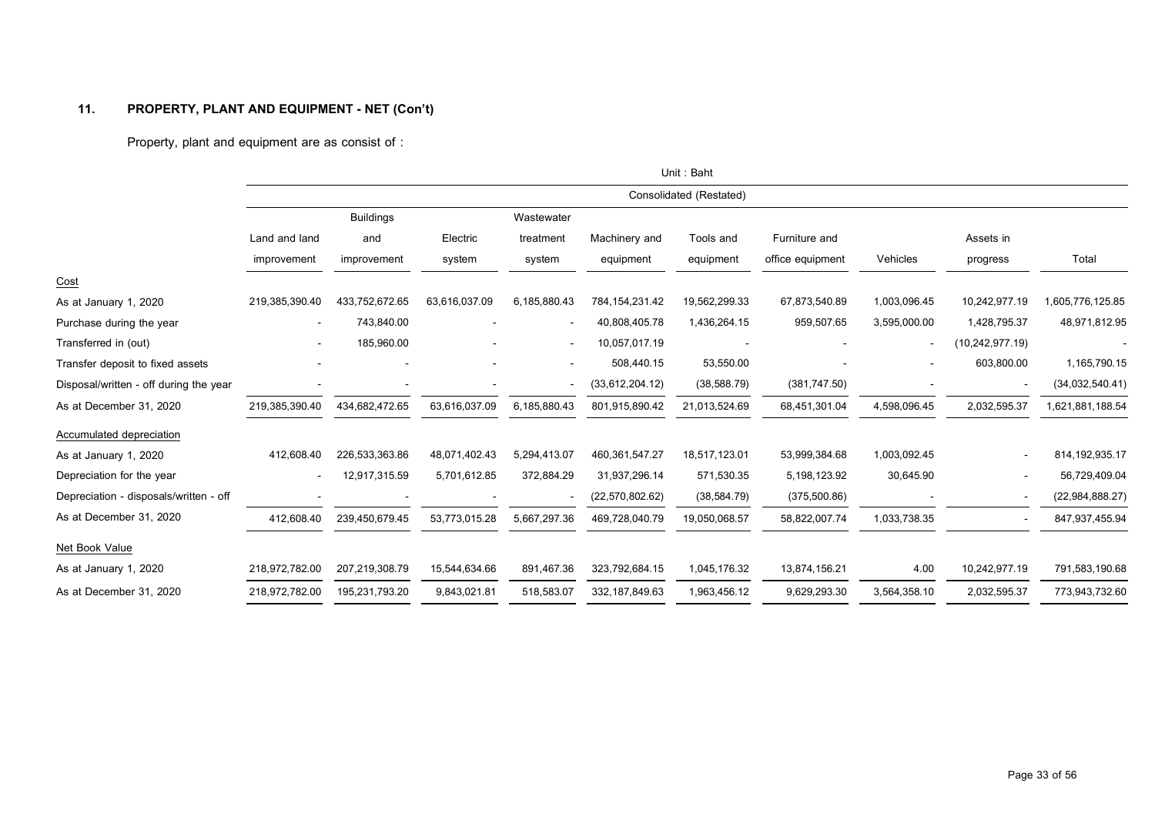Property, plant and equipment are as consist of :

|                                        | Unit: Baht              |                  |               |              |                   |               |                  |                |                   |                   |
|----------------------------------------|-------------------------|------------------|---------------|--------------|-------------------|---------------|------------------|----------------|-------------------|-------------------|
|                                        | Consolidated (Restated) |                  |               |              |                   |               |                  |                |                   |                   |
|                                        |                         | <b>Buildings</b> |               | Wastewater   |                   |               |                  |                |                   |                   |
|                                        | Land and land           | and              | Electric      | treatment    | Machinery and     | Tools and     | Furniture and    |                | Assets in         |                   |
|                                        | improvement             | improvement      | system        | system       | equipment         | equipment     | office equipment | Vehicles       | progress          | Total             |
| Cost                                   |                         |                  |               |              |                   |               |                  |                |                   |                   |
| As at January 1, 2020                  | 219,385,390.40          | 433,752,672.65   | 63,616,037.09 | 6,185,880.43 | 784, 154, 231.42  | 19,562,299.33 | 67,873,540.89    | 1,003,096.45   | 10,242,977.19     | 1,605,776,125.85  |
| Purchase during the year               |                         | 743,840.00       |               |              | 40,808,405.78     | 1,436,264.15  | 959,507.65       | 3,595,000.00   | 1,428,795.37      | 48,971,812.95     |
| Transferred in (out)                   |                         | 185,960.00       |               |              | 10,057,017.19     |               |                  | $\blacksquare$ | (10, 242, 977.19) |                   |
| Transfer deposit to fixed assets       |                         |                  |               |              | 508,440.15        | 53,550.00     |                  |                | 603,800.00        | 1,165,790.15      |
| Disposal/written - off during the year |                         |                  |               |              | (33,612,204.12)   | (38, 588.79)  | (381, 747.50)    |                |                   | (34,032,540.41)   |
| As at December 31, 2020                | 219,385,390.40          | 434,682,472.65   | 63,616,037.09 | 6,185,880.43 | 801,915,890.42    | 21,013,524.69 | 68,451,301.04    | 4,598,096.45   | 2,032,595.37      | 1,621,881,188.54  |
| Accumulated depreciation               |                         |                  |               |              |                   |               |                  |                |                   |                   |
| As at January 1, 2020                  | 412,608.40              | 226,533,363.86   | 48,071,402.43 | 5,294,413.07 | 460,361,547.27    | 18,517,123.01 | 53,999,384.68    | 1,003,092.45   |                   | 814, 192, 935. 17 |
| Depreciation for the year              |                         | 12,917,315.59    | 5,701,612.85  | 372,884.29   | 31,937,296.14     | 571,530.35    | 5,198,123.92     | 30,645.90      |                   | 56,729,409.04     |
| Depreciation - disposals/written - off |                         |                  |               |              | (22, 570, 802.62) | (38, 584.79)  | (375,500.86)     |                | $\blacksquare$    | (22, 984, 888.27) |
| As at December 31, 2020                | 412,608.40              | 239,450,679.45   | 53,773,015.28 | 5,667,297.36 | 469,728,040.79    | 19,050,068.57 | 58,822,007.74    | 1,033,738.35   |                   | 847,937,455.94    |
| Net Book Value                         |                         |                  |               |              |                   |               |                  |                |                   |                   |
| As at January 1, 2020                  | 218,972,782.00          | 207,219,308.79   | 15,544,634.66 | 891,467.36   | 323,792,684.15    | 1,045,176.32  | 13,874,156.21    | 4.00           | 10,242,977.19     | 791,583,190.68    |
| As at December 31, 2020                | 218,972,782.00          | 195,231,793.20   | 9,843,021.81  | 518,583.07   | 332, 187, 849.63  | 1,963,456.12  | 9,629,293.30     | 3,564,358.10   | 2,032,595.37      | 773,943,732.60    |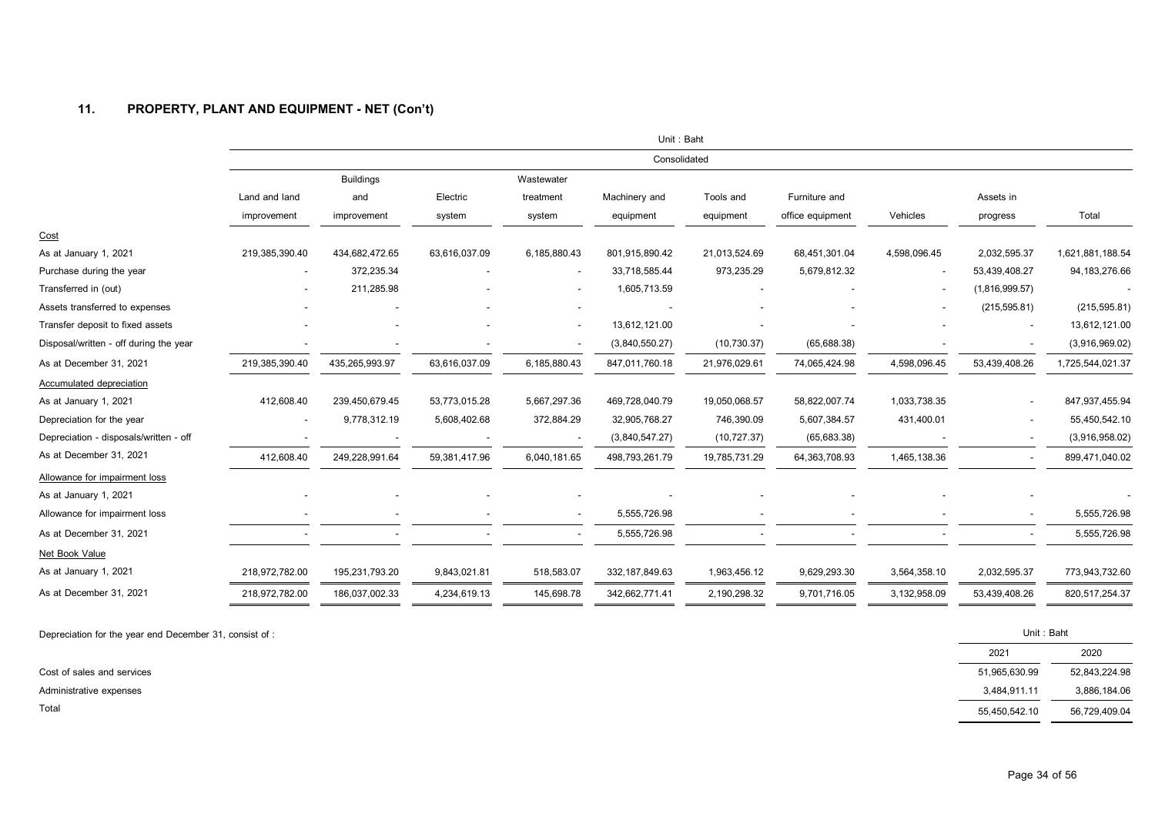|                                        | Unit: Baht     |                  |               |                |                  |               |                  |                          |                          |                  |
|----------------------------------------|----------------|------------------|---------------|----------------|------------------|---------------|------------------|--------------------------|--------------------------|------------------|
|                                        |                | Consolidated     |               |                |                  |               |                  |                          |                          |                  |
|                                        |                | <b>Buildings</b> |               | Wastewater     |                  |               |                  |                          |                          |                  |
|                                        | Land and land  | and              | Electric      | treatment      | Machinery and    | Tools and     | Furniture and    |                          | Assets in                |                  |
|                                        | improvement    | improvement      | system        | system         | equipment        | equipment     | office equipment | Vehicles                 | progress                 | Total            |
| <u>Cost</u>                            |                |                  |               |                |                  |               |                  |                          |                          |                  |
| As at January 1, 2021                  | 219,385,390.40 | 434,682,472.65   | 63,616,037.09 | 6,185,880.43   | 801,915,890.42   | 21,013,524.69 | 68,451,301.04    | 4,598,096.45             | 2,032,595.37             | 1,621,881,188.54 |
| Purchase during the year               |                | 372,235.34       |               |                | 33,718,585.44    | 973,235.29    | 5,679,812.32     | $\overline{\phantom{a}}$ | 53,439,408.27            | 94, 183, 276.66  |
| Transferred in (out)                   |                | 211,285.98       |               |                | 1,605,713.59     |               |                  |                          | (1,816,999.57)           |                  |
| Assets transferred to expenses         |                |                  |               |                |                  |               |                  |                          | (215, 595.81)            | (215, 595.81)    |
| Transfer deposit to fixed assets       |                |                  |               | $\blacksquare$ | 13,612,121.00    |               |                  |                          |                          | 13,612,121.00    |
| Disposal/written - off during the year |                |                  |               |                | (3,840,550.27)   | (10, 730.37)  | (65,688.38)      |                          |                          | (3,916,969.02)   |
| As at December 31, 2021                | 219,385,390.40 | 435,265,993.97   | 63,616,037.09 | 6,185,880.43   | 847,011,760.18   | 21,976,029.61 | 74,065,424.98    | 4,598,096.45             | 53,439,408.26            | 1,725,544,021.37 |
| Accumulated depreciation               |                |                  |               |                |                  |               |                  |                          |                          |                  |
| As at January 1, 2021                  | 412,608.40     | 239,450,679.45   | 53,773,015.28 | 5,667,297.36   | 469,728,040.79   | 19,050,068.57 | 58,822,007.74    | 1,033,738.35             |                          | 847,937,455.94   |
| Depreciation for the year              |                | 9,778,312.19     | 5,608,402.68  | 372,884.29     | 32,905,768.27    | 746,390.09    | 5,607,384.57     | 431,400.01               | $\blacksquare$           | 55,450,542.10    |
| Depreciation - disposals/written - off |                |                  |               |                | (3,840,547.27)   | (10, 727.37)  | (65, 683.38)     |                          | $\sim$                   | (3,916,958.02)   |
| As at December 31, 2021                | 412,608.40     | 249,228,991.64   | 59,381,417.96 | 6,040,181.65   | 498,793,261.79   | 19,785,731.29 | 64,363,708.93    | 1,465,138.36             |                          | 899,471,040.02   |
| Allowance for impairment loss          |                |                  |               |                |                  |               |                  |                          |                          |                  |
| As at January 1, 2021                  |                |                  |               |                |                  |               |                  |                          |                          |                  |
| Allowance for impairment loss          |                |                  |               | $\blacksquare$ | 5,555,726.98     |               |                  |                          | $\overline{\phantom{a}}$ | 5,555,726.98     |
| As at December 31, 2021                |                |                  |               |                | 5,555,726.98     |               |                  |                          |                          | 5,555,726.98     |
| Net Book Value                         |                |                  |               |                |                  |               |                  |                          |                          |                  |
| As at January 1, 2021                  | 218,972,782.00 | 195,231,793.20   | 9,843,021.81  | 518,583.07     | 332, 187, 849.63 | 1,963,456.12  | 9,629,293.30     | 3,564,358.10             | 2,032,595.37             | 773,943,732.60   |
| As at December 31, 2021                | 218,972,782.00 | 186,037,002.33   | 4,234,619.13  | 145,698.78     | 342,662,771.41   | 2,190,298.32  | 9,701,716.05     | 3,132,958.09             | 53,439,408.26            | 820,517,254.37   |
|                                        |                |                  |               |                |                  |               |                  |                          |                          |                  |

| Depreciation for the year end December 31, consist of : |               | Unit: Baht    |  |
|---------------------------------------------------------|---------------|---------------|--|
|                                                         | 2021          | 2020          |  |
| Cost of sales and services                              | 51,965,630.99 | 52,843,224.98 |  |
| Administrative expenses                                 | 3,484,911.11  | 3,886,184.06  |  |
| Total                                                   | 55,450,542.10 | 56,729,409.04 |  |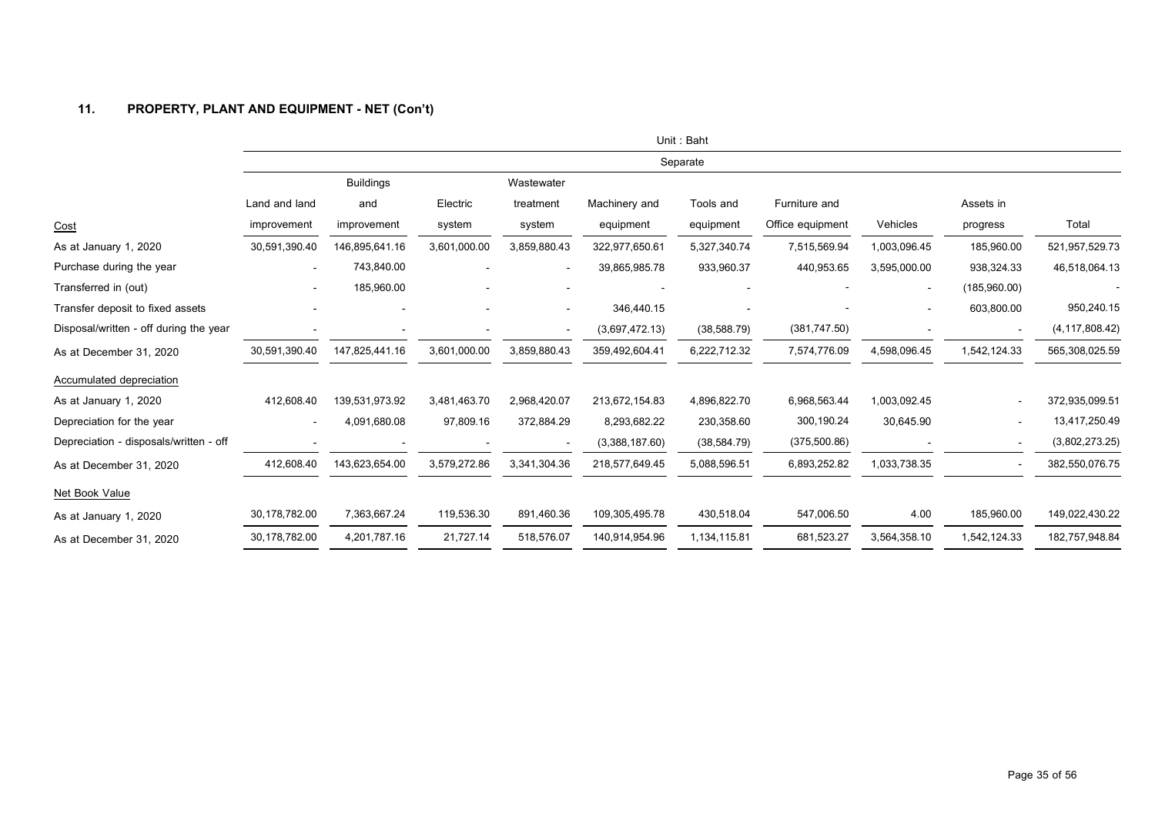|                                        |                          | Unit: Baht       |              |                          |                |              |                  |                          |              |                  |
|----------------------------------------|--------------------------|------------------|--------------|--------------------------|----------------|--------------|------------------|--------------------------|--------------|------------------|
|                                        |                          | Separate         |              |                          |                |              |                  |                          |              |                  |
|                                        |                          | <b>Buildings</b> |              | Wastewater               |                |              |                  |                          |              |                  |
|                                        | Land and land            | and              | Electric     | treatment                | Machinery and  | Tools and    | Furniture and    |                          | Assets in    |                  |
| Cost                                   | improvement              | improvement      | system       | system                   | equipment      | equipment    | Office equipment | Vehicles                 | progress     | Total            |
| As at January 1, 2020                  | 30,591,390.40            | 146,895,641.16   | 3,601,000.00 | 3,859,880.43             | 322,977,650.61 | 5,327,340.74 | 7,515,569.94     | 1,003,096.45             | 185,960.00   | 521,957,529.73   |
| Purchase during the year               | $\sim$                   | 743,840.00       |              | $\overline{\phantom{a}}$ | 39,865,985.78  | 933,960.37   | 440,953.65       | 3,595,000.00             | 938,324.33   | 46,518,064.13    |
| Transferred in (out)                   | $\overline{\phantom{a}}$ | 185,960.00       |              |                          |                |              |                  | $\overline{\phantom{a}}$ | (185,960.00) |                  |
| Transfer deposit to fixed assets       |                          |                  |              |                          | 346,440.15     |              |                  |                          | 603,800.00   | 950,240.15       |
| Disposal/written - off during the year |                          |                  |              |                          | (3,697,472.13) | (38,588.79)  | (381,747.50)     |                          |              | (4, 117, 808.42) |
| As at December 31, 2020                | 30,591,390.40            | 147,825,441.16   | 3,601,000.00 | 3,859,880.43             | 359,492,604.41 | 6,222,712.32 | 7,574,776.09     | 4,598,096.45             | 1,542,124.33 | 565,308,025.59   |
| Accumulated depreciation               |                          |                  |              |                          |                |              |                  |                          |              |                  |
| As at January 1, 2020                  | 412,608.40               | 139,531,973.92   | 3,481,463.70 | 2,968,420.07             | 213,672,154.83 | 4,896,822.70 | 6,968,563.44     | 1,003,092.45             |              | 372,935,099.51   |
| Depreciation for the year              | $\sim$                   | 4,091,680.08     | 97,809.16    | 372,884.29               | 8,293,682.22   | 230,358.60   | 300,190.24       | 30,645.90                |              | 13,417,250.49    |
| Depreciation - disposals/written - off |                          |                  |              |                          | (3,388,187.60) | (38, 584.79) | (375,500.86)     |                          |              | (3,802,273.25)   |
| As at December 31, 2020                | 412,608.40               | 143,623,654.00   | 3,579,272.86 | 3,341,304.36             | 218,577,649.45 | 5,088,596.51 | 6,893,252.82     | 1,033,738.35             |              | 382,550,076.75   |
| Net Book Value                         |                          |                  |              |                          |                |              |                  |                          |              |                  |
| As at January 1, 2020                  | 30,178,782.00            | 7,363,667.24     | 119,536.30   | 891,460.36               | 109,305,495.78 | 430,518.04   | 547,006.50       | 4.00                     | 185,960.00   | 149,022,430.22   |
| As at December 31, 2020                | 30,178,782.00            | 4,201,787.16     | 21,727.14    | 518,576.07               | 140,914,954.96 | 1,134,115.81 | 681,523.27       | 3,564,358.10             | 1,542,124.33 | 182,757,948.84   |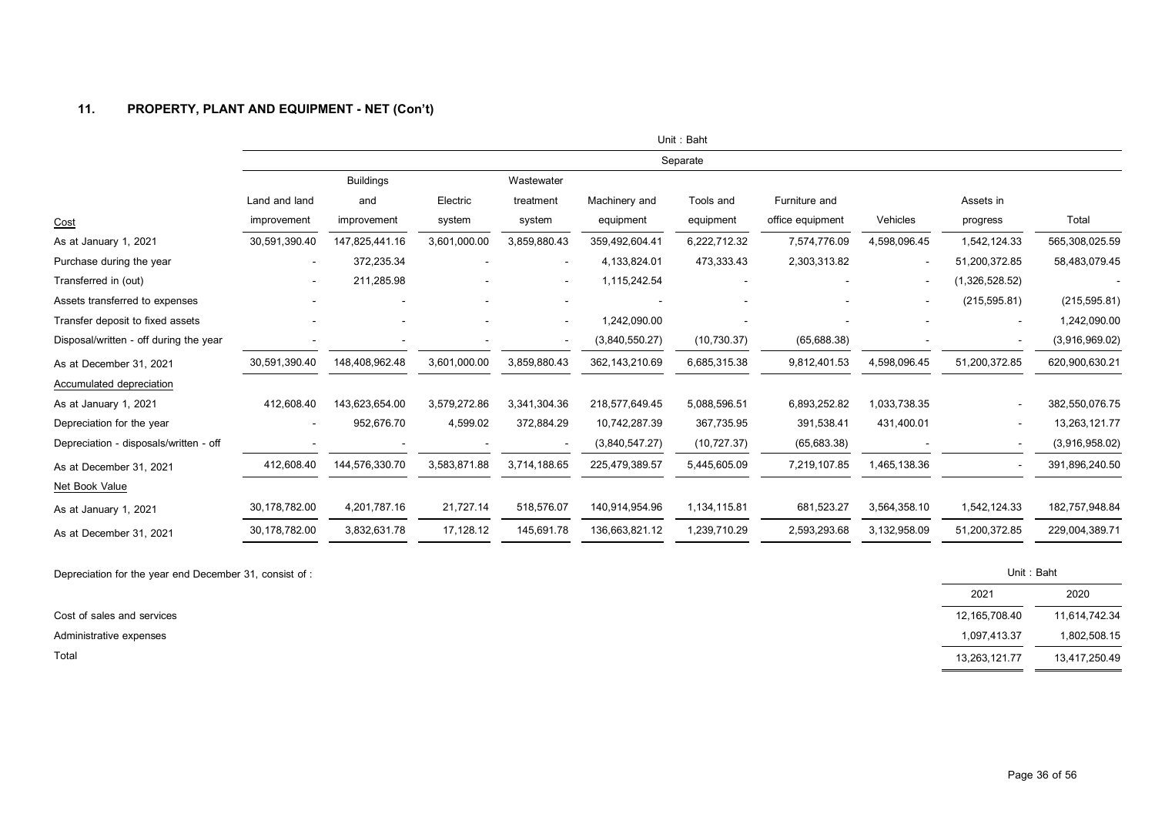|                                        |                          | Unit: Baht       |                          |                          |                |              |                  |                          |                |                |
|----------------------------------------|--------------------------|------------------|--------------------------|--------------------------|----------------|--------------|------------------|--------------------------|----------------|----------------|
|                                        |                          |                  |                          |                          |                | Separate     |                  |                          |                |                |
|                                        |                          | <b>Buildings</b> |                          | Wastewater               |                |              |                  |                          |                |                |
|                                        | Land and land            | and              | Electric                 | treatment                | Machinery and  | Tools and    | Furniture and    |                          | Assets in      |                |
| Cost                                   | improvement              | improvement      | system                   | system                   | equipment      | equipment    | office equipment | Vehicles                 | progress       | Total          |
| As at January 1, 2021                  | 30,591,390.40            | 147,825,441.16   | 3,601,000.00             | 3,859,880.43             | 359,492,604.41 | 6,222,712.32 | 7,574,776.09     | 4,598,096.45             | 1,542,124.33   | 565,308,025.59 |
| Purchase during the year               |                          | 372,235.34       |                          |                          | 4,133,824.01   | 473,333.43   | 2,303,313.82     |                          | 51,200,372.85  | 58,483,079.45  |
| Transferred in (out)                   | ۰                        | 211,285.98       |                          | $\blacksquare$           | 1,115,242.54   |              |                  | $\blacksquare$           | (1,326,528.52) |                |
| Assets transferred to expenses         | $\overline{\phantom{0}}$ |                  | $\overline{\phantom{a}}$ |                          |                |              |                  | $\overline{\phantom{a}}$ | (215, 595.81)  | (215, 595.81)  |
| Transfer deposit to fixed assets       | $\overline{\phantom{a}}$ |                  | $\overline{\phantom{0}}$ | $\blacksquare$           | 1,242,090.00   |              |                  |                          |                | 1,242,090.00   |
| Disposal/written - off during the year |                          |                  |                          | $\overline{\phantom{a}}$ | (3,840,550.27) | (10, 730.37) | (65,688.38)      |                          |                | (3,916,969.02) |
| As at December 31, 2021                | 30,591,390.40            | 148,408,962.48   | 3,601,000.00             | 3,859,880.43             | 362,143,210.69 | 6,685,315.38 | 9,812,401.53     | 4,598,096.45             | 51,200,372.85  | 620,900,630.21 |
| Accumulated depreciation               |                          |                  |                          |                          |                |              |                  |                          |                |                |
| As at January 1, 2021                  | 412,608.40               | 143,623,654.00   | 3,579,272.86             | 3,341,304.36             | 218,577,649.45 | 5,088,596.51 | 6,893,252.82     | 1,033,738.35             |                | 382,550,076.75 |
| Depreciation for the year              | $\overline{\phantom{a}}$ | 952,676.70       | 4,599.02                 | 372,884.29               | 10,742,287.39  | 367,735.95   | 391,538.41       | 431,400.01               |                | 13,263,121.77  |
| Depreciation - disposals/written - off |                          |                  |                          |                          | (3,840,547.27) | (10, 727.37) | (65, 683.38)     |                          |                | (3,916,958.02) |
| As at December 31, 2021                | 412,608.40               | 144,576,330.70   | 3,583,871.88             | 3,714,188.65             | 225,479,389.57 | 5,445,605.09 | 7,219,107.85     | 1,465,138.36             |                | 391,896,240.50 |
| Net Book Value                         |                          |                  |                          |                          |                |              |                  |                          |                |                |
| As at January 1, 2021                  | 30,178,782.00            | 4,201,787.16     | 21,727.14                | 518,576.07               | 140,914,954.96 | 1,134,115.81 | 681,523.27       | 3,564,358.10             | 1,542,124.33   | 182,757,948.84 |
| As at December 31, 2021                | 30,178,782.00            | 3,832,631.78     | 17,128.12                | 145,691.78               | 136,663,821.12 | 1,239,710.29 | 2,593,293.68     | 3,132,958.09             | 51,200,372.85  | 229,004,389.71 |

| Depreciation for the year end December 31, consist of : |               | Unit: Baht    |
|---------------------------------------------------------|---------------|---------------|
|                                                         | 2021          | 2020          |
| Cost of sales and services                              | 12,165,708.40 | 11,614,742.34 |
| Administrative expenses                                 | 1,097,413.37  | 1,802,508.15  |
| Total                                                   | 13,263,121.77 | 13,417,250.49 |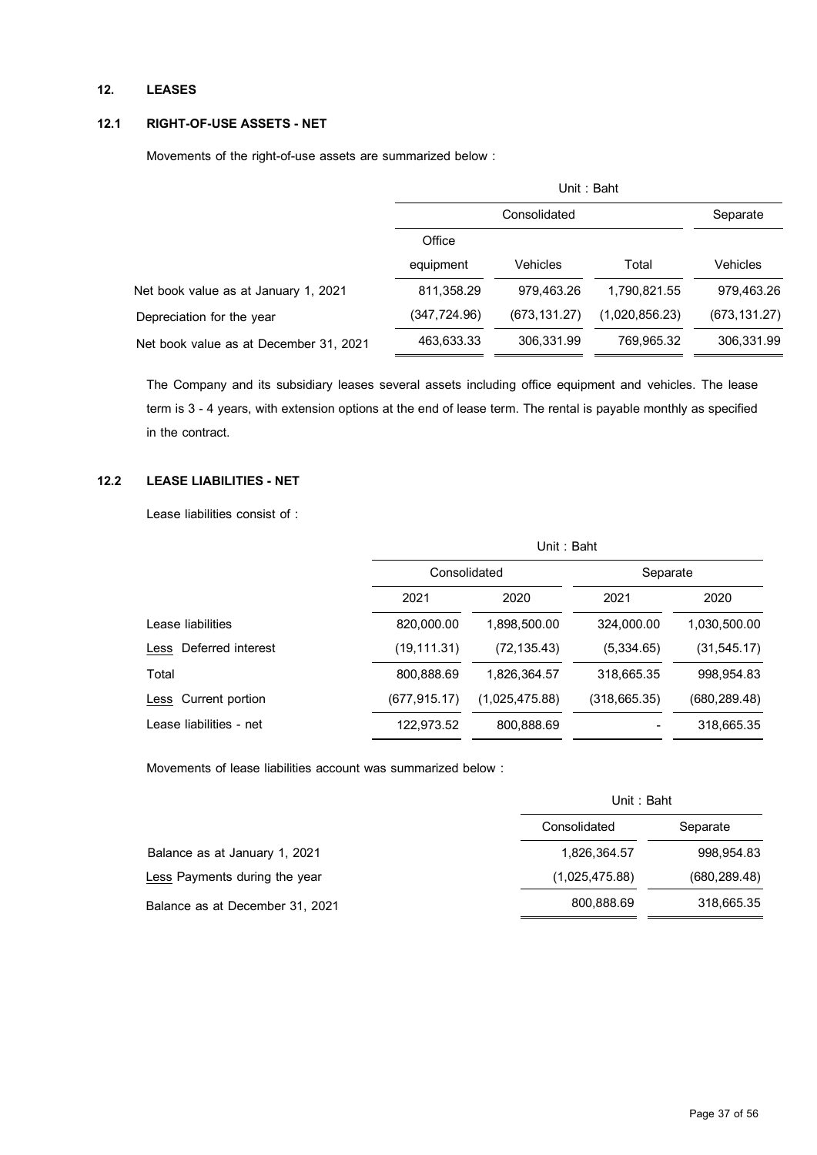# **12. LEASES**

# **12.1 RIGHT-OF-USE ASSETS - NET**

Movements of the right-of-use assets are summarized below :

|                                        | Unit: Baht   |               |                |              |  |  |
|----------------------------------------|--------------|---------------|----------------|--------------|--|--|
|                                        |              | Separate      |                |              |  |  |
|                                        | Office       |               |                |              |  |  |
|                                        | equipment    | Vehicles      | Total          | Vehicles     |  |  |
| Net book value as at January 1, 2021   | 811,358.29   | 979.463.26    | 1.790.821.55   | 979.463.26   |  |  |
| Depreciation for the year              | (347,724.96) | (673, 131.27) | (1,020,856.23) | (673,131.27) |  |  |
| Net book value as at December 31, 2021 | 463,633.33   | 306,331.99    | 769,965.32     | 306,331.99   |  |  |

The Company and its subsidiary leases several assets including office equipment and vehicles. The lease term is 3 - 4 years, with extension options at the end of lease term. The rental is payable monthly as specified in the contract.

# **12.2 LEASE LIABILITIES - NET**

Lease liabilities consist of :

|                         | Unit: Baht    |                |               |               |  |  |  |
|-------------------------|---------------|----------------|---------------|---------------|--|--|--|
|                         | Consolidated  |                | Separate      |               |  |  |  |
|                         | 2021          | 2020           | 2021          | 2020          |  |  |  |
| Lease liabilities       | 820,000.00    | 1,898,500.00   | 324,000.00    | 1,030,500.00  |  |  |  |
| Less Deferred interest  | (19, 111.31)  | (72, 135.43)   | (5,334.65)    | (31, 545.17)  |  |  |  |
| Total                   | 800,888.69    | 1,826,364.57   | 318,665.35    | 998,954.83    |  |  |  |
| Less Current portion    | (677, 915.17) | (1,025,475.88) | (318, 665.35) | (680, 289.48) |  |  |  |
| Lease liabilities - net | 122,973.52    | 800,888.69     |               | 318,665.35    |  |  |  |

Movements of lease liabilities account was summarized below :

|                                 | Unit: Baht     |               |
|---------------------------------|----------------|---------------|
|                                 | Consolidated   | Separate      |
| Balance as at January 1, 2021   | 1,826,364.57   | 998,954.83    |
| Less Payments during the year   | (1,025,475.88) | (680, 289.48) |
| Balance as at December 31, 2021 | 800,888.69     | 318,665.35    |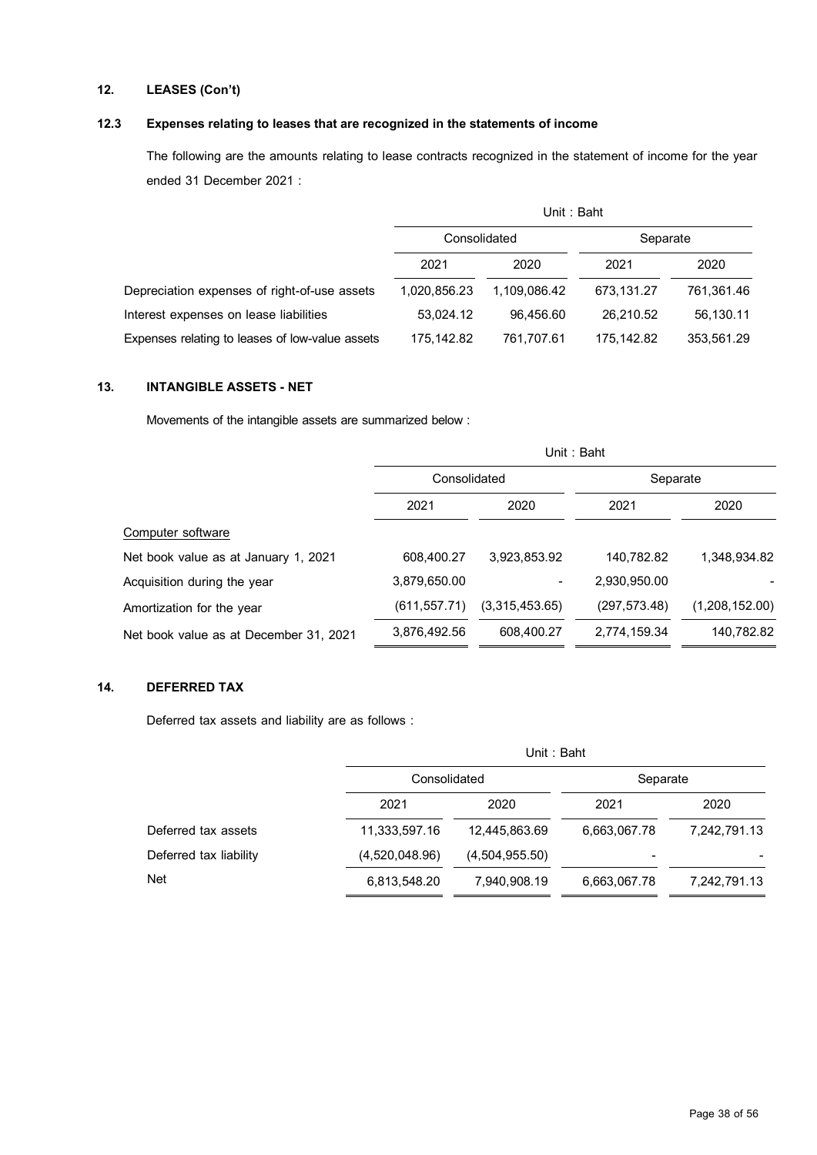# **12. LEASES (Con't)**

# **12.3 Expenses relating to leases that are recognized in the statements of income**

The following are the amounts relating to lease contracts recognized in the statement of income for the year ended 31 December 2021 :

|                                                 | Unit: Baht   |              |            |            |  |  |  |
|-------------------------------------------------|--------------|--------------|------------|------------|--|--|--|
|                                                 | Consolidated |              | Separate   |            |  |  |  |
|                                                 | 2021         | 2020         | 2021       | 2020       |  |  |  |
| Depreciation expenses of right-of-use assets    | 1,020,856.23 | 1,109,086.42 | 673.131.27 | 761,361.46 |  |  |  |
| Interest expenses on lease liabilities          | 53,024.12    | 96.456.60    | 26.210.52  | 56,130.11  |  |  |  |
| Expenses relating to leases of low-value assets | 175,142.82   | 761,707.61   | 175,142.82 | 353,561.29 |  |  |  |

# **13. INTANGIBLE ASSETS - NET**

Movements of the intangible assets are summarized below :

|                                        | Unit: Baht    |                |              |                |  |  |
|----------------------------------------|---------------|----------------|--------------|----------------|--|--|
|                                        | Consolidated  |                | Separate     |                |  |  |
|                                        | 2021          | 2020           | 2021         | 2020           |  |  |
| Computer software                      |               |                |              |                |  |  |
| Net book value as at January 1, 2021   | 608,400.27    | 3.923.853.92   | 140.782.82   | 1.348.934.82   |  |  |
| Acquisition during the year            | 3,879,650.00  |                | 2,930,950.00 |                |  |  |
| Amortization for the year              | (611, 557.71) | (3,315,453.65) | (297,573.48) | (1,208,152.00) |  |  |
| Net book value as at December 31, 2021 | 3,876,492.56  | 608,400.27     | 2,774,159.34 | 140,782.82     |  |  |

# **14. DEFERRED TAX**

Deferred tax assets and liability are as follows :

|                        |                | Unit: Baht     |                          |              |  |  |  |  |
|------------------------|----------------|----------------|--------------------------|--------------|--|--|--|--|
|                        | Consolidated   |                | Separate                 |              |  |  |  |  |
|                        | 2021           | 2020           | 2021                     | 2020         |  |  |  |  |
| Deferred tax assets    | 11,333,597.16  | 12,445,863.69  | 6,663,067.78             | 7,242,791.13 |  |  |  |  |
| Deferred tax liability | (4,520,048.96) | (4,504,955.50) | $\overline{\phantom{0}}$ |              |  |  |  |  |
| <b>Net</b>             | 6,813,548.20   | 7,940,908.19   | 6,663,067.78             | 7,242,791.13 |  |  |  |  |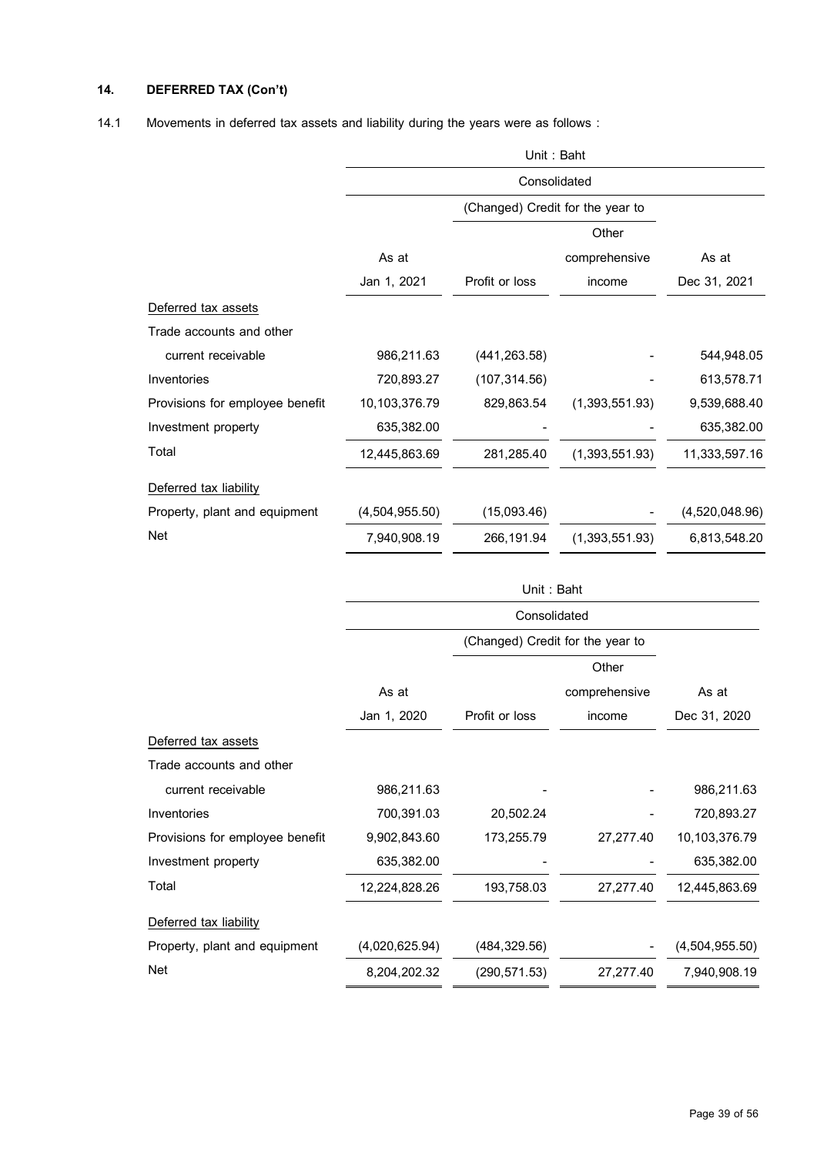| 14.1 | Movements in deferred tax assets and liability during the years were as follows : |  |  |  |  |
|------|-----------------------------------------------------------------------------------|--|--|--|--|
|      |                                                                                   |  |  |  |  |

|                                 | Unit: Baht     |                                  |                |                |  |  |  |
|---------------------------------|----------------|----------------------------------|----------------|----------------|--|--|--|
|                                 | Consolidated   |                                  |                |                |  |  |  |
|                                 |                | (Changed) Credit for the year to |                |                |  |  |  |
|                                 |                |                                  | Other          |                |  |  |  |
|                                 | As at          |                                  | comprehensive  | As at          |  |  |  |
|                                 | Jan 1, 2021    | Profit or loss                   | income         | Dec 31, 2021   |  |  |  |
| Deferred tax assets             |                |                                  |                |                |  |  |  |
| Trade accounts and other        |                |                                  |                |                |  |  |  |
| current receivable              | 986,211.63     | (441, 263.58)                    |                | 544,948.05     |  |  |  |
| Inventories                     | 720,893.27     | (107, 314.56)                    |                | 613,578.71     |  |  |  |
| Provisions for employee benefit | 10,103,376.79  | 829,863.54                       | (1,393,551.93) | 9,539,688.40   |  |  |  |
| Investment property             | 635,382.00     |                                  |                | 635,382.00     |  |  |  |
| Total                           | 12,445,863.69  | 281,285.40                       | (1,393,551.93) | 11,333,597.16  |  |  |  |
| Deferred tax liability          |                |                                  |                |                |  |  |  |
| Property, plant and equipment   | (4,504,955.50) | (15,093.46)                      |                | (4,520,048.96) |  |  |  |
| <b>Net</b>                      | 7,940,908.19   | 266,191.94                       | (1,393,551.93) | 6,813,548.20   |  |  |  |
|                                 |                |                                  |                |                |  |  |  |

|                                 | Unit: Baht     |                |               |                |  |  |  |  |
|---------------------------------|----------------|----------------|---------------|----------------|--|--|--|--|
|                                 |                | Consolidated   |               |                |  |  |  |  |
|                                 |                |                |               |                |  |  |  |  |
|                                 |                |                | Other         |                |  |  |  |  |
|                                 | As at          |                | comprehensive | As at          |  |  |  |  |
|                                 | Jan 1, 2020    | Profit or loss | income        | Dec 31, 2020   |  |  |  |  |
| Deferred tax assets             |                |                |               |                |  |  |  |  |
| Trade accounts and other        |                |                |               |                |  |  |  |  |
| current receivable              | 986,211.63     |                |               | 986,211.63     |  |  |  |  |
| Inventories                     | 700,391.03     | 20,502.24      |               | 720,893.27     |  |  |  |  |
| Provisions for employee benefit | 9,902,843.60   | 173,255.79     | 27,277.40     | 10,103,376.79  |  |  |  |  |
| Investment property             | 635,382.00     |                |               | 635,382.00     |  |  |  |  |
| Total                           | 12,224,828.26  | 193,758.03     | 27,277.40     | 12,445,863.69  |  |  |  |  |
| Deferred tax liability          |                |                |               |                |  |  |  |  |
| Property, plant and equipment   | (4,020,625.94) | (484, 329.56)  |               | (4,504,955.50) |  |  |  |  |
| <b>Net</b>                      | 8,204,202.32   | (290, 571.53)  | 27,277.40     | 7,940,908.19   |  |  |  |  |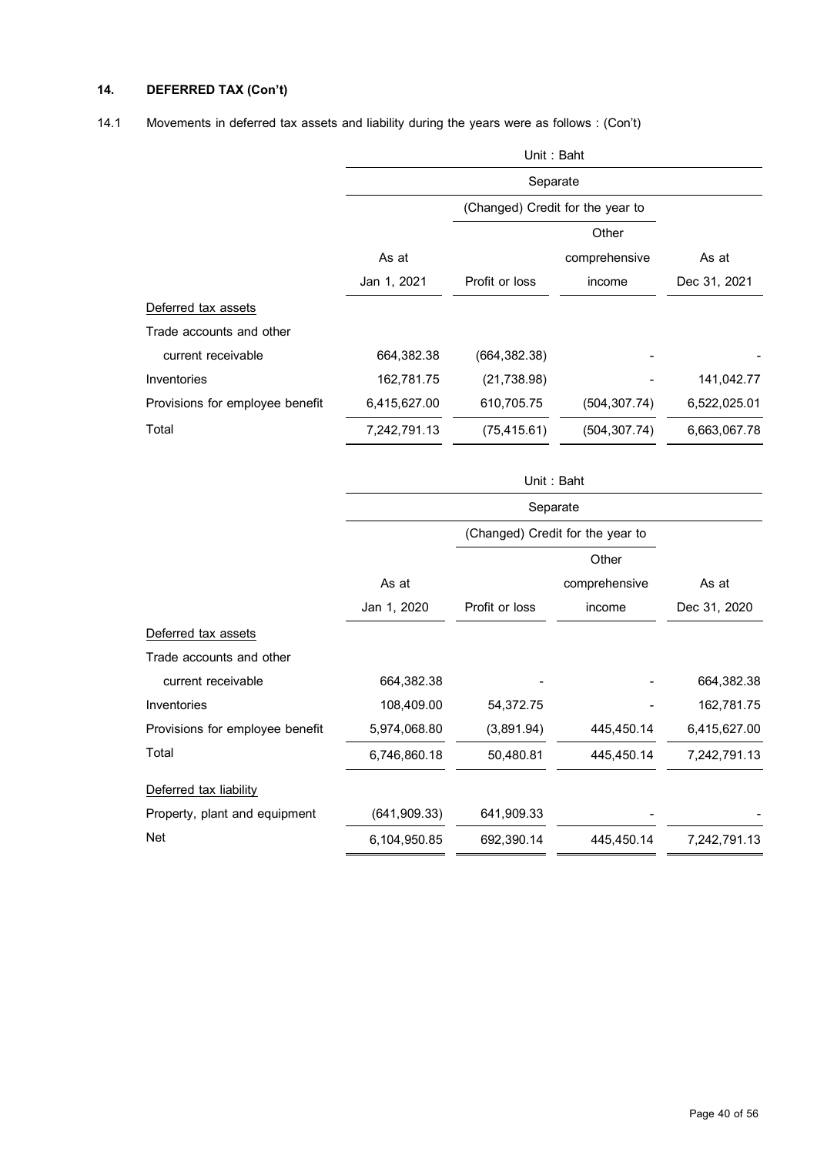| Movements in deferred tax assets and liability during the years were as follows : (Con't)<br>14.1 |
|---------------------------------------------------------------------------------------------------|
|---------------------------------------------------------------------------------------------------|

|                                 | Unit: Baht                       |                |               |              |  |  |
|---------------------------------|----------------------------------|----------------|---------------|--------------|--|--|
|                                 | Separate                         |                |               |              |  |  |
|                                 | (Changed) Credit for the year to |                |               |              |  |  |
|                                 |                                  |                | Other         |              |  |  |
|                                 | As at                            |                | comprehensive | As at        |  |  |
|                                 | Jan 1, 2021                      | Profit or loss | income        | Dec 31, 2021 |  |  |
| Deferred tax assets             |                                  |                |               |              |  |  |
| Trade accounts and other        |                                  |                |               |              |  |  |
| current receivable              | 664,382.38                       | (664,382.38)   |               |              |  |  |
| Inventories                     | 162,781.75                       | (21, 738.98)   |               | 141,042.77   |  |  |
| Provisions for employee benefit | 6,415,627.00                     | 610,705.75     | (504, 307.74) | 6,522,025.01 |  |  |
| Total                           | 7,242,791.13                     | (75, 415.61)   | (504, 307.74) | 6,663,067.78 |  |  |

|                                 | Unit: Baht<br>Separate           |                |               |              |  |  |  |
|---------------------------------|----------------------------------|----------------|---------------|--------------|--|--|--|
|                                 |                                  |                |               |              |  |  |  |
|                                 | (Changed) Credit for the year to |                |               |              |  |  |  |
|                                 |                                  |                | Other         |              |  |  |  |
|                                 | As at                            |                | comprehensive | As at        |  |  |  |
|                                 | Jan 1, 2020                      | Profit or loss | income        | Dec 31, 2020 |  |  |  |
| Deferred tax assets             |                                  |                |               |              |  |  |  |
| Trade accounts and other        |                                  |                |               |              |  |  |  |
| current receivable              | 664,382.38                       |                |               | 664,382.38   |  |  |  |
| Inventories                     | 108,409.00                       | 54,372.75      |               | 162,781.75   |  |  |  |
| Provisions for employee benefit | 5,974,068.80                     | (3,891.94)     | 445,450.14    | 6,415,627.00 |  |  |  |
| Total                           | 6,746,860.18                     | 50,480.81      | 445,450.14    | 7,242,791.13 |  |  |  |
| Deferred tax liability          |                                  |                |               |              |  |  |  |
| Property, plant and equipment   | (641,909.33)                     | 641,909.33     |               |              |  |  |  |
| <b>Net</b>                      | 6,104,950.85                     | 692,390.14     | 445,450.14    | 7,242,791.13 |  |  |  |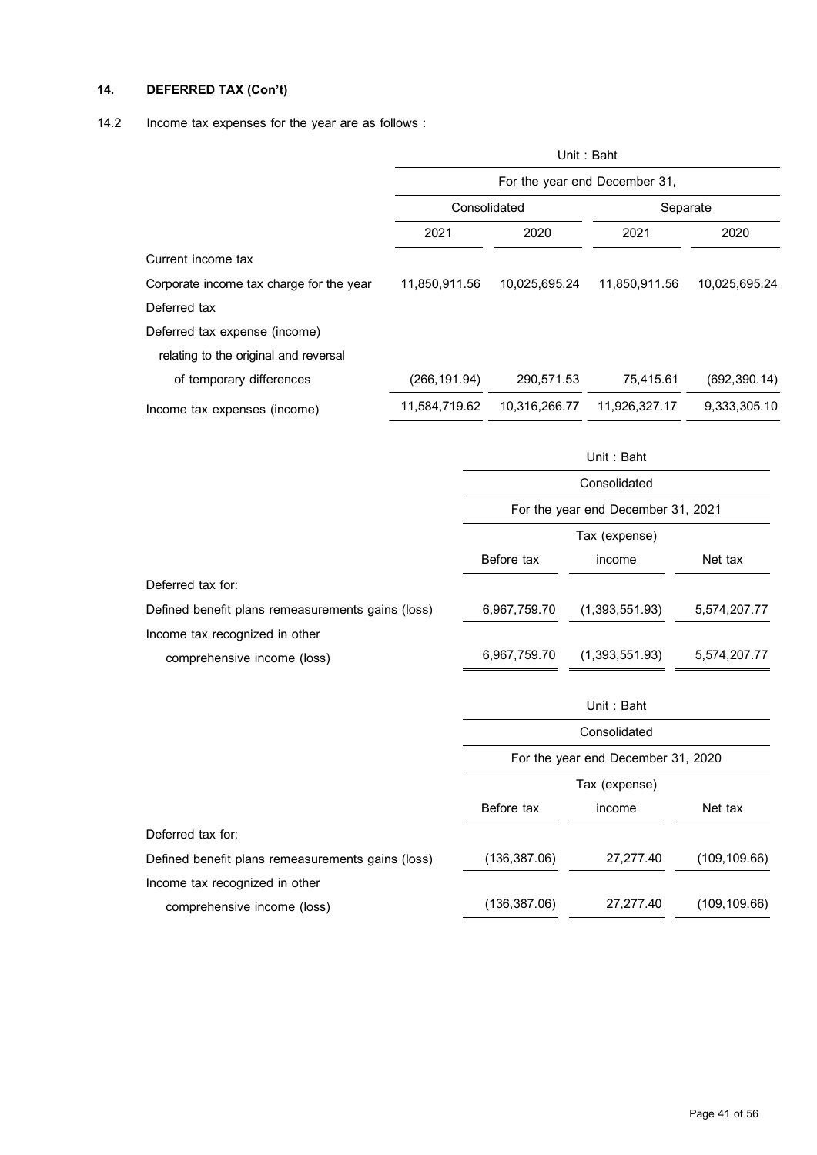# 14.2 Income tax expenses for the year are as follows :

|                                          | Unit: Baht                    |               |               |               |  |  |
|------------------------------------------|-------------------------------|---------------|---------------|---------------|--|--|
|                                          | For the year end December 31, |               |               |               |  |  |
|                                          | Consolidated                  |               | Separate      |               |  |  |
|                                          | 2021                          | 2020          | 2021          | 2020          |  |  |
| Current income tax                       |                               |               |               |               |  |  |
| Corporate income tax charge for the year | 11,850,911.56                 | 10,025,695.24 | 11,850,911.56 | 10,025,695.24 |  |  |
| Deferred tax                             |                               |               |               |               |  |  |
| Deferred tax expense (income)            |                               |               |               |               |  |  |
| relating to the original and reversal    |                               |               |               |               |  |  |
| of temporary differences                 | (266,191.94)                  | 290,571.53    | 75,415.61     | (692, 390.14) |  |  |
| Income tax expenses (income)             | 11,584,719.62                 | 10,316,266.77 | 11,926,327.17 | 9,333,305.10  |  |  |

|                                                   | Unit: Baht                         |                |              |  |
|---------------------------------------------------|------------------------------------|----------------|--------------|--|
|                                                   | Consolidated                       |                |              |  |
|                                                   | For the year end December 31, 2021 |                |              |  |
|                                                   | Tax (expense)                      |                |              |  |
|                                                   | Before tax                         | income         | Net tax      |  |
| Deferred tax for:                                 |                                    |                |              |  |
| Defined benefit plans remeasurements gains (loss) | 6,967,759.70                       | (1,393,551.93) | 5,574,207.77 |  |
| Income tax recognized in other                    |                                    |                |              |  |
| comprehensive income (loss)                       | 6,967,759.70                       | (1,393,551.93) | 5,574,207.77 |  |

|                                                   | Unit: Baht                         |           |               |  |  |
|---------------------------------------------------|------------------------------------|-----------|---------------|--|--|
|                                                   | Consolidated                       |           |               |  |  |
|                                                   | For the year end December 31, 2020 |           |               |  |  |
|                                                   | Tax (expense)                      |           |               |  |  |
|                                                   | Before tax                         | income    | Net tax       |  |  |
| Deferred tax for:                                 |                                    |           |               |  |  |
| Defined benefit plans remeasurements gains (loss) | (136, 387.06)                      | 27,277.40 | (109, 109.66) |  |  |
| Income tax recognized in other                    |                                    |           |               |  |  |
| comprehensive income (loss)                       | (136, 387.06)                      | 27,277.40 | (109, 109.66) |  |  |
|                                                   |                                    |           |               |  |  |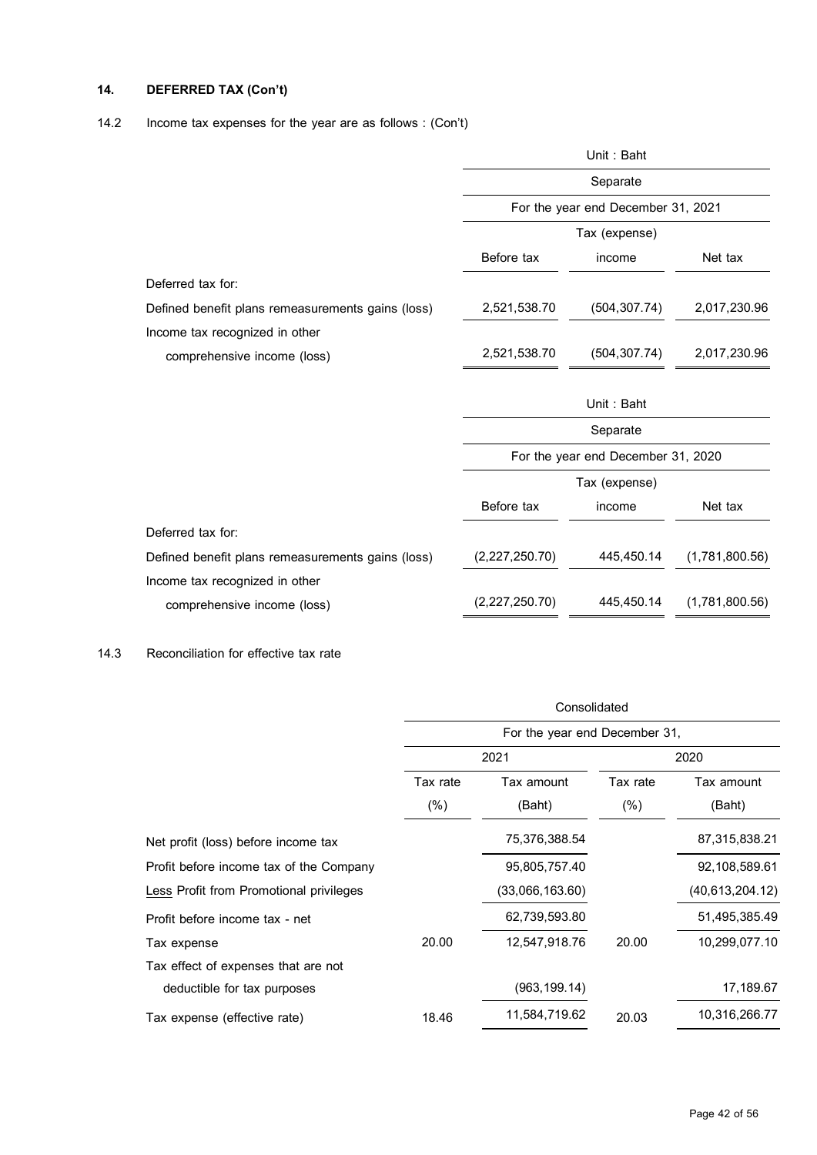# 14.2 Income tax expenses for the year are as follows : (Con't)

|                                                   | Unit: Baht     |                                    |                |  |  |
|---------------------------------------------------|----------------|------------------------------------|----------------|--|--|
|                                                   |                | Separate                           |                |  |  |
|                                                   |                | For the year end December 31, 2021 |                |  |  |
|                                                   | Tax (expense)  |                                    |                |  |  |
|                                                   | Before tax     | income                             | Net tax        |  |  |
| Deferred tax for:                                 |                |                                    |                |  |  |
| Defined benefit plans remeasurements gains (loss) | 2,521,538.70   | (504, 307.74)                      | 2,017,230.96   |  |  |
| Income tax recognized in other                    |                |                                    |                |  |  |
| comprehensive income (loss)                       | 2,521,538.70   | (504, 307.74)                      | 2,017,230.96   |  |  |
|                                                   |                |                                    |                |  |  |
|                                                   |                | Unit: Baht                         |                |  |  |
|                                                   |                | Separate                           |                |  |  |
|                                                   |                | For the year end December 31, 2020 |                |  |  |
|                                                   |                | Tax (expense)                      |                |  |  |
|                                                   | Before tax     | income                             | Net tax        |  |  |
| Deferred tax for:                                 |                |                                    |                |  |  |
| Defined benefit plans remeasurements gains (loss) | (2,227,250.70) | 445,450.14                         | (1,781,800.56) |  |  |
| Income tax recognized in other                    |                |                                    |                |  |  |
| comprehensive income (loss)                       | (2,227,250.70) | 445,450.14                         | (1,781,800.56) |  |  |

# 14.3 Reconciliation for effective tax rate

|                                         | Consolidated                  |                 |          |                   |  |  |
|-----------------------------------------|-------------------------------|-----------------|----------|-------------------|--|--|
|                                         | For the year end December 31, |                 |          |                   |  |  |
|                                         | 2021                          |                 | 2020     |                   |  |  |
|                                         | Tax rate                      | Tax amount      | Tax rate | Tax amount        |  |  |
|                                         | $(\% )$                       | (Baht)          | $(\%)$   | (Baht)            |  |  |
| Net profit (loss) before income tax     |                               | 75,376,388.54   |          | 87,315,838.21     |  |  |
| Profit before income tax of the Company |                               | 95,805,757.40   |          | 92,108,589.61     |  |  |
| Less Profit from Promotional privileges |                               | (33,066,163.60) |          | (40, 613, 204.12) |  |  |
| Profit before income tax - net          |                               | 62,739,593.80   |          | 51,495,385.49     |  |  |
| Tax expense                             | 20.00                         | 12,547,918.76   | 20.00    | 10,299,077.10     |  |  |
| Tax effect of expenses that are not     |                               |                 |          |                   |  |  |
| deductible for tax purposes             |                               | (963, 199, 14)  |          | 17,189.67         |  |  |
| Tax expense (effective rate)            | 18.46                         | 11,584,719.62   | 20.03    | 10,316,266.77     |  |  |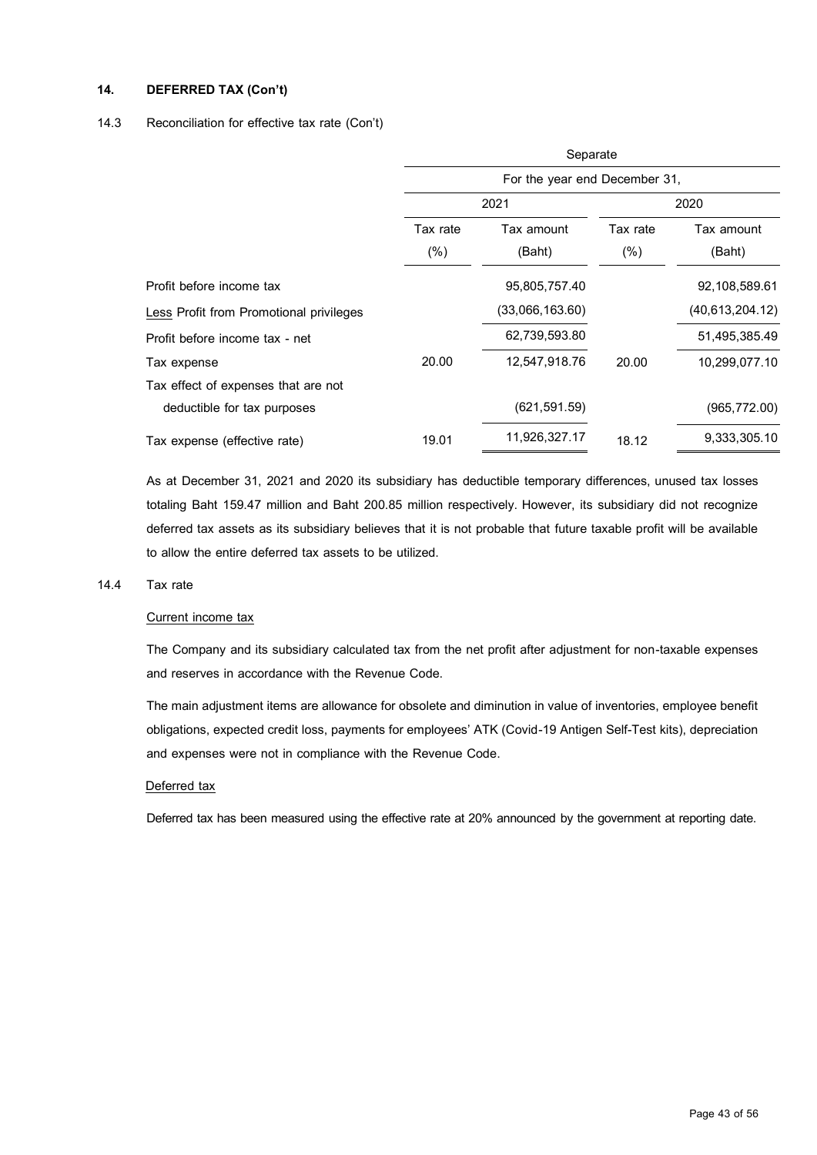### 14.3 Reconciliation for effective tax rate (Con't)

|                                         | Separate                      |                 |          |                   |  |  |
|-----------------------------------------|-------------------------------|-----------------|----------|-------------------|--|--|
|                                         | For the year end December 31, |                 |          |                   |  |  |
|                                         |                               | 2021            |          | 2020              |  |  |
|                                         | Tax rate                      | Tax amount      | Tax rate | Tax amount        |  |  |
|                                         | (% )                          | (Baht)          | (% )     | (Baht)            |  |  |
| Profit before income tax                |                               | 95,805,757.40   |          | 92,108,589.61     |  |  |
| Less Profit from Promotional privileges |                               | (33,066,163.60) |          | (40, 613, 204.12) |  |  |
| Profit before income tax - net          |                               | 62,739,593.80   |          | 51,495,385.49     |  |  |
| Tax expense                             | 20.00                         | 12,547,918.76   | 20.00    | 10,299,077.10     |  |  |
| Tax effect of expenses that are not     |                               |                 |          |                   |  |  |
| deductible for tax purposes             |                               | (621, 591.59)   |          | (965, 772.00)     |  |  |
| Tax expense (effective rate)            | 19.01                         | 11,926,327.17   | 18.12    | 9,333,305.10      |  |  |

As at December 31, 2021 and 2020 its subsidiary has deductible temporary differences, unused tax losses totaling Baht 159.47 million and Baht 200.85 million respectively. However, its subsidiary did not recognize deferred tax assets as its subsidiary believes that it is not probable that future taxable profit will be available to allow the entire deferred tax assets to be utilized.

#### 14.4 Tax rate

# Current income tax

The Company and its subsidiary calculated tax from the net profit after adjustment for non-taxable expenses and reserves in accordance with the Revenue Code.

The main adjustment items are allowance for obsolete and diminution in value of inventories, employee benefit obligations, expected credit loss, payments for employees' ATK (Covid-19 Antigen Self-Test kits), depreciation and expenses were not in compliance with the Revenue Code.

### Deferred tax

Deferred tax has been measured using the effective rate at 20% announced by the government at reporting date.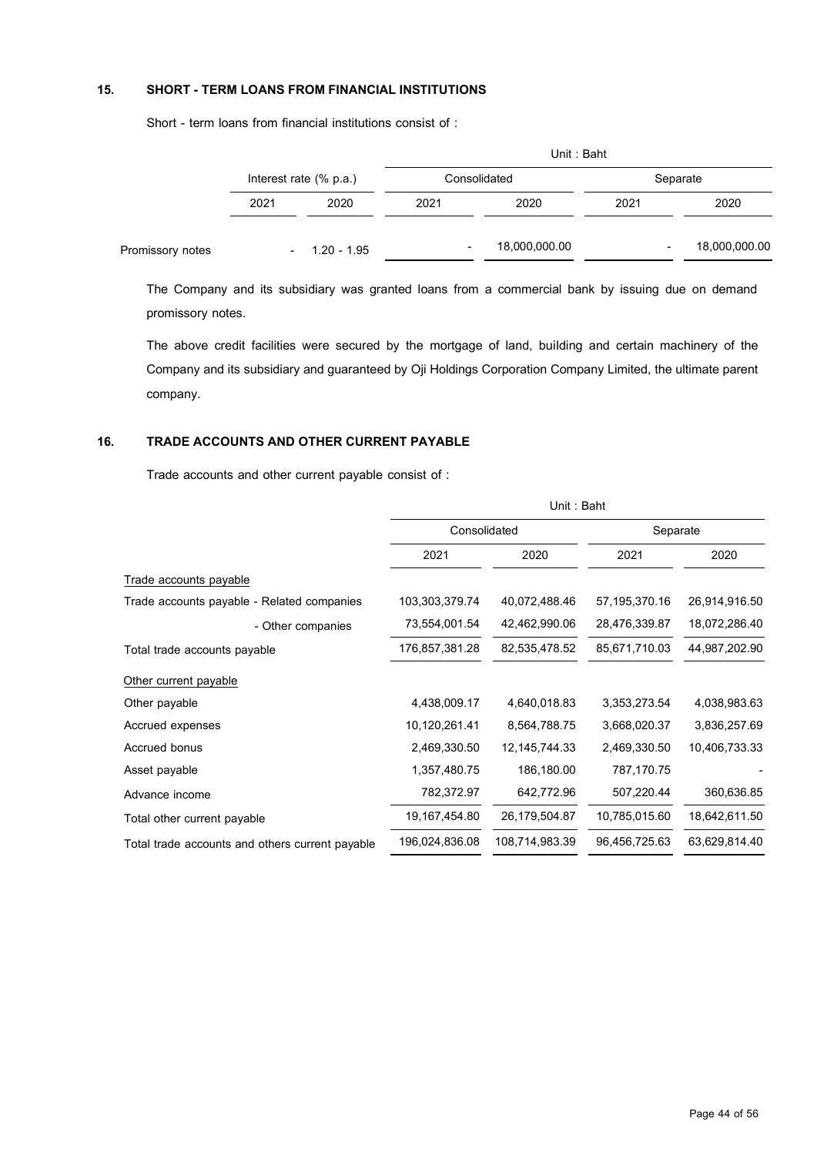# **15. SHORT -TERM LOANS FROM FINANCIAL INSTITUTIONS**

|                  |                           |             |              | Unit: Baht    |          |               |
|------------------|---------------------------|-------------|--------------|---------------|----------|---------------|
|                  | Interest rate $(\%$ p.a.) |             | Consolidated |               | Separate |               |
|                  | 2021                      | 2020        | 2021         | 2020          | 2021     | 2020          |
| Promissory notes | $\overline{\phantom{0}}$  | 1.20 - 1.95 |              | 18,000,000.00 |          | 18,000,000.00 |

Short - term loans from financial institutions consist of :

The Company and its subsidiary was granted loans from a commercial bank by issuing due on demand promissory notes.

The above credit facilities were secured by the mortgage of land, building and certain machinery of the Company and its subsidiary and guaranteed by Oji Holdings Corporation Company Limited, the ultimate parent company.

# **16. TRADE ACCOUNTS AND OTHER CURRENT PAYABLE**

Trade accounts and other current payable consist of :

|                                                 |                | Unit: Baht       |                  |               |
|-------------------------------------------------|----------------|------------------|------------------|---------------|
|                                                 | Consolidated   |                  | Separate         |               |
|                                                 | 2021           | 2020             | 2021             | 2020          |
| Trade accounts payable                          |                |                  |                  |               |
| Trade accounts payable - Related companies      | 103,303,379.74 | 40,072,488.46    | 57, 195, 370, 16 | 26,914,916.50 |
| - Other companies                               | 73,554,001.54  | 42,462,990.06    | 28,476,339.87    | 18,072,286.40 |
| Total trade accounts payable                    | 176,857,381.28 | 82,535,478.52    | 85,671,710.03    | 44,987,202.90 |
| Other current payable                           |                |                  |                  |               |
| Other payable                                   | 4,438,009.17   | 4,640,018.83     | 3,353,273.54     | 4,038,983.63  |
| Accrued expenses                                | 10,120,261.41  | 8,564,788.75     | 3,668,020.37     | 3,836,257.69  |
| Accrued bonus                                   | 2,469,330.50   | 12, 145, 744. 33 | 2,469,330.50     | 10,406,733.33 |
| Asset payable                                   | 1,357,480.75   | 186,180.00       | 787,170.75       |               |
| Advance income                                  | 782,372.97     | 642,772.96       | 507,220.44       | 360,636.85    |
| Total other current payable                     | 19,167,454.80  | 26,179,504.87    | 10,785,015.60    | 18,642,611.50 |
| Total trade accounts and others current payable | 196,024,836.08 | 108,714,983.39   | 96,456,725.63    | 63,629,814.40 |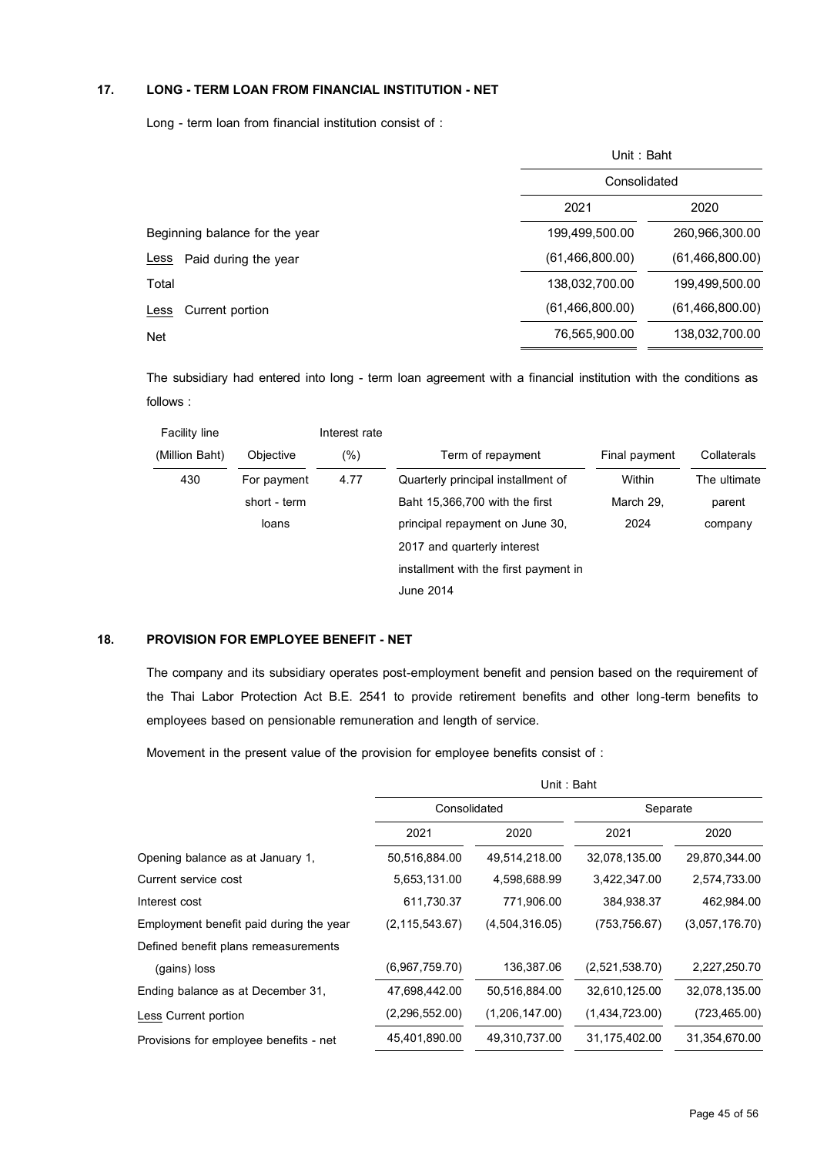# **17. LONG -TERM LOAN FROM FINANCIAL INSTITUTION - NET**

Long - term loan from financial institution consist of :

|                                     | Unit: Baht<br>Consolidated |                   |  |
|-------------------------------------|----------------------------|-------------------|--|
|                                     |                            |                   |  |
|                                     | 2021                       | 2020              |  |
| Beginning balance for the year      | 199,499,500.00             | 260,966,300.00    |  |
| <u>Less</u><br>Paid during the year | (61, 466, 800.00)          | (61, 466, 800.00) |  |
| Total                               | 138,032,700.00             | 199,499,500.00    |  |
| Current portion<br>Less             | (61, 466, 800.00)          | (61, 466, 800.00) |  |
| <b>Net</b>                          | 76,565,900.00              | 138,032,700.00    |  |

The subsidiary had entered into long - term loan agreement with a financial institution with the conditions as follows :

| <b>Facility line</b> |              | Interest rate |                                       |               |              |
|----------------------|--------------|---------------|---------------------------------------|---------------|--------------|
| (Million Baht)       | Objective    | (%)           | Term of repayment                     | Final payment | Collaterals  |
| 430                  | For payment  | 4.77          | Quarterly principal installment of    | Within        | The ultimate |
|                      | short - term |               | Baht 15,366,700 with the first        | March 29,     | parent       |
|                      | loans        |               | principal repayment on June 30,       | 2024          | company      |
|                      |              |               | 2017 and quarterly interest           |               |              |
|                      |              |               | installment with the first payment in |               |              |
|                      |              |               | June 2014                             |               |              |

# **18. PROVISION FOR EMPLOYEE BENEFIT - NET**

The company and its subsidiary operates post-employment benefit and pension based on the requirement of the Thai Labor Protection Act B.E. 2541 to provide retirement benefits and other long-term benefits to employees based on pensionable remuneration and length of service.

Movement in the present value of the provision for employee benefits consist of :

|                                         | Unit: Baht       |                |                |                |
|-----------------------------------------|------------------|----------------|----------------|----------------|
|                                         | Consolidated     |                | Separate       |                |
|                                         | 2021             | 2020           | 2021           | 2020           |
| Opening balance as at January 1,        | 50,516,884.00    | 49,514,218.00  | 32,078,135.00  | 29,870,344.00  |
| Current service cost                    | 5,653,131.00     | 4,598,688.99   | 3,422,347.00   | 2,574,733.00   |
| Interest cost                           | 611,730.37       | 771,906.00     | 384,938.37     | 462,984.00     |
| Employment benefit paid during the year | (2, 115, 543.67) | (4,504,316.05) | (753, 756.67)  | (3,057,176.70) |
| Defined benefit plans remeasurements    |                  |                |                |                |
| (gains) loss                            | (6,967,759.70)   | 136,387.06     | (2,521,538.70) | 2,227,250.70   |
| Ending balance as at December 31,       | 47,698,442.00    | 50,516,884.00  | 32,610,125.00  | 32,078,135.00  |
| Less Current portion                    | (2,296,552.00)   | (1,206,147.00) | (1,434,723.00) | (723, 465.00)  |
| Provisions for employee benefits - net  | 45,401,890.00    | 49,310,737.00  | 31,175,402.00  | 31,354,670.00  |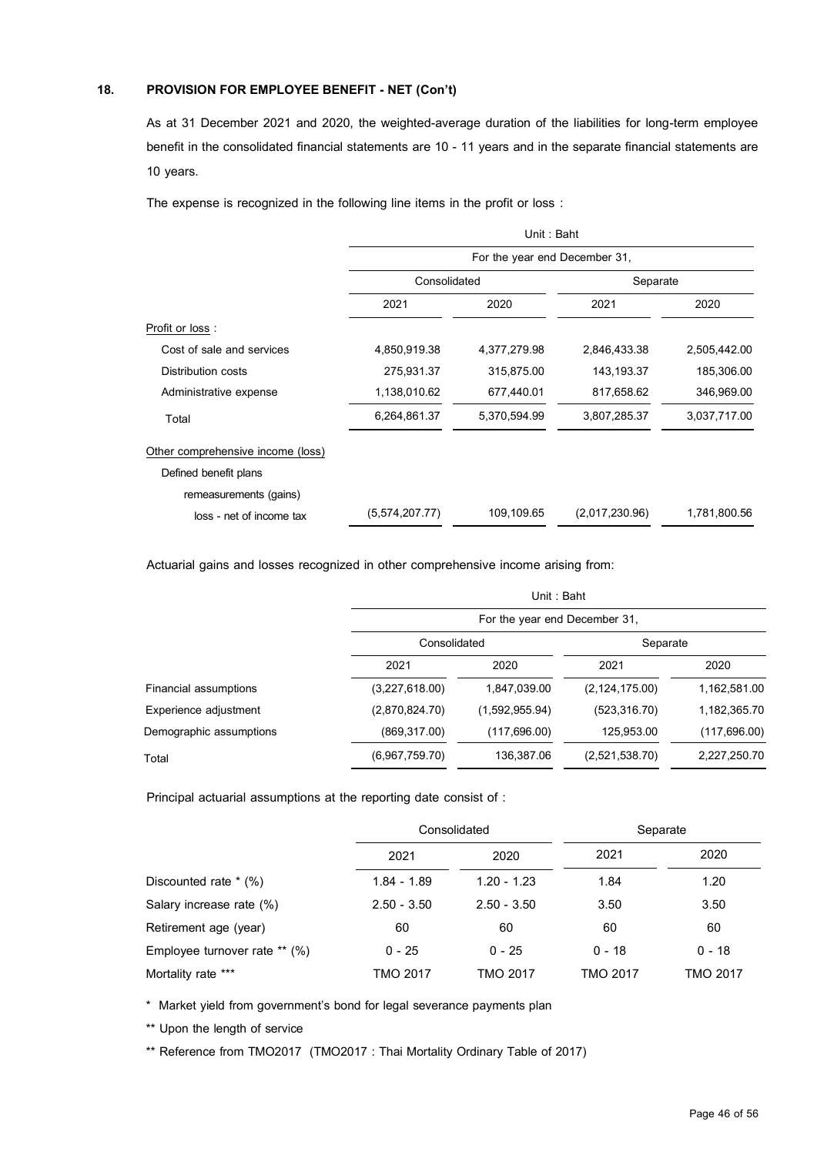# **18. PROVISION FOR EMPLOYEE BENEFIT - NET(Con't)**

As at 31 December 2021 and 2020, the weighted-average duration of the liabilities for long-term employee benefit in the consolidated financial statements are 10 - 11 years and in the separate financial statements are 10 years.

The expense is recognized in the following line items in the profit or loss :

|                                   | Unit: Baht     |                               |                |              |  |
|-----------------------------------|----------------|-------------------------------|----------------|--------------|--|
|                                   |                | For the year end December 31, |                |              |  |
|                                   | Consolidated   |                               | Separate       |              |  |
|                                   | 2021           | 2020                          | 2021           | 2020         |  |
| Profit or loss:                   |                |                               |                |              |  |
| Cost of sale and services         | 4,850,919.38   | 4,377,279.98                  | 2,846,433.38   | 2,505,442.00 |  |
| <b>Distribution costs</b>         | 275,931.37     | 315,875.00                    | 143,193.37     | 185,306.00   |  |
| Administrative expense            | 1,138,010.62   | 677,440.01                    | 817,658.62     | 346,969.00   |  |
| Total                             | 6,264,861.37   | 5,370,594.99                  | 3,807,285.37   | 3,037,717.00 |  |
| Other comprehensive income (loss) |                |                               |                |              |  |
| Defined benefit plans             |                |                               |                |              |  |
| remeasurements (gains)            |                |                               |                |              |  |
| loss - net of income tax          | (5,574,207.77) | 109,109.65                    | (2,017,230.96) | 1,781,800.56 |  |

Actuarial gains and losses recognized in other comprehensive income arising from:

|                         | Unit: Baht<br>For the year end December 31, |                |                  |              |  |
|-------------------------|---------------------------------------------|----------------|------------------|--------------|--|
|                         |                                             |                |                  |              |  |
|                         |                                             | Consolidated   |                  | Separate     |  |
|                         | 2021                                        | 2020           | 2021             | 2020         |  |
| Financial assumptions   | (3,227,618.00)                              | 1,847,039.00   | (2, 124, 175.00) | 1,162,581.00 |  |
| Experience adjustment   | (2,870,824.70)                              | (1,592,955.94) | (523, 316.70)    | 1,182,365.70 |  |
| Demographic assumptions | (869, 317.00)                               | (117, 696.00)  | 125,953.00       | (117,696.00) |  |
| Total                   | (6,967,759.70)                              | 136,387.06     | (2,521,538.70)   | 2,227,250.70 |  |

Principal actuarial assumptions at the reporting date consist of :

|                                  | Consolidated    |               | Separate        |                 |
|----------------------------------|-----------------|---------------|-----------------|-----------------|
|                                  | 2021            | 2020          | 2021            | 2020            |
| Discounted rate $*(\%)$          | $1.84 - 1.89$   | $1.20 - 1.23$ | 1.84            | 1.20            |
| Salary increase rate (%)         | $2.50 - 3.50$   | $2.50 - 3.50$ | 3.50            | 3.50            |
| Retirement age (year)            | 60              | 60            | 60              | 60              |
| Employee turnover rate ** $(\%)$ | $0 - 25$        | $0 - 25$      | $0 - 18$        | $0 - 18$        |
| Mortality rate ***               | <b>TMO 2017</b> | TMO 2017      | <b>TMO 2017</b> | <b>TMO 2017</b> |

\* Market yield from government's bond for legal severance payments plan

\*\* Upon the length of service

\*\* Reference from TMO2017 (TMO2017 : Thai Mortality Ordinary Table of 2017)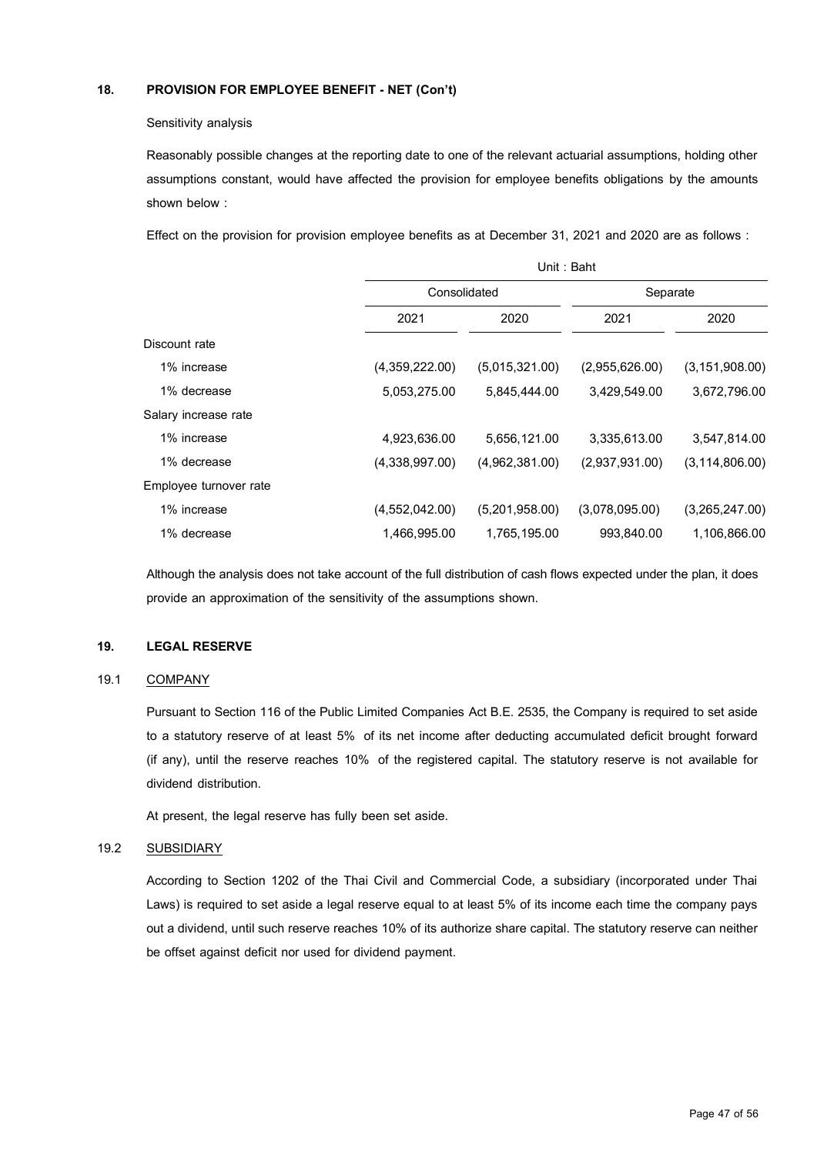## **18. PROVISION FOR EMPLOYEE BENEFIT - NET(Con't)**

#### Sensitivity analysis

Reasonably possible changes at the reporting date to one of the relevant actuarial assumptions, holding other assumptions constant, would have affected the provision for employee benefits obligations by the amounts shown below :

Effect on the provision for provision employee benefits as at December 31, 2021 and 2020 are as follows :

|                        |                  | Unit: Baht     |                |                  |  |  |
|------------------------|------------------|----------------|----------------|------------------|--|--|
|                        | Consolidated     |                | Separate       |                  |  |  |
|                        | 2021             | 2020           | 2021           | 2020             |  |  |
| Discount rate          |                  |                |                |                  |  |  |
| 1% increase            | (4,359,222.00)   | (5,015,321.00) | (2,955,626.00) | (3, 151, 908.00) |  |  |
| 1% decrease            | 5,053,275.00     | 5,845,444.00   | 3,429,549.00   | 3,672,796.00     |  |  |
| Salary increase rate   |                  |                |                |                  |  |  |
| 1% increase            | 4,923,636.00     | 5,656,121.00   | 3,335,613.00   | 3,547,814.00     |  |  |
| 1% decrease            | (4,338,997.00)   | (4,962,381.00) | (2,937,931.00) | (3, 114, 806.00) |  |  |
| Employee turnover rate |                  |                |                |                  |  |  |
| 1% increase            | (4, 552, 042.00) | (5,201,958.00) | (3,078,095.00) | (3,265,247.00)   |  |  |
| 1% decrease            | 1,466,995.00     | 1,765,195.00   | 993,840.00     | 1,106,866.00     |  |  |

Although the analysis does not take account of the full distribution of cash flows expected under the plan, it does provide an approximation of the sensitivity of the assumptions shown.

### **19. LEGAL RESERVE**

### 19.1 COMPANY

Pursuant to Section 116 of the Public Limited Companies Act B.E. 2535, the Company is required to set aside to a statutory reserve of at least 5% of its net income after deducting accumulated deficit brought forward (if any), until the reserve reaches 10% of the registered capital. The statutory reserve is not available for dividend distribution.

At present, the legal reserve has fully been set aside.

# 19.2 SUBSIDIARY

According to Section 1202 of the Thai Civil and Commercial Code, a subsidiary (incorporated under Thai Laws) is required to set aside a legal reserve equal to at least 5% of its income each time the company pays out a dividend, until such reserve reaches 10% of its authorize share capital. The statutory reserve can neither be offset against deficit nor used for dividend payment.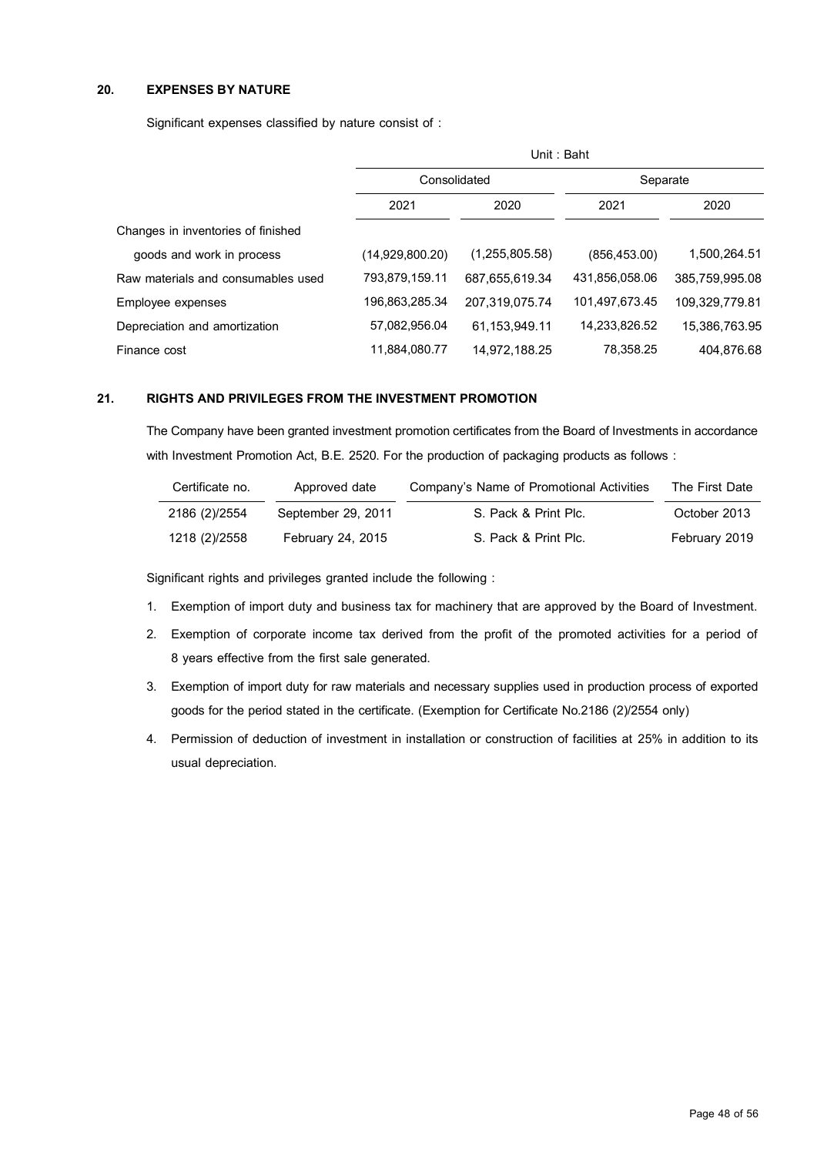# **20. EXPENSES BY NATURE**

Significant expenses classified by nature consist of :

|                                    | Unit: Baht      |                |                |                |  |
|------------------------------------|-----------------|----------------|----------------|----------------|--|
|                                    | Consolidated    |                | Separate       |                |  |
|                                    | 2021            | 2020           | 2021           | 2020           |  |
| Changes in inventories of finished |                 |                |                |                |  |
| goods and work in process          | (14,929,800.20) | (1,255,805.58) | (856, 453.00)  | 1,500,264.51   |  |
| Raw materials and consumables used | 793,879,159.11  | 687,655,619.34 | 431,856,058.06 | 385,759,995.08 |  |
| Employee expenses                  | 196,863,285.34  | 207,319,075.74 | 101,497,673.45 | 109,329,779.81 |  |
| Depreciation and amortization      | 57,082,956.04   | 61.153.949.11  | 14,233,826.52  | 15,386,763.95  |  |
| Finance cost                       | 11,884,080.77   | 14,972,188.25  | 78.358.25      | 404.876.68     |  |

## **21. RIGHTS AND PRIVILEGES FROM THE INVESTMENT PROMOTION**

The Company have been granted investment promotion certificates from the Board of Investments in accordance with Investment Promotion Act, B.E. 2520. For the production of packaging products as follows :

| Certificate no. | Approved date      | Company's Name of Promotional Activities | The First Date |
|-----------------|--------------------|------------------------------------------|----------------|
| 2186 (2)/2554   | September 29, 2011 | S. Pack & Print Plc.                     | October 2013   |
| 1218 (2)/2558   | February 24, 2015  | S. Pack & Print Plc.                     | February 2019  |

Significant rights and privileges granted include the following :

- 1. Exemption of import duty and business tax for machinery that are approved by the Board of Investment.
- 2. Exemption of corporate income tax derived from the profit of the promoted activities for a period of 8 years effective from the first sale generated.
- 3. Exemption of import duty for raw materials and necessary supplies used in production process of exported goods for the period stated in the certificate. (Exemption for Certificate No.2186 (2)/2554 only)
- 4. Permission of deduction of investment in installation or construction of facilities at 25% in addition to its usual depreciation.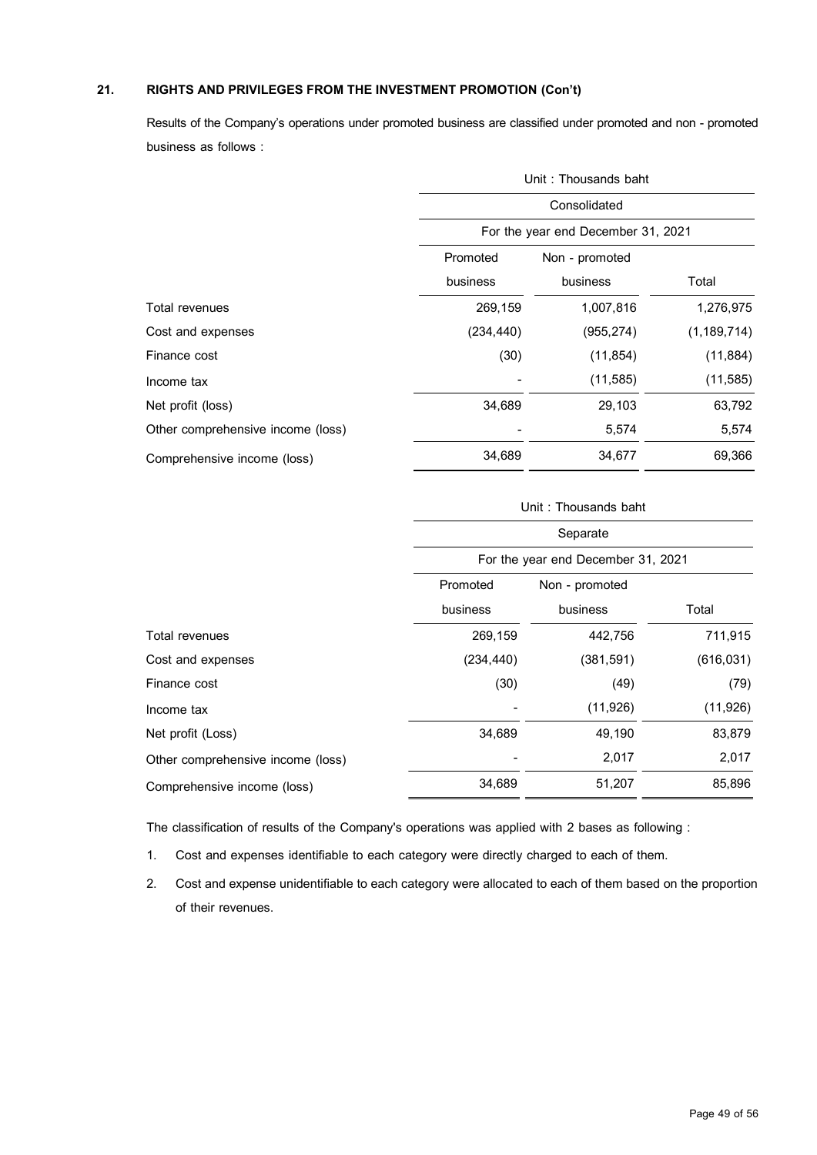# **21. RIGHTS AND PRIVILEGES FROM THE INVESTMENT PROMOTION (Con't)**

Results of the Company's operations under promoted business are classified under promoted and non - promoted business as follows :

|                                   | Unit: Thousands baht               |                |               |  |  |
|-----------------------------------|------------------------------------|----------------|---------------|--|--|
|                                   | Consolidated                       |                |               |  |  |
|                                   | For the year end December 31, 2021 |                |               |  |  |
|                                   | Promoted                           | Non - promoted |               |  |  |
|                                   | business                           | business       | Total         |  |  |
| Total revenues                    | 269,159                            | 1,007,816      | 1,276,975     |  |  |
| Cost and expenses                 | (234, 440)                         | (955, 274)     | (1, 189, 714) |  |  |
| Finance cost                      | (30)                               | (11, 854)      | (11, 884)     |  |  |
| Income tax                        |                                    | (11, 585)      | (11, 585)     |  |  |
| Net profit (loss)                 | 34,689                             | 29,103         | 63,792        |  |  |
| Other comprehensive income (loss) |                                    | 5,574          | 5,574         |  |  |
| Comprehensive income (loss)       | 34,689                             | 34,677         | 69,366        |  |  |

# Unit : Thousands baht

|                                   |            | Separate<br>For the year end December 31, 2021 |            |  |  |  |  |
|-----------------------------------|------------|------------------------------------------------|------------|--|--|--|--|
|                                   |            |                                                |            |  |  |  |  |
|                                   | Promoted   | Non - promoted                                 |            |  |  |  |  |
|                                   | business   | business                                       | Total      |  |  |  |  |
| Total revenues                    | 269,159    | 442,756                                        | 711,915    |  |  |  |  |
| Cost and expenses                 | (234, 440) | (381, 591)                                     | (616, 031) |  |  |  |  |
| Finance cost                      | (30)       | (49)                                           | (79)       |  |  |  |  |
| Income tax                        |            | (11, 926)                                      | (11,926)   |  |  |  |  |
| Net profit (Loss)                 | 34,689     | 49,190                                         | 83,879     |  |  |  |  |
| Other comprehensive income (loss) |            | 2,017                                          | 2,017      |  |  |  |  |
| Comprehensive income (loss)       | 34,689     | 51,207                                         | 85,896     |  |  |  |  |

The classification of results of the Company's operations was applied with 2 bases as following :

1. Cost and expenses identifiable to each category were directly charged to each of them.

2. Cost and expense unidentifiable to each category were allocated to each of them based on the proportion of their revenues.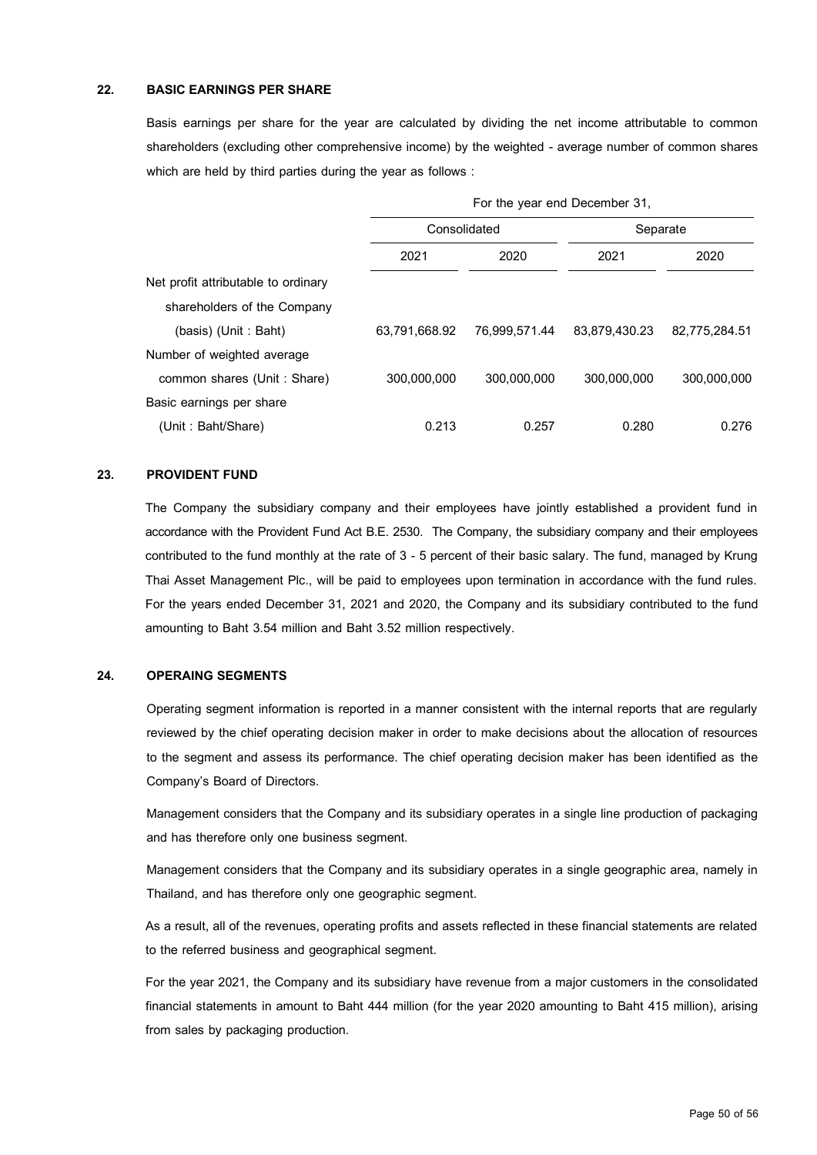### **22. BASIC EARNINGS PER SHARE**

Basis earnings per share for the year are calculated by dividing the net income attributable to common shareholders (excluding other comprehensive income) by the weighted - average number of common shares which are held by third parties during the year as follows :

|                                     | For the year end December 31, |               |               |               |  |  |
|-------------------------------------|-------------------------------|---------------|---------------|---------------|--|--|
|                                     | Consolidated                  |               | Separate      |               |  |  |
|                                     | 2021                          | 2020          | 2021          | 2020          |  |  |
| Net profit attributable to ordinary |                               |               |               |               |  |  |
| shareholders of the Company         |                               |               |               |               |  |  |
| (basis) (Unit: Baht)                | 63,791,668.92                 | 76,999,571.44 | 83,879,430.23 | 82,775,284.51 |  |  |
| Number of weighted average          |                               |               |               |               |  |  |
| common shares (Unit: Share)         | 300.000.000                   | 300.000.000   | 300,000,000   | 300.000.000   |  |  |
| Basic earnings per share            |                               |               |               |               |  |  |
| (Unit: Baht/Share)                  | 0.213                         | 0.257         | 0.280         | 0.276         |  |  |

# **23. PROVIDENT FUND**

The Company the subsidiary company and their employees have jointly established a provident fund in accordance with the Provident Fund Act B.E. 2530. The Company, the subsidiary company and their employees contributed to the fund monthly at the rate of 3 - 5 percent of their basic salary. The fund, managed by Krung Thai Asset Management Plc., will be paid to employees upon termination in accordance with the fund rules. For the years ended December 31, 2021 and 2020, the Company and its subsidiary contributed to the fund amounting to Baht 3.54 million and Baht 3.52 million respectively.

## **24. OPERAING SEGMENTS**

Operating segment information is reported in a manner consistent with the internal reports that are regularly reviewed by the chief operating decision maker in order to make decisions about the allocation of resources to the segment and assess its performance. The chief operating decision maker has been identified as the Company's Board of Directors.

Management considers that the Company and its subsidiary operates in a single line production of packaging and has therefore only one business segment.

Management considers that the Company and its subsidiary operates in a single geographic area, namely in Thailand, and has therefore only one geographic segment.

As a result, all of the revenues, operating profits and assets reflected in these financial statements are related to the referred business and geographical segment.

For the year 2021, the Company and its subsidiary have revenue from a major customers in the consolidated financial statements in amount to Baht 444 million (for the year 2020 amounting to Baht 415 million), arising from sales by packaging production.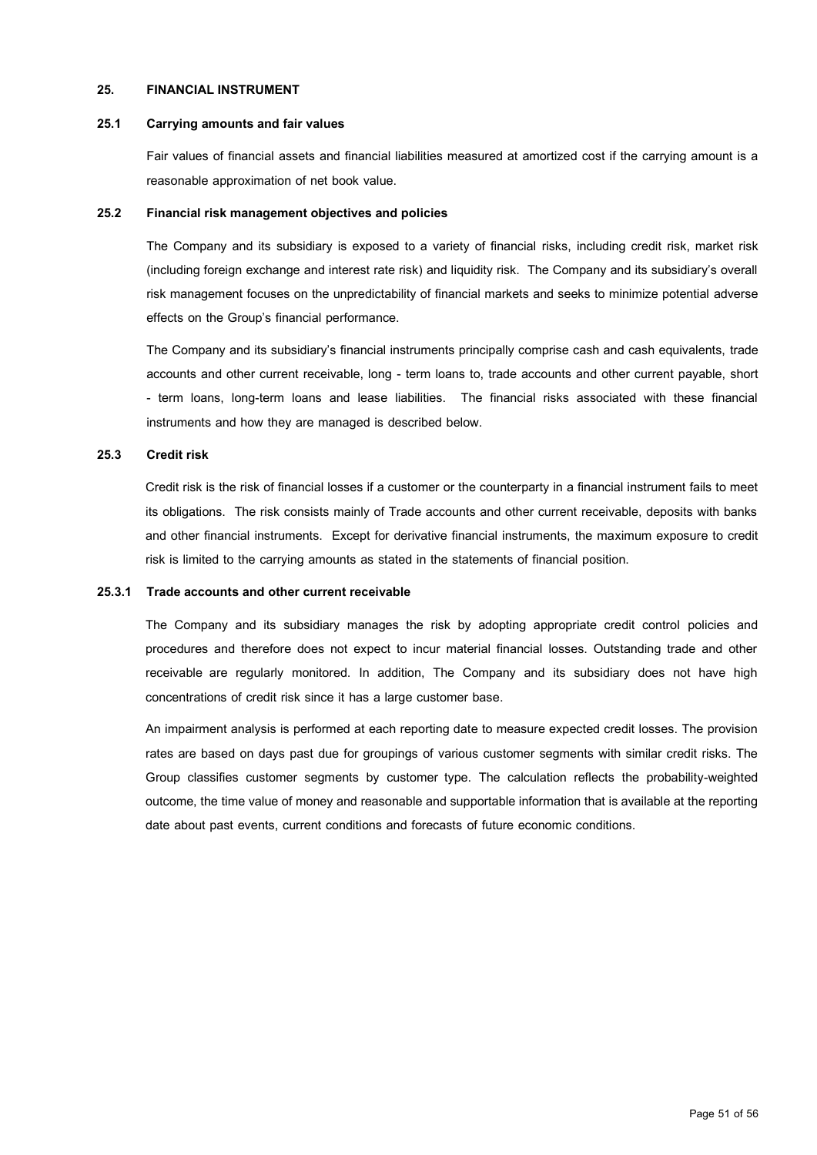### **25. FINANCIAL INSTRUMENT**

### **25.1 Carrying amounts and fair values**

Fair values of financial assets and financial liabilities measured at amortized cost if the carrying amount is a reasonable approximation of net book value.

### **25.2 Financial risk management objectives and policies**

The Company and its subsidiary is exposed to a variety of financial risks, including credit risk, market risk (including foreign exchange and interest rate risk) and liquidity risk. The Company and its subsidiary's overall risk management focuses on the unpredictability of financial markets and seeks to minimize potential adverse effects on the Group's financial performance.

The Company and its subsidiary's financial instruments principally comprise cash and cash equivalents, trade accounts and other current receivable, long - term loans to, trade accounts and other current payable, short - term loans, long-term loans and lease liabilities. The financial risks associated with these financial instruments and how they are managed is described below.

### **25.3 Credit risk**

Credit risk is the risk of financial losses if a customer or the counterparty in a financial instrument fails to meet its obligations. The risk consists mainly of Trade accounts and other current receivable, deposits with banks and other financial instruments. Except for derivative financial instruments, the maximum exposure to credit risk is limited to the carrying amounts as stated in the statements of financial position.

### **25.3.1 Trade accounts and other current receivable**

The Company and its subsidiary manages the risk by adopting appropriate credit control policies and procedures and therefore does not expect to incur material financial losses. Outstanding trade and other receivable are regularly monitored. In addition, The Company and its subsidiary does not have high concentrations of credit risk since it has a large customer base.

An impairment analysis is performed at each reporting date to measure expected credit losses. The provision rates are based on days past due for groupings of various customer segments with similar credit risks. The Group classifies customer segments by customer type. The calculation reflects the probability-weighted outcome, the time value of money and reasonable and supportable information that is available at the reporting date about past events, current conditions and forecasts of future economic conditions.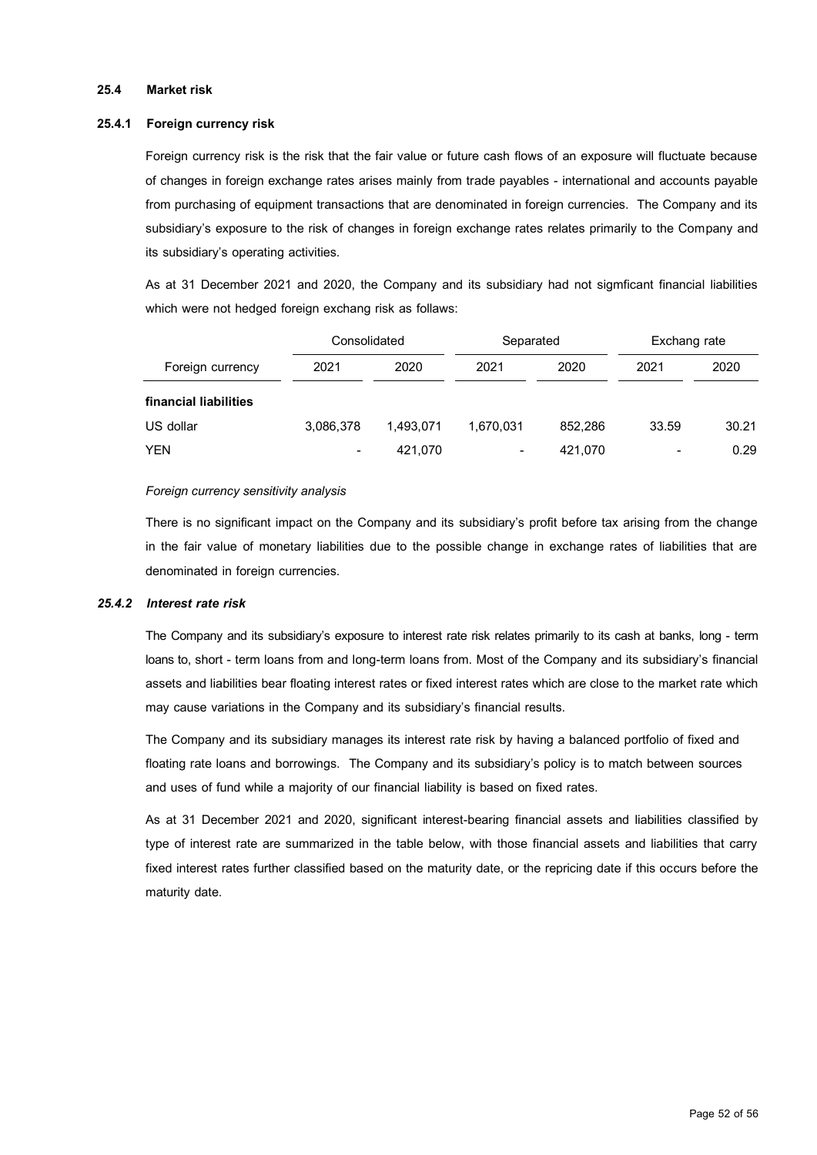### **25.4 Market risk**

#### **25.4.1 Foreign currency risk**

Foreign currency risk is the risk that the fair value or future cash flows of an exposure will fluctuate because of changes in foreign exchange rates arises mainly from trade payables - international and accounts payable from purchasing of equipment transactions that are denominated in foreign currencies. The Company and its subsidiary's exposure to the risk of changes in foreign exchange rates relates primarily to the Company and its subsidiary's operating activities.

As at 31 December 2021 and 2020, the Company and its subsidiary had not sigmficant financial liabilities which were not hedged foreign exchang risk as follaws:

|                       |           | Consolidated<br>Separated |           |         | Exchang rate |       |
|-----------------------|-----------|---------------------------|-----------|---------|--------------|-------|
| Foreign currency      | 2021      | 2020                      | 2021      | 2020    | 2021         | 2020  |
| financial liabilities |           |                           |           |         |              |       |
| US dollar             | 3,086,378 | 1.493.071                 | 1,670,031 | 852.286 | 33.59        | 30.21 |
| <b>YEN</b>            | ۰         | 421.070                   | ۰.        | 421.070 | ۰            | 0.29  |

#### *Foreign currency sensitivity analysis*

There is no significant impact on the Company and its subsidiary's profit before tax arising from the change in the fair value of monetary liabilities due to the possible change in exchange rates of liabilities that are denominated in foreign currencies.

### *25.4.2 Interest rate risk*

The Company and its subsidiary's exposure to interest rate risk relates primarily to its cash at banks, long - term loans to, short - term loans from and long-term loans from. Most of the Company and its subsidiary's financial assets and liabilities bear floating interest rates or fixed interest rates which are close to the market rate which may cause variations in the Company and its subsidiary's financial results.

The Company and its subsidiary manages its interest rate risk by having a balanced portfolio of fixed and floating rate loans and borrowings. The Company and its subsidiary's policy is to match between sources and uses of fund while a majority of our financial liability is based on fixed rates.

As at 31 December 2021 and 2020, significant interest-bearing financial assets and liabilities classified by type of interest rate are summarized in the table below, with those financial assets and liabilities that carry fixed interest rates further classified based on the maturity date, or the repricing date if this occurs before the maturity date.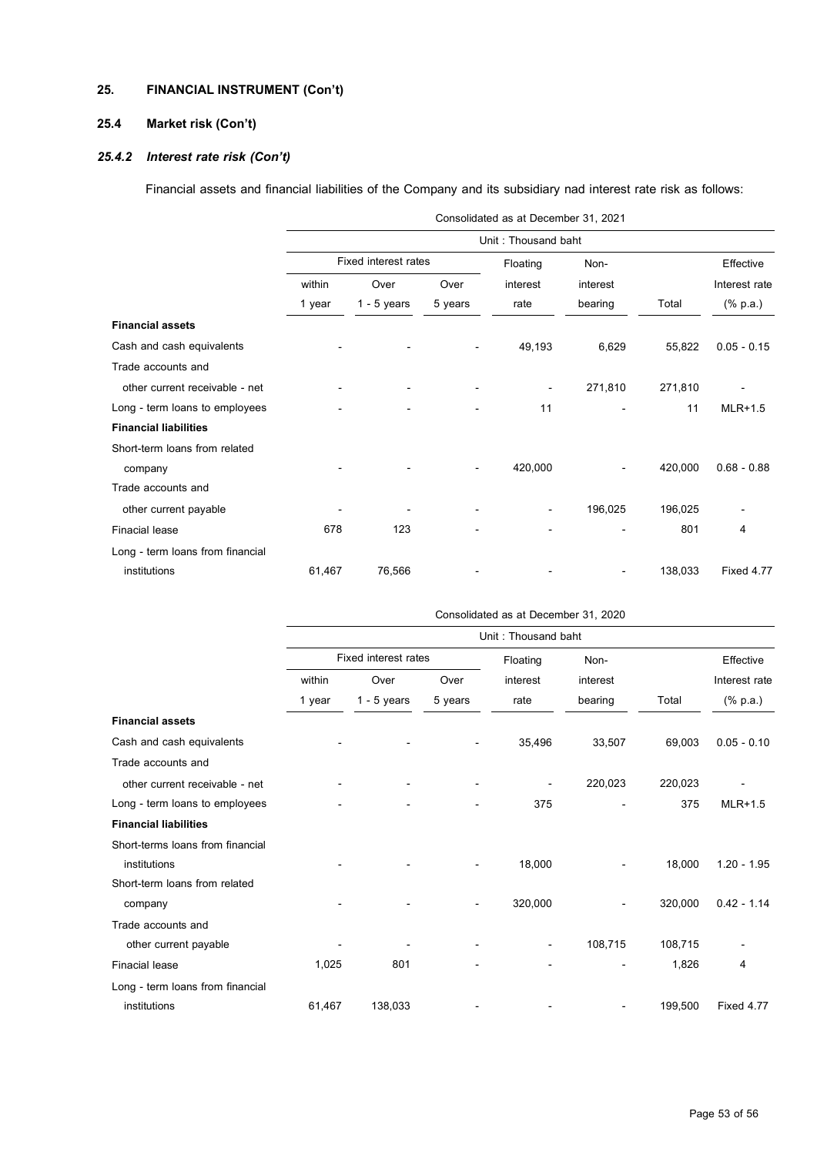# **25. FINANCIAL INSTRUMENT(Con't)**

# **25.4 Market risk (Con't)**

# *25.4.2 Interest rate risk (Con't)*

Financial assets and financial liabilities of the Company and its subsidiary nad interest rate risk as follows:

|                                  |        | Consolidated as at December 31, 2021 |                          |                          |          |         |                           |  |  |
|----------------------------------|--------|--------------------------------------|--------------------------|--------------------------|----------|---------|---------------------------|--|--|
|                                  |        | Unit: Thousand baht                  |                          |                          |          |         |                           |  |  |
|                                  |        | <b>Fixed interest rates</b>          |                          | Floating                 | Non-     |         | Effective                 |  |  |
|                                  | within | Over                                 | Over                     | interest                 | interest |         | Interest rate             |  |  |
|                                  | 1 year | $1 - 5$ years                        | 5 years                  | rate                     | bearing  | Total   | $(% \mathbf{a})$ (% p.a.) |  |  |
| <b>Financial assets</b>          |        |                                      |                          |                          |          |         |                           |  |  |
| Cash and cash equivalents        |        |                                      | $\overline{\phantom{a}}$ | 49,193                   | 6,629    | 55,822  | $0.05 - 0.15$             |  |  |
| Trade accounts and               |        |                                      |                          |                          |          |         |                           |  |  |
| other current receivable - net   |        |                                      |                          |                          | 271,810  | 271,810 |                           |  |  |
| Long - term loans to employees   |        |                                      | $\overline{\phantom{a}}$ | 11                       |          | 11      | $MLR+1.5$                 |  |  |
| <b>Financial liabilities</b>     |        |                                      |                          |                          |          |         |                           |  |  |
| Short-term loans from related    |        |                                      |                          |                          |          |         |                           |  |  |
| company                          |        |                                      |                          | 420,000                  |          | 420,000 | $0.68 - 0.88$             |  |  |
| Trade accounts and               |        |                                      |                          |                          |          |         |                           |  |  |
| other current payable            |        |                                      | $\overline{\phantom{a}}$ | $\overline{\phantom{a}}$ | 196,025  | 196,025 |                           |  |  |
| <b>Finacial lease</b>            | 678    | 123                                  | $\overline{a}$           |                          |          | 801     | 4                         |  |  |
| Long - term loans from financial |        |                                      |                          |                          |          |         |                           |  |  |
| institutions                     | 61,467 | 76,566                               |                          |                          |          | 138,033 | Fixed 4.77                |  |  |

|                                  | Consolidated as at December 31, 2020 |                      |                          |                          |          |         |               |  |  |
|----------------------------------|--------------------------------------|----------------------|--------------------------|--------------------------|----------|---------|---------------|--|--|
|                                  |                                      | Unit: Thousand baht  |                          |                          |          |         |               |  |  |
|                                  |                                      | Fixed interest rates |                          | Floating                 | Non-     |         | Effective     |  |  |
|                                  | within                               | Over                 | Over                     | interest                 | interest |         | Interest rate |  |  |
|                                  | 1 year                               | $1 - 5$ years        | 5 years                  | rate                     | bearing  | Total   | (% p.a.)      |  |  |
| <b>Financial assets</b>          |                                      |                      |                          |                          |          |         |               |  |  |
| Cash and cash equivalents        |                                      |                      |                          | 35,496                   | 33,507   | 69,003  | $0.05 - 0.10$ |  |  |
| Trade accounts and               |                                      |                      |                          |                          |          |         |               |  |  |
| other current receivable - net   |                                      |                      | $\overline{\phantom{a}}$ | $\overline{\phantom{a}}$ | 220,023  | 220,023 | ٠             |  |  |
| Long - term loans to employees   |                                      |                      |                          | 375                      |          | 375     | $MLR+1.5$     |  |  |
| <b>Financial liabilities</b>     |                                      |                      |                          |                          |          |         |               |  |  |
| Short-terms loans from financial |                                      |                      |                          |                          |          |         |               |  |  |
| institutions                     |                                      |                      |                          | 18,000                   |          | 18,000  | $1.20 - 1.95$ |  |  |
| Short-term loans from related    |                                      |                      |                          |                          |          |         |               |  |  |
| company                          |                                      |                      | ٠                        | 320,000                  |          | 320,000 | $0.42 - 1.14$ |  |  |
| Trade accounts and               |                                      |                      |                          |                          |          |         |               |  |  |
| other current payable            |                                      |                      |                          | -                        | 108,715  | 108,715 |               |  |  |
| <b>Finacial lease</b>            | 1,025                                | 801                  | ٠                        |                          |          | 1,826   | 4             |  |  |
| Long - term loans from financial |                                      |                      |                          |                          |          |         |               |  |  |
| institutions                     | 61,467                               | 138,033              |                          |                          |          | 199,500 | Fixed 4.77    |  |  |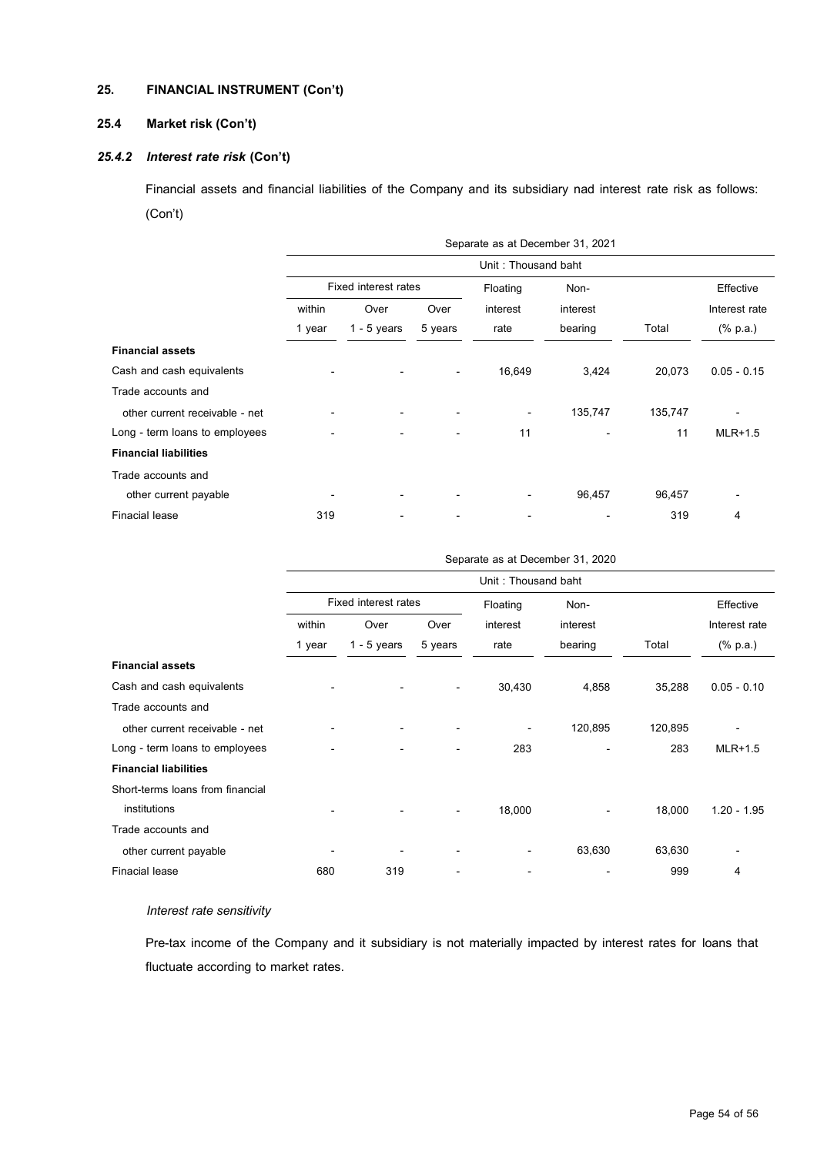# **25. FINANCIAL INSTRUMENT(Con't)**

# **25.4 Market risk (Con't)**

# *25.4.2 Interest rate risk* **(Con't)**

Financial assets and financial liabilities of the Company and its subsidiary nad interest rate risk as follows: (Con't)

|                                | Separate as at December 31, 2021 |                             |         |                          |          |         |                           |
|--------------------------------|----------------------------------|-----------------------------|---------|--------------------------|----------|---------|---------------------------|
|                                |                                  |                             |         | Unit: Thousand baht      |          |         |                           |
|                                |                                  | <b>Fixed interest rates</b> |         | Floating                 | Non-     |         | Effective                 |
|                                | within                           | Over                        | Over    | interest                 | interest |         | Interest rate             |
|                                | 1 year                           | $1 - 5$ years               | 5 years | rate                     | bearing  | Total   | $(% \mathbf{a})$ (% p.a.) |
| <b>Financial assets</b>        |                                  |                             |         |                          |          |         |                           |
| Cash and cash equivalents      |                                  |                             | ۰       | 16,649                   | 3,424    | 20,073  | $0.05 - 0.15$             |
| Trade accounts and             |                                  |                             |         |                          |          |         |                           |
| other current receivable - net |                                  |                             | ٠       | $\overline{\phantom{a}}$ | 135,747  | 135,747 | $\overline{\phantom{a}}$  |
| Long - term loans to employees |                                  |                             | ٠       | 11                       |          | 11      | $MLR+1.5$                 |
| <b>Financial liabilities</b>   |                                  |                             |         |                          |          |         |                           |
| Trade accounts and             |                                  |                             |         |                          |          |         |                           |
| other current payable          |                                  |                             | ٠       | ٠                        | 96,457   | 96,457  |                           |
| <b>Finacial lease</b>          | 319                              |                             |         |                          |          | 319     | 4                         |

|                                  | Separate as at December 31, 2020 |                      |                          |          |          |         |               |  |  |
|----------------------------------|----------------------------------|----------------------|--------------------------|----------|----------|---------|---------------|--|--|
|                                  | Unit: Thousand baht              |                      |                          |          |          |         |               |  |  |
|                                  |                                  | Fixed interest rates |                          | Floating | Non-     |         | Effective     |  |  |
|                                  | within                           | Over                 | Over                     | interest | interest |         | Interest rate |  |  |
|                                  | 1 year                           | $1 - 5$ years        | 5 years                  | rate     | bearing  | Total   | (% p.a.)      |  |  |
| <b>Financial assets</b>          |                                  |                      |                          |          |          |         |               |  |  |
| Cash and cash equivalents        |                                  |                      | ۰                        | 30,430   | 4,858    | 35,288  | $0.05 - 0.10$ |  |  |
| Trade accounts and               |                                  |                      |                          |          |          |         |               |  |  |
| other current receivable - net   |                                  |                      |                          |          | 120,895  | 120,895 | ٠             |  |  |
| Long - term loans to employees   |                                  |                      | ٠                        | 283      |          | 283     | $MLR+1.5$     |  |  |
| <b>Financial liabilities</b>     |                                  |                      |                          |          |          |         |               |  |  |
| Short-terms loans from financial |                                  |                      |                          |          |          |         |               |  |  |
| institutions                     |                                  |                      | $\overline{\phantom{a}}$ | 18,000   |          | 18,000  | $1.20 - 1.95$ |  |  |
| Trade accounts and               |                                  |                      |                          |          |          |         |               |  |  |
| other current payable            |                                  |                      | ٠                        | ٠        | 63,630   | 63,630  | ٠             |  |  |
| <b>Finacial lease</b>            | 680                              | 319                  |                          |          |          | 999     | 4             |  |  |

# *Interest rate sensitivity*

Pre-tax income of the Company and it subsidiary is not materially impacted by interest rates for loans that fluctuate according to market rates.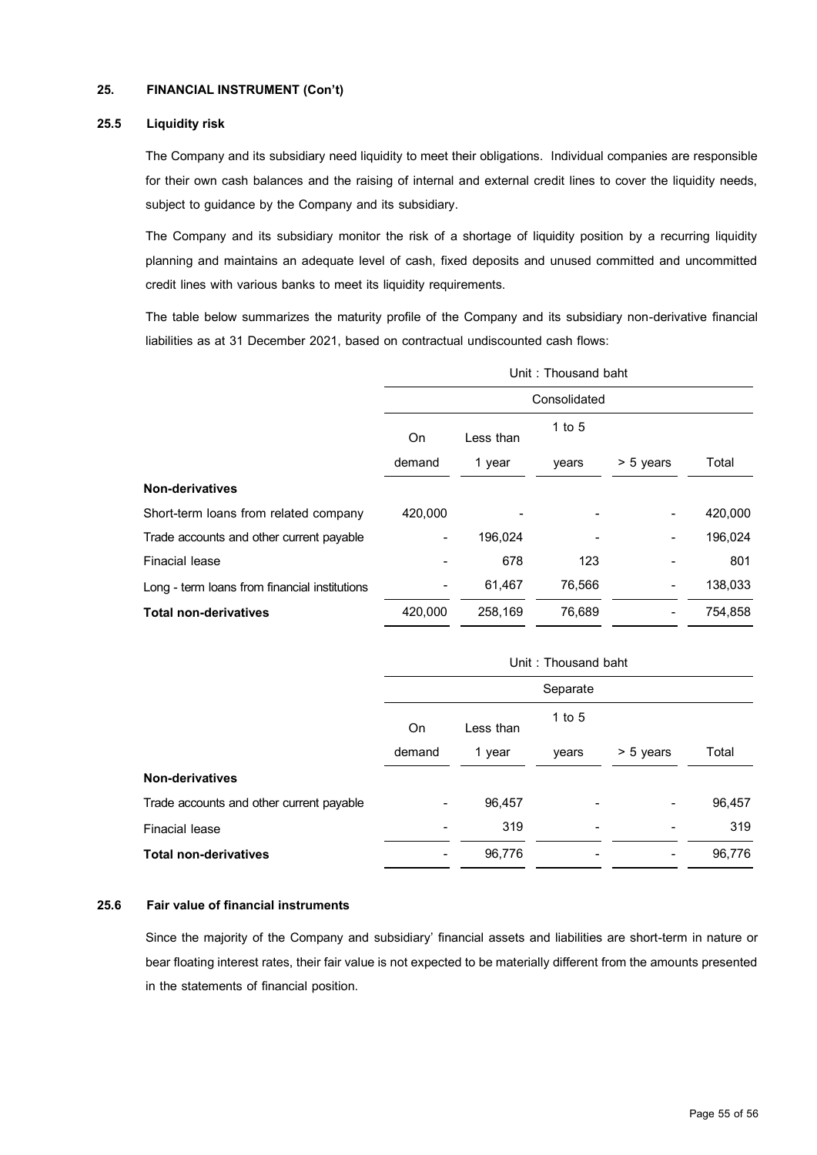## **25. FINANCIAL INSTRUMENT(Con't)**

## **25.5 Liquidity risk**

The Company and its subsidiary need liquidity to meet their obligations. Individual companies are responsible for their own cash balances and the raising of internal and external credit lines to cover the liquidity needs, subject to guidance by the Company and its subsidiary.

The Company and its subsidiary monitor the risk of a shortage of liquidity position by a recurring liquidity planning and maintains an adequate level of cash, fixed deposits and unused committed and uncommitted credit lines with various banks to meet its liquidity requirements.

The table below summarizes the maturity profile of the Company and its subsidiary non-derivative financial liabilities as at 31 December 2021, based on contractual undiscounted cash flows:

|                                               | Unit: Thousand baht |         |          |             |         |  |  |
|-----------------------------------------------|---------------------|---------|----------|-------------|---------|--|--|
|                                               | Consolidated        |         |          |             |         |  |  |
|                                               | Less than<br>On.    |         | 1 to $5$ |             |         |  |  |
|                                               | demand              | 1 year  | vears    | $> 5$ years | Total   |  |  |
| <b>Non-derivatives</b>                        |                     |         |          |             |         |  |  |
| Short-term loans from related company         | 420,000             |         |          |             | 420,000 |  |  |
| Trade accounts and other current payable      |                     | 196,024 |          |             | 196,024 |  |  |
| <b>Finacial lease</b>                         |                     | 678     | 123      |             | 801     |  |  |
| Long - term loans from financial institutions |                     | 61,467  | 76,566   |             | 138,033 |  |  |
| <b>Total non-derivatives</b>                  | 420,000             | 258,169 | 76,689   |             | 754,858 |  |  |

|                                          | Unit: Thousand baht |           |          |           |        |  |  |
|------------------------------------------|---------------------|-----------|----------|-----------|--------|--|--|
|                                          | Separate            |           |          |           |        |  |  |
|                                          | On                  | Less than | 1 to $5$ |           |        |  |  |
|                                          | demand              | 1 year    | years    | > 5 years | Total  |  |  |
| <b>Non-derivatives</b>                   |                     |           |          |           |        |  |  |
| Trade accounts and other current payable | ٠                   | 96,457    | -        | ۰.        | 96,457 |  |  |
| <b>Finacial lease</b>                    |                     | 319       |          |           | 319    |  |  |
| <b>Total non-derivatives</b>             |                     | 96,776    |          |           | 96,776 |  |  |

#### **25.6 Fair value of financial instruments**

Since the majority of the Company and subsidiary' financial assets and liabilities are short-term in nature or bear floating interest rates, their fair value is not expected to be materially different from the amounts presented in the statements of financial position.